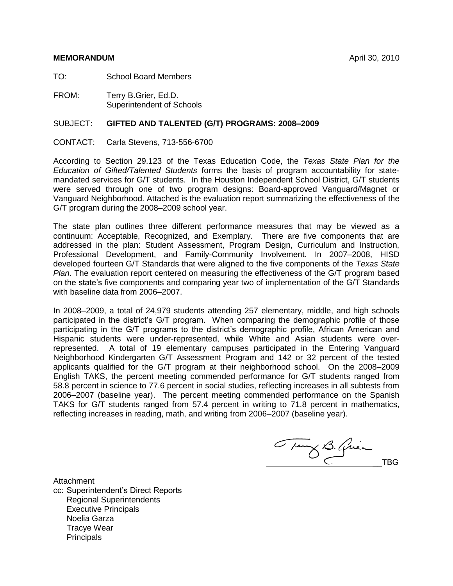#### **MEMORANDUM** April 30, 2010

TO: School Board Members

FROM: Terry B.Grier, Ed.D. Superintendent of Schools

#### SUBJECT: **GIFTED AND TALENTED (G/T) PROGRAMS: 2008–2009**

CONTACT: Carla Stevens, 713-556-6700

According to Section 29.123 of the Texas Education Code, the *Texas State Plan for the Education of Gifted/Talented Students* forms the basis of program accountability for statemandated services for G/T students. In the Houston Independent School District, G/T students were served through one of two program designs: Board-approved Vanguard/Magnet or Vanguard Neighborhood. Attached is the evaluation report summarizing the effectiveness of the G/T program during the 2008–2009 school year.

The state plan outlines three different performance measures that may be viewed as a continuum: Acceptable, Recognized, and Exemplary. There are five components that are addressed in the plan: Student Assessment, Program Design, Curriculum and Instruction, Professional Development, and Family-Community Involvement. In 2007–2008, HISD developed fourteen G/T Standards that were aligned to the five components of the *Texas State Plan*. The evaluation report centered on measuring the effectiveness of the G/T program based on the state's five components and comparing year two of implementation of the G/T Standards with baseline data from 2006–2007.

In 2008–2009, a total of 24,979 students attending 257 elementary, middle, and high schools participated in the district's G/T program. When comparing the demographic profile of those participating in the G/T programs to the district's demographic profile, African American and Hispanic students were under-represented, while White and Asian students were overrepresented. A total of 19 elementary campuses participated in the Entering Vanguard Neighborhood Kindergarten G/T Assessment Program and 142 or 32 percent of the tested applicants qualified for the G/T program at their neighborhood school. On the 2008–2009 English TAKS, the percent meeting commended performance for G/T students ranged from 58.8 percent in science to 77.6 percent in social studies, reflecting increases in all subtests from 2006–2007 (baseline year). The percent meeting commended performance on the Spanish TAKS for G/T students ranged from 57.4 percent in writing to 71.8 percent in mathematics, reflecting increases in reading, math, and writing from 2006–2007 (baseline year).

Tung B. Quien

Attachment

cc: Superintendent's Direct Reports Regional Superintendents Executive Principals Noelia Garza Tracye Wear **Principals**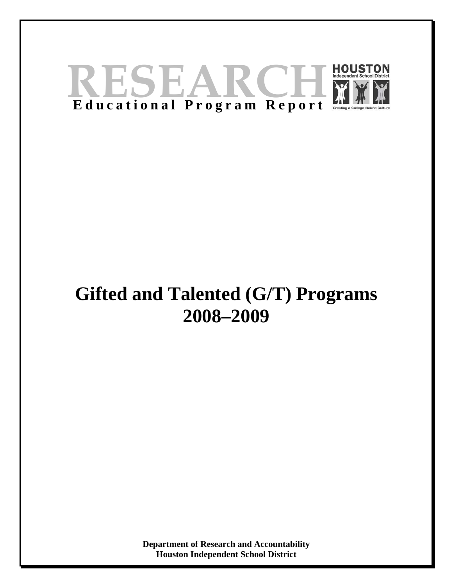

## **Gifted and Talented (G/T) Programs 2008–2009**

**Department of Research and Accountability Houston Independent School District**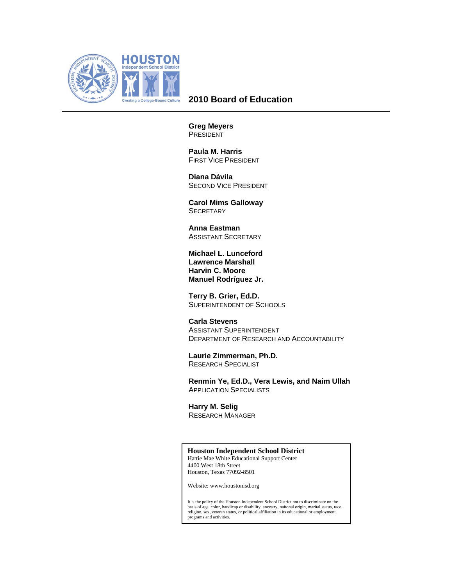

#### **2010 Board of Education**

**Greg Meyers**  PRESIDENT

 **Paula M. Harris**  FIRST VICE PRESIDENT

 **Diana Dávila**  SECOND VICE PRESIDENT

 **Carol Mims Galloway SECRETARY** 

 **Anna Eastman**  ASSISTANT SECRETARY

**Michael L. Lunceford Lawrence Marshall Harvin C. Moore Manuel Rodríguez Jr.** 

 **Terry B. Grier, Ed.D.**  SUPERINTENDENT OF SCHOOLS

 **Carla Stevens**  ASSISTANT SUPERINTENDENT DEPARTMENT OF RESEARCH AND ACCOUNTABILITY

 **Laurie Zimmerman, Ph.D.**  RESEARCH SPECIALIST

 **Renmin Ye, Ed.D., Vera Lewis, and Naim Ullah**  APPLICATION SPECIALISTS

 **Harry M. Selig**  RESEARCH MANAGER

#### **Houston Independent School District**

Hattie Mae White Educational Support Center 4400 West 18th Street Houston, Texas 77092-8501

Website: www.houstonisd.org

It is the policy of the Houston Independent School District not to discriminate on the basis of age, color, handicap or disability, ancestry, naitonal origin, marital status, race, religion, sex, veteran status, or political affiliation in its educational or employment programs and activities.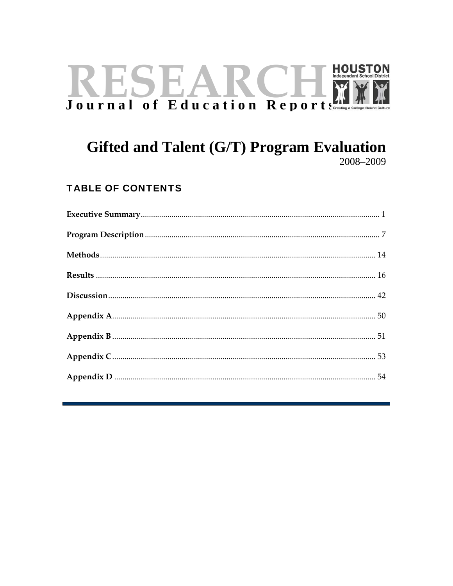# **HOUSTON** RESEARCHI

## Gifted and Talent (G/T) Program Evaluation 2008-2009

## **TABLE OF CONTENTS**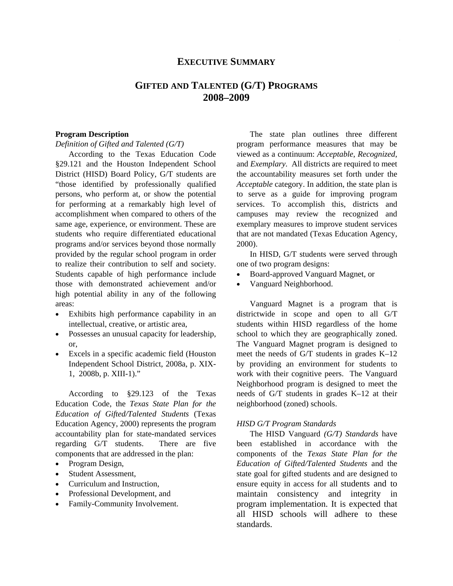#### **EXECUTIVE SUMMARY**

#### **GIFTED AND TALENTED (G/T) PROGRAMS 2008–2009**

#### **Program Description**

*Definition of Gifted and Talented (G/T)* 

According to the Texas Education Code §29.121 and the Houston Independent School District (HISD) Board Policy, G/T students are "those identified by professionally qualified persons, who perform at, or show the potential for performing at a remarkably high level of accomplishment when compared to others of the same age, experience, or environment. These are students who require differentiated educational programs and/or services beyond those normally provided by the regular school program in order to realize their contribution to self and society. Students capable of high performance include those with demonstrated achievement and/or high potential ability in any of the following areas:

- Exhibits high performance capability in an intellectual, creative, or artistic area,
- Possesses an unusual capacity for leadership, or,
- Excels in a specific academic field (Houston Independent School District, 2008a, p. XIX-1, 2008b, p. XIII-1)."

According to §29.123 of the Texas Education Code, the *Texas State Plan for the Education of Gifted/Talented Students* (Texas Education Agency, 2000) represents the program accountability plan for state-mandated services regarding G/T students. There are five components that are addressed in the plan:

- Program Design,
- Student Assessment,
- Curriculum and Instruction,
- Professional Development, and
- Family-Community Involvement.

The state plan outlines three different program performance measures that may be viewed as a continuum: *Acceptable*, *Recognized*, and *Exemplary*. All districts are required to meet the accountability measures set forth under the *Acceptable* category. In addition, the state plan is to serve as a guide for improving program services. To accomplish this, districts and campuses may review the recognized and exemplary measures to improve student services that are not mandated (Texas Education Agency, 2000).

In HISD, G/T students were served through one of two program designs:

- Board-approved Vanguard Magnet, or
- Vanguard Neighborhood.

Vanguard Magnet is a program that is districtwide in scope and open to all G/T students within HISD regardless of the home school to which they are geographically zoned. The Vanguard Magnet program is designed to meet the needs of G/T students in grades K–12 by providing an environment for students to work with their cognitive peers. The Vanguard Neighborhood program is designed to meet the needs of G/T students in grades K–12 at their neighborhood (zoned) schools.

#### *HISD G/T Program Standards*

The HISD Vanguard *(G/T) Standards* have been established in accordance with the components of the *Texas State Plan for the Education of Gifted/Talented Students* and the state goal for gifted students and are designed to ensure equity in access for all students and to maintain consistency and integrity in program implementation. It is expected that all HISD schools will adhere to these standards.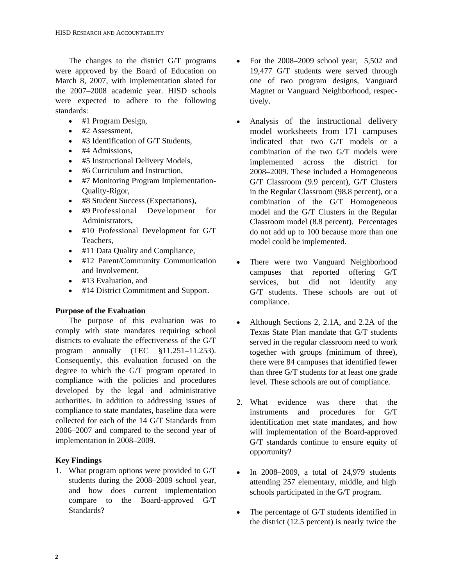The changes to the district G/T programs were approved by the Board of Education on March 8, 2007, with implementation slated for the 2007–2008 academic year. HISD schools were expected to adhere to the following standards:

- #1 Program Design,
- #2 Assessment,
- #3 Identification of G/T Students,
- #4 Admissions,
- #5 Instructional Delivery Models,
- #6 Curriculum and Instruction,
- #7 Monitoring Program Implementation-Quality-Rigor,
- #8 Student Success (Expectations),
- #9 Professional Development for Administrators,
- #10 Professional Development for G/T Teachers,
- #11 Data Quality and Compliance,
- #12 Parent/Community Communication and Involvement,
- #13 Evaluation, and
- #14 District Commitment and Support.

#### **Purpose of the Evaluation**

The purpose of this evaluation was to comply with state mandates requiring school districts to evaluate the effectiveness of the G/T program annually (TEC §11.251-11.253). Consequently, this evaluation focused on the degree to which the G/T program operated in compliance with the policies and procedures developed by the legal and administrative authorities. In addition to addressing issues of compliance to state mandates, baseline data were collected for each of the 14 G/T Standards from 2006–2007 and compared to the second year of implementation in 2008–2009.

#### **Key Findings**

1. What program options were provided to G/T students during the 2008–2009 school year, and how does current implementation compare to the Board-approved G/T Standards?

- For the 2008–2009 school year, 5,502 and 19,477 G/T students were served through one of two program designs, Vanguard Magnet or Vanguard Neighborhood, respectively.
- Analysis of the instructional delivery model worksheets from 171 campuses indicated that two G/T models or a combination of the two G/T models were implemented across the district for 2008–2009. These included a Homogeneous G/T Classroom (9.9 percent), G/T Clusters in the Regular Classroom (98.8 percent), or a combination of the G/T Homogeneous model and the G/T Clusters in the Regular Classroom model (8.8 percent). Percentages do not add up to 100 because more than one model could be implemented.
- There were two Vanguard Neighborhood campuses that reported offering G/T services, but did not identify any G/T students. These schools are out of compliance.
- Although Sections 2, 2.1A, and 2.2A of the Texas State Plan mandate that G/T students served in the regular classroom need to work together with groups (minimum of three), there were 84 campuses that identified fewer than three G/T students for at least one grade level. These schools are out of compliance.
- 2. What evidence was there that the instruments and procedures for G/T identification met state mandates, and how will implementation of the Board-approved G/T standards continue to ensure equity of opportunity?
- In 2008–2009, a total of 24,979 students attending 257 elementary, middle, and high schools participated in the G/T program.
- The percentage of G/T students identified in the district (12.5 percent) is nearly twice the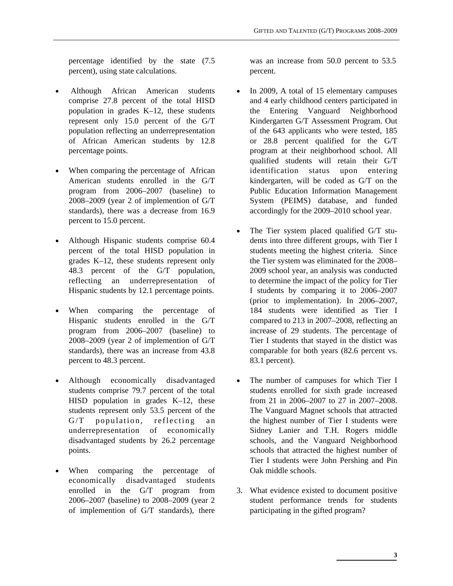percentage identified by the state (7.5 percent), using state calculations.

- Although African American students comprise 27.8 percent of the total HISD population in grades K–12, these students represent only 15.0 percent of the G/T population reflecting an underrepresentation of African American students by 12.8 percentage points.
- When comparing the percentage of African American students enrolled in the G/T program from 2006–2007 (baseline) to 2008–2009 (year 2 of implemention of G/T standards), there was a decrease from 16.9 percent to 15.0 percent.
- Although Hispanic students comprise 60.4 percent of the total HISD population in grades K–12, these students represent only 48.3 percent of the G/T population, reflecting an underrepresentation of Hispanic students by 12.1 percentage points.
- When comparing the percentage of Hispanic students enrolled in the G/T program from 2006–2007 (baseline) to 2008–2009 (year 2 of implemention of G/T standards), there was an increase from 43.8 percent to 48.3 percent.
- Although economically disadvantaged students comprise 79.7 percent of the total HISD population in grades K–12, these students represent only 53.5 percent of the  $G/T$  population, reflecting an underrepresentation of economically disadvantaged students by 26.2 percentage points.
- When comparing the percentage of economically disadvantaged students enrolled in the G/T program from 2006–2007 (baseline) to 2008–2009 (year 2 of implemention of G/T standards), there

was an increase from 50.0 percent to 53.5 percent.

- In 2009, A total of 15 elementary campuses and 4 early childhood centers participated in the Entering Vanguard Neighborhood Kindergarten G/T Assessment Program. Out of the 643 applicants who were tested, 185 or 28.8 percent qualified for the G/T program at their neighborhood school. All qualified students will retain their G/T identification status upon entering kindergarten, will be coded as G/T on the Public Education Information Management System (PEIMS) database, and funded accordingly for the 2009–2010 school year.
- The Tier system placed qualified G/T students into three different groups, with Tier I students meeting the highest criteria. Since the Tier system was eliminated for the 2008– 2009 school year, an analysis was conducted to determine the impact of the policy for Tier I students by comparing it to 2006–2007 (prior to implementation). In 2006–2007, 184 students were identified as Tier I compared to 213 in 2007–2008, reflecting an increase of 29 students. The percentage of Tier I students that stayed in the distict was comparable for both years (82.6 percent vs. 83.1 percent).
- The number of campuses for which Tier I students enrolled for sixth grade increased from 21 in 2006–2007 to 27 in 2007–2008. The Vanguard Magnet schools that attracted the highest number of Tier I students were Sidney Lanier and T.H. Rogers middle schools, and the Vanguard Neighborhood schools that attracted the highest number of Tier I students were John Pershing and Pin Oak middle schools.
- 3. What evidence existed to document positive student performance trends for students participating in the gifted program?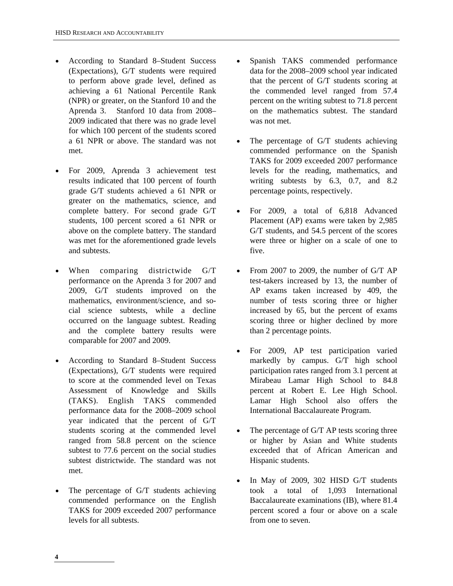- According to Standard 8–Student Success (Expectations), G/T students were required to perform above grade level, defined as achieving a 61 National Percentile Rank (NPR) or greater, on the Stanford 10 and the Aprenda 3. Stanford 10 data from 2008– 2009 indicated that there was no grade level for which 100 percent of the students scored a 61 NPR or above. The standard was not met.
- For 2009, Aprenda 3 achievement test results indicated that 100 percent of fourth grade G/T students achieved a 61 NPR or greater on the mathematics, science, and complete battery. For second grade G/T students, 100 percent scored a 61 NPR or above on the complete battery. The standard was met for the aforementioned grade levels and subtests.
- When comparing districtwide G/T performance on the Aprenda 3 for 2007 and 2009, G/T students improved on the mathematics, environment/science, and social science subtests, while a decline occurred on the language subtest. Reading and the complete battery results were comparable for 2007 and 2009.
- According to Standard 8–Student Success (Expectations), G/T students were required to score at the commended level on Texas Assessment of Knowledge and Skills (TAKS). English TAKS commended performance data for the 2008–2009 school year indicated that the percent of G/T students scoring at the commended level ranged from 58.8 percent on the science subtest to 77.6 percent on the social studies subtest districtwide. The standard was not met.
- The percentage of G/T students achieving commended performance on the English TAKS for 2009 exceeded 2007 performance levels for all subtests.
- Spanish TAKS commended performance data for the 2008–2009 school year indicated that the percent of G/T students scoring at the commended level ranged from 57.4 percent on the writing subtest to 71.8 percent on the mathematics subtest. The standard was not met.
- The percentage of G/T students achieving commended performance on the Spanish TAKS for 2009 exceeded 2007 performance levels for the reading, mathematics, and writing subtests by 6.3, 0.7, and 8.2 percentage points, respectively.
- For 2009, a total of 6,818 Advanced Placement (AP) exams were taken by 2,985 G/T students, and 54.5 percent of the scores were three or higher on a scale of one to five.
- From 2007 to 2009, the number of G/T AP test-takers increased by 13, the number of AP exams taken increased by 409, the number of tests scoring three or higher increased by 65, but the percent of exams scoring three or higher declined by more than 2 percentage points.
- For 2009, AP test participation varied markedly by campus. G/T high school participation rates ranged from 3.1 percent at Mirabeau Lamar High School to 84.8 percent at Robert E. Lee High School. Lamar High School also offers the International Baccalaureate Program.
- The percentage of G/T AP tests scoring three or higher by Asian and White students exceeded that of African American and Hispanic students.
- In May of 2009, 302 HISD G/T students took a total of 1,093 International Baccalaureate examinations (IB), where 81.4 percent scored a four or above on a scale from one to seven.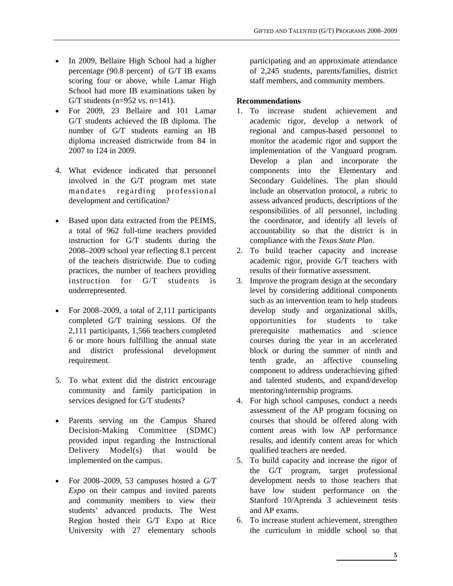- In 2009, Bellaire High School had a higher percentage (90.8 percent) of G/T IB exams scoring four or above, while Lamar High School had more IB examinations taken by G/T students ( $n=952$  vs.  $n=141$ ).
- For 2009, 23 Bellaire and 101 Lamar G/T students achieved the IB diploma. The number of G/T students earning an IB diploma increased districtwide from 84 in 2007 to 124 in 2009.
- 4. What evidence indicated that personnel involved in the G/T program met state mandates regarding professional development and certification?
- Based upon data extracted from the PEIMS, a total of 962 full-time teachers provided instruction for G/T students during the 2008–2009 school year reflecting 8.1 percent of the teachers districtwide. Due to coding practices, the number of teachers providing instruction for G/T students is underrepresented.
- For 2008–2009, a total of 2,111 participants completed G/T training sessions. Of the 2,111 participants, 1,566 teachers completed 6 or more hours fulfilling the annual state and district professional development requirement.
- 5. To what extent did the district encourage community and family participation in services designed for G/T students?
- Parents serving on the Campus Shared Decision-Making Committee (SDMC) provided input regarding the Instructional Delivery Model(s) that would be implemented on the campus.
- For 2008–2009, 53 campuses hosted a *G/T Expo* on their campus and invited parents and community members to view their students' advanced products. The West Region hosted their G/T Expo at Rice University with 27 elementary schools

participating and an approximate attendance of 2,245 students, parents/families, district staff members, and community members.

#### **Recommendations**

- 1. To increase student achievement and academic rigor, develop a network of regional and campus-based personnel to monitor the academic rigor and support the implementation of the Vanguard program. Develop a plan and incorporate the components into the Elementary and Secondary Guidelines. The plan should include an observation protocol, a rubric to assess advanced products, descriptions of the responsibilities of all personnel, including the coordinator, and identify all levels of accountability so that the district is in compliance with the *Texas State Plan*.
- 2. To build teacher capacity and increase academic rigor, provide G/T teachers with results of their formative assessment.
- 3. Improve the program design at the secondary level by considering additional components such as an intervention team to help students develop study and organizational skills, opportunities for students to take prerequisite mathematics and science courses during the year in an accelerated block or during the summer of ninth and tenth grade, an affective counseling component to address underachieving gifted and talented students, and expand/develop mentoring/internship programs.
- 4. For high school campuses, conduct a needs assessment of the AP program focusing on courses that should be offered along with content areas with low AP performance results, and identify content areas for which qualified teachers are needed.
- 5. To build capacity and increase the rigor of the G/T program, target professional development needs to those teachers that have low student performance on the Stanford 10/Aprenda 3 achievement tests and AP exams.
- 6. To increase student achievement, strengthen the curriculum in middle school so that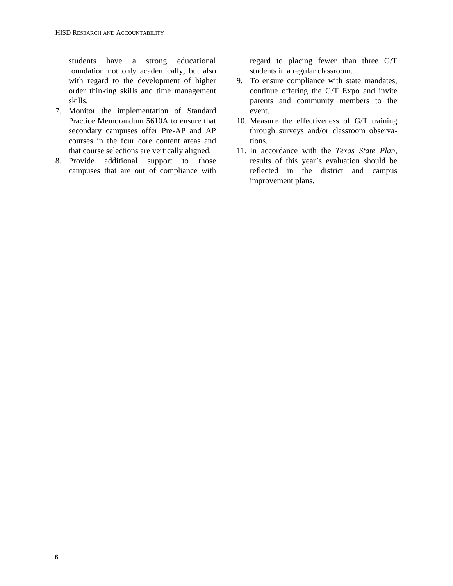students have a strong educational foundation not only academically, but also with regard to the development of higher order thinking skills and time management skills.

- 7. Monitor the implementation of Standard Practice Memorandum 5610A to ensure that secondary campuses offer Pre-AP and AP courses in the four core content areas and that course selections are vertically aligned.
- 8. Provide additional support to those campuses that are out of compliance with

regard to placing fewer than three G/T students in a regular classroom.

- 9. To ensure compliance with state mandates, continue offering the G/T Expo and invite parents and community members to the event.
- 10. Measure the effectiveness of G/T training through surveys and/or classroom observations.
- 11. In accordance with the *Texas State Plan*, results of this year's evaluation should be reflected in the district and campus improvement plans.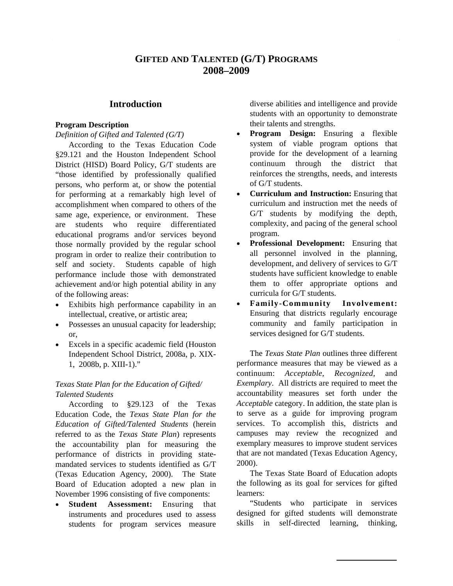#### **GIFTED AND TALENTED (G/T) PROGRAMS 2008–2009**

#### **Introduction**

#### **Program Description**

*Definition of Gifted and Talented (G/T)* 

According to the Texas Education Code §29.121 and the Houston Independent School District (HISD) Board Policy, G/T students are "those identified by professionally qualified persons, who perform at, or show the potential for performing at a remarkably high level of accomplishment when compared to others of the same age, experience, or environment. These are students who require differentiated educational programs and/or services beyond those normally provided by the regular school program in order to realize their contribution to self and society. Students capable of high performance include those with demonstrated achievement and/or high potential ability in any of the following areas:

- Exhibits high performance capability in an intellectual, creative, or artistic area;
- Possesses an unusual capacity for leadership; or,
- Excels in a specific academic field (Houston Independent School District, 2008a, p. XIX-1, 2008b, p. XIII-1)."

#### *Texas State Plan for the Education of Gifted/ Talented Students*

According to §29.123 of the Texas Education Code, the *Texas State Plan for the Education of Gifted/Talented Students* (herein referred to as the *Texas State Plan*) represents the accountability plan for measuring the performance of districts in providing statemandated services to students identified as G/T (Texas Education Agency, 2000). The State Board of Education adopted a new plan in November 1996 consisting of five components:

• **Student Assessment:** Ensuring that instruments and procedures used to assess students for program services measure diverse abilities and intelligence and provide students with an opportunity to demonstrate their talents and strengths.

- **Program Design:** Ensuring a flexible system of viable program options that provide for the development of a learning continuum through the district that reinforces the strengths, needs, and interests of G/T students.
- **Curriculum and Instruction:** Ensuring that curriculum and instruction met the needs of G/T students by modifying the depth, complexity, and pacing of the general school program.
- **Professional Development:** Ensuring that all personnel involved in the planning, development, and delivery of services to G/T students have sufficient knowledge to enable them to offer appropriate options and curricula for G/T students.
- **Family-Community Involvement:** Ensuring that districts regularly encourage community and family participation in services designed for G/T students.

The *Texas State Plan* outlines three different performance measures that may be viewed as a continuum: *Acceptable*, *Recognized*, and *Exemplary*. All districts are required to meet the accountability measures set forth under the *Acceptable* category. In addition, the state plan is to serve as a guide for improving program services. To accomplish this, districts and campuses may review the recognized and exemplary measures to improve student services that are not mandated (Texas Education Agency, 2000).

The Texas State Board of Education adopts the following as its goal for services for gifted learners:

"Students who participate in services designed for gifted students will demonstrate skills in self-directed learning, thinking,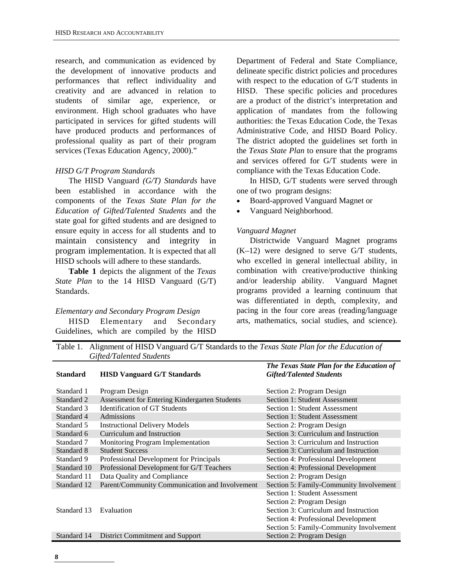research, and communication as evidenced by the development of innovative products and performances that reflect individuality and creativity and are advanced in relation to students of similar age, experience, or environment. High school graduates who have participated in services for gifted students will have produced products and performances of professional quality as part of their program services (Texas Education Agency, 2000)."

#### *HISD G/T Program Standards*

The HISD Vanguard *(G/T) Standards* have been established in accordance with the components of the *Texas State Plan for the Education of Gifted/Talented Students* and the state goal for gifted students and are designed to ensure equity in access for all students and to maintain consistency and integrity in program implementation. It is expected that all HISD schools will adhere to these standards.

**Table 1** depicts the alignment of the *Texas State Plan* to the 14 HISD Vanguard (G/T) Standards.

#### *Elementary and Secondary Program Design*

HISD Elementary and Secondary Guidelines, which are compiled by the HISD

Department of Federal and State Compliance, delineate specific district policies and procedures with respect to the education of G/T students in HISD. These specific policies and procedures are a product of the district's interpretation and application of mandates from the following authorities: the Texas Education Code, the Texas Administrative Code, and HISD Board Policy. The district adopted the guidelines set forth in the *Texas State Plan* to ensure that the programs and services offered for G/T students were in compliance with the Texas Education Code.

In HISD, G/T students were served through one of two program designs:

- Board-approved Vanguard Magnet or
- Vanguard Neighborhood.

#### *Vanguard Magnet*

Districtwide Vanguard Magnet programs (K–12) were designed to serve G/T students, who excelled in general intellectual ability, in combination with creative/productive thinking and/or leadership ability. Vanguard Magnet programs provided a learning continuum that was differentiated in depth, complexity, and pacing in the four core areas (reading/language arts, mathematics, social studies, and science).

Table 1. Alignment of HISD Vanguard G/T Standards to the *Texas State Plan for the Education of Gifted/Talented Students*

| <b>Standard</b> | <b>HISD Vanguard G/T Standards</b>             | The Texas State Plan for the Education of<br><b>Gifted/Talented Students</b> |
|-----------------|------------------------------------------------|------------------------------------------------------------------------------|
| Standard 1      | Program Design                                 | Section 2: Program Design                                                    |
| Standard 2      | Assessment for Entering Kindergarten Students  | Section 1: Student Assessment                                                |
| Standard 3      | <b>Identification of GT Students</b>           | Section 1: Student Assessment                                                |
| Standard 4      | Admissions                                     | Section 1: Student Assessment                                                |
| Standard 5      | <b>Instructional Delivery Models</b>           | Section 2: Program Design                                                    |
| Standard 6      | Curriculum and Instruction                     | Section 3: Curriculum and Instruction                                        |
| Standard 7      | Monitoring Program Implementation              | Section 3: Curriculum and Instruction                                        |
| Standard 8      | <b>Student Success</b>                         | Section 3: Curriculum and Instruction                                        |
| Standard 9      | Professional Development for Principals        | Section 4: Professional Development                                          |
| Standard 10     | Professional Development for G/T Teachers      | Section 4: Professional Development                                          |
| Standard 11     | Data Quality and Compliance                    | Section 2: Program Design                                                    |
| Standard 12     | Parent/Community Communication and Involvement | Section 5: Family-Community Involvement                                      |
|                 |                                                | Section 1: Student Assessment                                                |
|                 |                                                | Section 2: Program Design                                                    |
| Standard 13     | Evaluation                                     | Section 3: Curriculum and Instruction                                        |
|                 |                                                | Section 4: Professional Development                                          |
|                 |                                                | Section 5: Family-Community Involvement                                      |
| Standard 14     | <b>District Commitment and Support</b>         | Section 2: Program Design                                                    |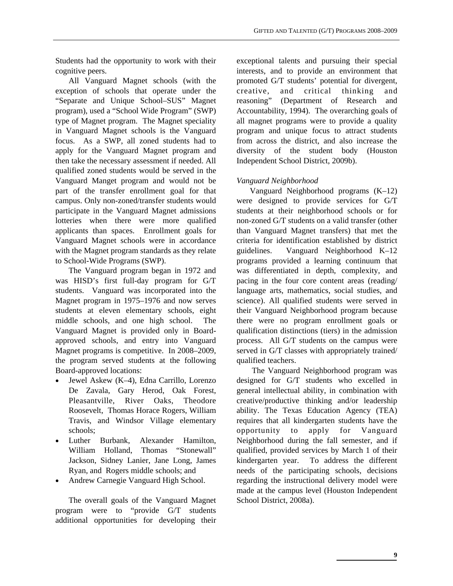Students had the opportunity to work with their cognitive peers.

All Vanguard Magnet schools (with the exception of schools that operate under the "Separate and Unique School–SUS" Magnet program), used a "School Wide Program" (SWP) type of Magnet program. The Magnet speciality in Vanguard Magnet schools is the Vanguard focus. As a SWP, all zoned students had to apply for the Vanguard Magnet program and then take the necessary assessment if needed. All qualified zoned students would be served in the Vanguard Manget program and would not be part of the transfer enrollment goal for that campus. Only non-zoned/transfer students would participate in the Vanguard Magnet admissions lotteries when there were more qualified applicants than spaces. Enrollment goals for Vanguard Magnet schools were in accordance with the Magnet program standards as they relate to School-Wide Programs (SWP).

The Vanguard program began in 1972 and was HISD's first full-day program for G/T students. Vanguard was incorporated into the Magnet program in 1975–1976 and now serves students at eleven elementary schools, eight middle schools, and one high school. The Vanguard Magnet is provided only in Boardapproved schools, and entry into Vanguard Magnet programs is competitive. In 2008–2009, the program served students at the following Board-approved locations:

- Jewel Askew (K–4), Edna Carrillo, Lorenzo De Zavala, Gary Herod, Oak Forest, Pleasantville, River Oaks, Theodore Roosevelt, Thomas Horace Rogers, William Travis, and Windsor Village elementary schools;
- Luther Burbank, Alexander Hamilton, William Holland, Thomas "Stonewall" Jackson, Sidney Lanier, Jane Long, James Ryan, and Rogers middle schools; and
- Andrew Carnegie Vanguard High School.

The overall goals of the Vanguard Magnet program were to "provide G/T students additional opportunities for developing their exceptional talents and pursuing their special interests, and to provide an environment that promoted G/T students' potential for divergent, creative, and critical thinking and reasoning" (Department of Research and Accountability, 1994). The overarching goals of all magnet programs were to provide a quality program and unique focus to attract students from across the district, and also increase the diversity of the student body (Houston Independent School District, 2009b).

#### *Vanguard Neighborhood*

Vanguard Neighborhood programs (K–12) were designed to provide services for G/T students at their neighborhood schools or for non-zoned G/T students on a valid transfer (other than Vanguard Magnet transfers) that met the criteria for identification established by district guidelines. Vanguard Neighborhood K–12 programs provided a learning continuum that was differentiated in depth, complexity, and pacing in the four core content areas (reading/ language arts, mathematics, social studies, and science). All qualified students were served in their Vanguard Neighborhood program because there were no program enrollment goals or qualification distinctions (tiers) in the admission process. All G/T students on the campus were served in G/T classes with appropriately trained/ qualified teachers.

 The Vanguard Neighborhood program was designed for G/T students who excelled in general intellectual ability, in combination with creative/productive thinking and/or leadership ability. The Texas Education Agency (TEA) requires that all kindergarten students have the opportunity to apply for Vanguard Neighborhood during the fall semester, and if qualified, provided services by March 1 of their kindergarten year. To address the different needs of the participating schools, decisions regarding the instructional delivery model were made at the campus level (Houston Independent School District, 2008a).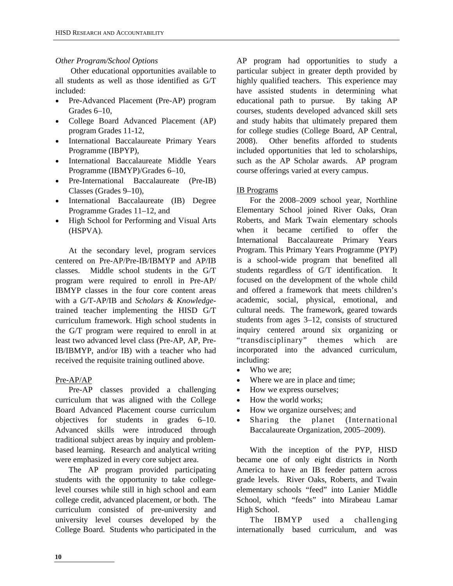#### *Other Program/School Options*

 Other educational opportunities available to all students as well as those identified as G/T included:

- Pre-Advanced Placement (Pre-AP) program Grades 6–10,
- College Board Advanced Placement (AP) program Grades 11-12,
- International Baccalaureate Primary Years Programme (IBPYP),
- International Baccalaureate Middle Years Programme (IBMYP)/Grades 6–10,
- Pre-International Baccalaureate (Pre-IB) Classes (Grades 9–10),
- International Baccalaureate (IB) Degree Programme Grades 11–12, and
- High School for Performing and Visual Arts (HSPVA).

At the secondary level, program services centered on Pre-AP/Pre-IB/IBMYP and AP/IB classes. Middle school students in the G/T program were required to enroll in Pre-AP/ IBMYP classes in the four core content areas with a G/T-AP/IB and *Scholars & Knowledge*trained teacher implementing the HISD G/T curriculum framework. High school students in the G/T program were required to enroll in at least two advanced level class (Pre-AP, AP, Pre-IB/IBMYP, and/or IB) with a teacher who had received the requisite training outlined above.

#### Pre-AP/AP

Pre-AP classes provided a challenging curriculum that was aligned with the College Board Advanced Placement course curriculum objectives for students in grades 6–10. Advanced skills were introduced through traditional subject areas by inquiry and problembased learning. Research and analytical writing were emphasized in every core subject area.

The AP program provided participating students with the opportunity to take collegelevel courses while still in high school and earn college credit, advanced placement, or both. The curriculum consisted of pre-university and university level courses developed by the College Board. Students who participated in the

AP program had opportunities to study a particular subject in greater depth provided by highly qualified teachers. This experience may have assisted students in determining what educational path to pursue. By taking AP courses, students developed advanced skill sets and study habits that ultimately prepared them for college studies (College Board, AP Central, 2008). Other benefits afforded to students included opportunities that led to scholarships, such as the AP Scholar awards. AP program course offerings varied at every campus.

#### IB Programs

For the 2008–2009 school year, Northline Elementary School joined River Oaks, Oran Roberts, and Mark Twain elementary schools when it became certified to offer the International Baccalaureate Primary Years Program. This Primary Years Programme (PYP) is a school-wide program that benefited all students regardless of G/T identification. It focused on the development of the whole child and offered a framework that meets children's academic, social, physical, emotional, and cultural needs. The framework, geared towards students from ages 3–12, consists of structured inquiry centered around six organizing or "transdisciplinary" themes which are incorporated into the advanced curriculum, including:

- Who we are:
- Where we are in place and time;
- How we express ourselves;
- How the world works;
- How we organize ourselves; and
- Sharing the planet (International Baccalaureate Organization, 2005–2009).

With the inception of the PYP, HISD became one of only eight districts in North America to have an IB feeder pattern across grade levels. River Oaks, Roberts, and Twain elementary schools "feed" into Lanier Middle School, which "feeds" into Mirabeau Lamar High School.

The IBMYP used a challenging internationally based curriculum, and was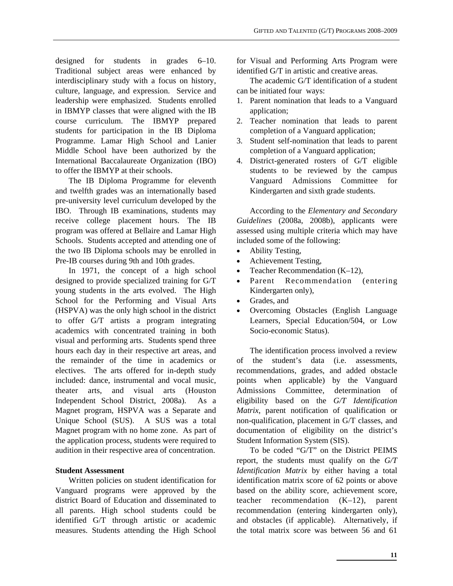designed for students in grades 6–10. Traditional subject areas were enhanced by interdisciplinary study with a focus on history, culture, language, and expression. Service and leadership were emphasized. Students enrolled in IBMYP classes that were aligned with the IB course curriculum. The IBMYP prepared students for participation in the IB Diploma Programme. Lamar High School and Lanier Middle School have been authorized by the International Baccalaureate Organization (IBO) to offer the IBMYP at their schools.

The IB Diploma Programme for eleventh and twelfth grades was an internationally based pre-university level curriculum developed by the IBO. Through IB examinations, students may receive college placement hours. The IB program was offered at Bellaire and Lamar High Schools. Students accepted and attending one of the two IB Diploma schools may be enrolled in Pre-IB courses during 9th and 10th grades.

In 1971, the concept of a high school designed to provide specialized training for G/T young students in the arts evolved. The High School for the Performing and Visual Arts (HSPVA) was the only high school in the district to offer G/T artists a program integrating academics with concentrated training in both visual and performing arts. Students spend three hours each day in their respective art areas, and the remainder of the time in academics or electives. The arts offered for in-depth study included: dance, instrumental and vocal music, theater arts, and visual arts (Houston Independent School District, 2008a). As a Magnet program, HSPVA was a Separate and Unique School (SUS). A SUS was a total Magnet program with no home zone. As part of the application process, students were required to audition in their respective area of concentration.

#### **Student Assessment**

Written policies on student identification for Vanguard programs were approved by the district Board of Education and disseminated to all parents. High school students could be identified G/T through artistic or academic measures. Students attending the High School for Visual and Performing Arts Program were identified G/T in artistic and creative areas.

The academic G/T identification of a student can be initiated four ways:

- 1. Parent nomination that leads to a Vanguard application;
- 2. Teacher nomination that leads to parent completion of a Vanguard application;
- 3. Student self-nomination that leads to parent completion of a Vanguard application;
- 4. District-generated rosters of G/T eligible students to be reviewed by the campus Vanguard Admissions Committee for Kindergarten and sixth grade students.

According to the *Elementary and Secondary Guidelines* (2008a, 2008b), applicants were assessed using multiple criteria which may have included some of the following:

- Ability Testing,
- Achievement Testing,
- Teacher Recommendation (K–12),
- Parent Recommendation (entering Kindergarten only),
- Grades, and
- Overcoming Obstacles (English Language Learners, Special Education/504, or Low Socio-economic Status).

The identification process involved a review of the student's data (i.e. assessments, recommendations, grades, and added obstacle points when applicable) by the Vanguard Admissions Committee, determination of eligibility based on the *G/T Identification Matrix*, parent notification of qualification or non-qualification, placement in G/T classes, and documentation of eligibility on the district's Student Information System (SIS).

To be coded "G/T" on the District PEIMS report, the students must qualify on the *G/T Identification Matrix* by either having a total identification matrix score of 62 points or above based on the ability score, achievement score, teacher recommendation (K–12), parent recommendation (entering kindergarten only), and obstacles (if applicable). Alternatively, if the total matrix score was between 56 and 61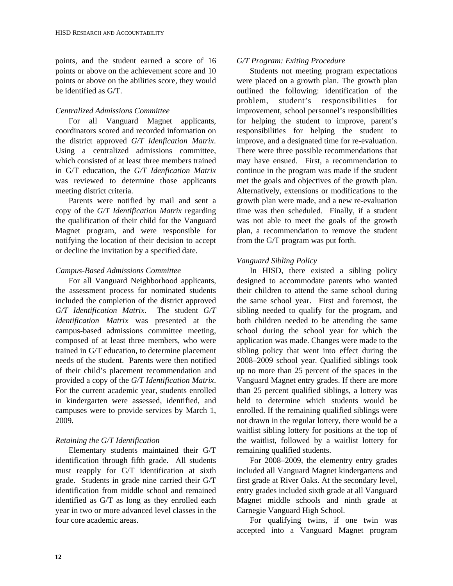points, and the student earned a score of 16 points or above on the achievement score and 10 points or above on the abilities score, they would be identified as G/T.

#### *Centralized Admissions Committee*

For all Vanguard Magnet applicants, coordinators scored and recorded information on the district approved *G/T Idenfication Matrix*. Using a centralized admissions committee, which consisted of at least three members trained in G/T education, the *G/T Idenfication Matrix*  was reviewed to determine those applicants meeting district criteria.

Parents were notified by mail and sent a copy of the *G/T Identification Matrix* regarding the qualification of their child for the Vanguard Magnet program, and were responsible for notifying the location of their decision to accept or decline the invitation by a specified date.

#### *Campus-Based Admissions Committee*

For all Vanguard Neighborhood applicants, the assessment process for nominated students included the completion of the district approved *G/T Identification Matrix*. The student *G/T Identification Matrix* was presented at the campus-based admissions committee meeting, composed of at least three members, who were trained in G/T education, to determine placement needs of the student. Parents were then notified of their child's placement recommendation and provided a copy of the *G/T Identification Matrix*. For the current academic year, students enrolled in kindergarten were assessed, identified, and campuses were to provide services by March 1, 2009.

#### *Retaining the G/T Identification*

Elementary students maintained their G/T identification through fifth grade. All students must reapply for G/T identification at sixth grade. Students in grade nine carried their G/T identification from middle school and remained identified as G/T as long as they enrolled each year in two or more advanced level classes in the four core academic areas.

#### *G/T Program: Exiting Procedure*

Students not meeting program expectations were placed on a growth plan. The growth plan outlined the following: identification of the problem, student's responsibilities for improvement, school personnel's responsibilities for helping the student to improve, parent's responsibilities for helping the student to improve, and a designated time for re-evaluation. There were three possible recommendations that may have ensued. First, a recommendation to continue in the program was made if the student met the goals and objectives of the growth plan. Alternatively, extensions or modifications to the growth plan were made, and a new re-evaluation time was then scheduled. Finally, if a student was not able to meet the goals of the growth plan, a recommendation to remove the student from the G/T program was put forth.

#### *Vanguard Sibling Policy*

In HISD, there existed a sibling policy designed to accommodate parents who wanted their children to attend the same school during the same school year. First and foremost, the sibling needed to qualify for the program, and both children needed to be attending the same school during the school year for which the application was made. Changes were made to the sibling policy that went into effect during the 2008–2009 school year. Qualified siblings took up no more than 25 percent of the spaces in the Vanguard Magnet entry grades. If there are more than 25 percent qualified siblings, a lottery was held to determine which students would be enrolled. If the remaining qualified siblings were not drawn in the regular lottery, there would be a waitlist sibling lottery for positions at the top of the waitlist, followed by a waitlist lottery for remaining qualified students.

For 2008–2009, the elementry entry grades included all Vanguard Magnet kindergartens and first grade at River Oaks. At the secondary level, entry grades included sixth grade at all Vanguard Magnet middle schools and ninth grade at Carnegie Vanguard High School.

For qualifying twins, if one twin was accepted into a Vanguard Magnet program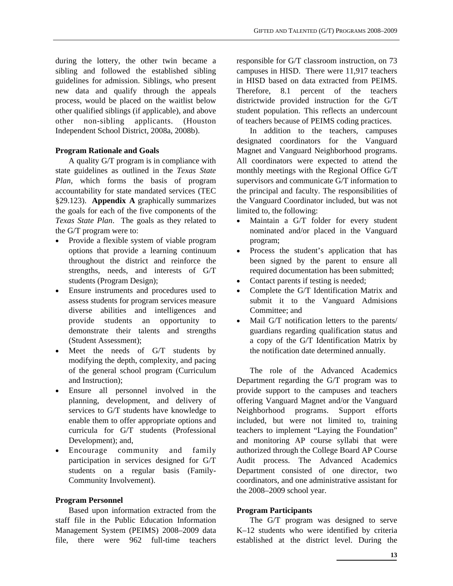during the lottery, the other twin became a sibling and followed the established sibling guidelines for admission. Siblings, who present new data and qualify through the appeals process, would be placed on the waitlist below other qualified siblings (if applicable), and above other non-sibling applicants. (Houston Independent School District, 2008a, 2008b).

#### **Program Rationale and Goals**

A quality G/T program is in compliance with state guidelines as outlined in the *Texas State Plan*, which forms the basis of program accountability for state mandated services (TEC §29.123). **Appendix A** graphically summarizes the goals for each of the five components of the *Texas State Plan*. The goals as they related to the G/T program were to:

- Provide a flexible system of viable program options that provide a learning continuum throughout the district and reinforce the strengths, needs, and interests of G/T students (Program Design);
- Ensure instruments and procedures used to assess students for program services measure diverse abilities and intelligences and provide students an opportunity to demonstrate their talents and strengths (Student Assessment);
- Meet the needs of G/T students by modifying the depth, complexity, and pacing of the general school program (Curriculum and Instruction);
- Ensure all personnel involved in the planning, development, and delivery of services to G/T students have knowledge to enable them to offer appropriate options and curricula for G/T students (Professional Development); and,
- Encourage community and family participation in services designed for G/T students on a regular basis (Family-Community Involvement).

#### **Program Personnel**

Based upon information extracted from the staff file in the Public Education Information Management System (PEIMS) 2008–2009 data file, there were 962 full-time teachers responsible for G/T classroom instruction, on 73 campuses in HISD. There were 11,917 teachers in HISD based on data extracted from PEIMS. Therefore, 8.1 percent of the teachers districtwide provided instruction for the G/T student population. This reflects an undercount of teachers because of PEIMS coding practices.

In addition to the teachers, campuses designated coordinators for the Vanguard Magnet and Vanguard Neighborhood programs. All coordinators were expected to attend the monthly meetings with the Regional Office G/T supervisors and communicate G/T information to the principal and faculty. The responsibilities of the Vanguard Coordinator included, but was not limited to, the following:

- Maintain a G/T folder for every student nominated and/or placed in the Vanguard program;
- Process the student's application that has been signed by the parent to ensure all required documentation has been submitted;
- Contact parents if testing is needed;
- Complete the G/T Identification Matrix and submit it to the Vanguard Admisions Committee; and
- Mail G/T notification letters to the parents/ guardians regarding qualification status and a copy of the G/T Identification Matrix by the notification date determined annually.

The role of the Advanced Academics Department regarding the G/T program was to provide support to the campuses and teachers offering Vanguard Magnet and/or the Vanguard Neighborhood programs. Support efforts included, but were not limited to, training teachers to implement "Laying the Foundation" and monitoring AP course syllabi that were authorized through the College Board AP Course Audit process. The Advanced Academics Department consisted of one director, two coordinators, and one administrative assistant for the 2008–2009 school year.

#### **Program Participants**

The G/T program was designed to serve K–12 students who were identified by criteria established at the district level. During the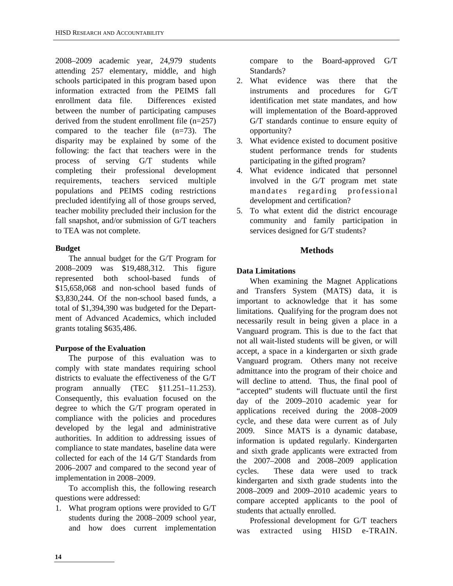2008–2009 academic year, 24,979 students attending 257 elementary, middle, and high schools participated in this program based upon information extracted from the PEIMS fall enrollment data file. Differences existed between the number of participating campuses derived from the student enrollment file (n=257) compared to the teacher file (n=73). The disparity may be explained by some of the following: the fact that teachers were in the process of serving G/T students while completing their professional development requirements, teachers serviced multiple populations and PEIMS coding restrictions precluded identifying all of those groups served, teacher mobility precluded their inclusion for the fall snapshot, and/or submission of G/T teachers to TEA was not complete.

#### **Budget**

The annual budget for the G/T Program for 2008–2009 was \$19,488,312. This figure represented both school-based funds of \$15,658,068 and non-school based funds of \$3,830,244. Of the non-school based funds, a total of \$1,394,390 was budgeted for the Department of Advanced Academics, which included grants totaling \$635,486.

#### **Purpose of the Evaluation**

The purpose of this evaluation was to comply with state mandates requiring school districts to evaluate the effectiveness of the G/T program annually (TEC §11.251–11.253). Consequently, this evaluation focused on the degree to which the G/T program operated in compliance with the policies and procedures developed by the legal and administrative authorities. In addition to addressing issues of compliance to state mandates, baseline data were collected for each of the 14 G/T Standards from 2006–2007 and compared to the second year of implementation in 2008–2009.

To accomplish this, the following research questions were addressed:

1. What program options were provided to G/T students during the 2008–2009 school year, and how does current implementation compare to the Board-approved G/T Standards?

- 2. What evidence was there that the instruments and procedures for G/T identification met state mandates, and how will implementation of the Board-approved G/T standards continue to ensure equity of opportunity?
- 3. What evidence existed to document positive student performance trends for students participating in the gifted program?
- 4. What evidence indicated that personnel involved in the G/T program met state mandates regarding professional development and certification?
- 5. To what extent did the district encourage community and family participation in services designed for G/T students?

#### **Methods**

#### **Data Limitations**

When examining the Magnet Applications and Transfers System (MATS) data, it is important to acknowledge that it has some limitations. Qualifying for the program does not necessarily result in being given a place in a Vanguard program. This is due to the fact that not all wait-listed students will be given, or will accept, a space in a kindergarten or sixth grade Vanguard program. Others many not receive admittance into the program of their choice and will decline to attend. Thus, the final pool of "accepted" students will fluctuate until the first day of the 2009–2010 academic year for applications received during the 2008–2009 cycle, and these data were current as of July 2009. Since MATS is a dynamic database, information is updated regularly. Kindergarten and sixth grade applicants were extracted from the 2007–2008 and 2008–2009 application cycles. These data were used to track kindergarten and sixth grade students into the 2008–2009 and 2009–2010 academic years to compare accepted applicants to the pool of students that actually enrolled.

Professional development for G/T teachers was extracted using HISD e-TRAIN.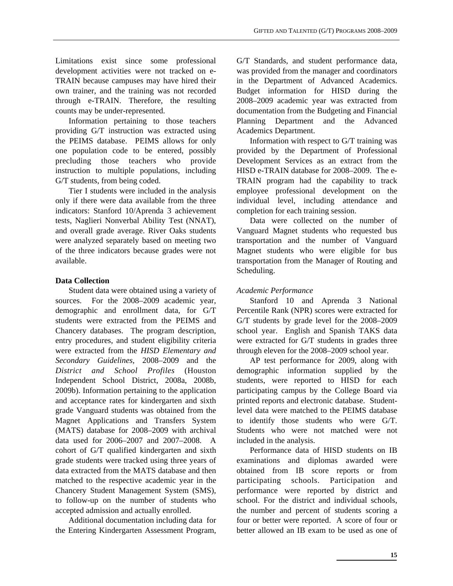Limitations exist since some professional development activities were not tracked on e-TRAIN because campuses may have hired their own trainer, and the training was not recorded through e-TRAIN. Therefore, the resulting counts may be under-represented.

Information pertaining to those teachers providing G/T instruction was extracted using the PEIMS database. PEIMS allows for only one population code to be entered, possibly precluding those teachers who provide instruction to multiple populations, including G/T students, from being coded.

Tier I students were included in the analysis only if there were data available from the three indicators: Stanford 10/Aprenda 3 achievement tests, Naglieri Nonverbal Ability Test (NNAT), and overall grade average. River Oaks students were analyzed separately based on meeting two of the three indicators because grades were not available.

#### **Data Collection**

Student data were obtained using a variety of sources. For the 2008–2009 academic year, demographic and enrollment data, for G/T students were extracted from the PEIMS and Chancery databases. The program description, entry procedures, and student eligibility criteria were extracted from the *HISD Elementary and Secondary Guidelines,* 2008–2009 and the *District and School Profiles* (Houston Independent School District, 2008a, 2008b, 2009b). Information pertaining to the application and acceptance rates for kindergarten and sixth grade Vanguard students was obtained from the Magnet Applications and Transfers System (MATS) database for 2008–2009 with archival data used for 2006–2007 and 2007–2008. A cohort of G/T qualified kindergarten and sixth grade students were tracked using three years of data extracted from the MATS database and then matched to the respective academic year in the Chancery Student Management System (SMS), to follow-up on the number of students who accepted admission and actually enrolled.

Additional documentation including data for the Entering Kindergarten Assessment Program,

G/T Standards, and student performance data, was provided from the manager and coordinators in the Department of Advanced Academics. Budget information for HISD during the 2008–2009 academic year was extracted from documentation from the Budgeting and Financial Planning Department and the Advanced Academics Department.

Information with respect to G/T training was provided by the Department of Professional Development Services as an extract from the HISD e-TRAIN database for 2008–2009. The e-TRAIN program had the capability to track employee professional development on the individual level, including attendance and completion for each training session.

Data were collected on the number of Vanguard Magnet students who requested bus transportation and the number of Vanguard Magnet students who were eligible for bus transportation from the Manager of Routing and Scheduling.

#### *Academic Performance*

Stanford 10 and Aprenda 3 National Percentile Rank (NPR) scores were extracted for G/T students by grade level for the 2008–2009 school year. English and Spanish TAKS data were extracted for G/T students in grades three through eleven for the 2008–2009 school year.

AP test performance for 2009, along with demographic information supplied by the students, were reported to HISD for each participating campus by the College Board via printed reports and electronic database. Studentlevel data were matched to the PEIMS database to identify those students who were G/T. Students who were not matched were not included in the analysis.

Performance data of HISD students on IB examinations and diplomas awarded were obtained from IB score reports or from participating schools. Participation and performance were reported by district and school. For the district and individual schools, the number and percent of students scoring a four or better were reported. A score of four or better allowed an IB exam to be used as one of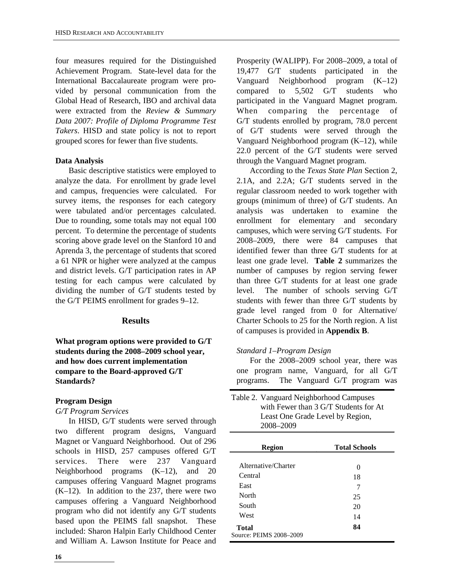four measures required for the Distinguished Achievement Program. State-level data for the International Baccalaureate program were provided by personal communication from the Global Head of Research, IBO and archival data were extracted from the *Review & Summary Data 2007: Profile of Diploma Programme Test Takers*. HISD and state policy is not to report grouped scores for fewer than five students.

#### **Data Analysis**

Basic descriptive statistics were employed to analyze the data. For enrollment by grade level and campus, frequencies were calculated. For survey items, the responses for each category were tabulated and/or percentages calculated. Due to rounding, some totals may not equal 100 percent. To determine the percentage of students scoring above grade level on the Stanford 10 and Aprenda 3, the percentage of students that scored a 61 NPR or higher were analyzed at the campus and district levels. G/T participation rates in AP testing for each campus were calculated by dividing the number of G/T students tested by the G/T PEIMS enrollment for grades 9–12.

#### **Results**

**What program options were provided to G/T students during the 2008–2009 school year, and how does current implementation compare to the Board-approved G/T Standards?** 

#### **Program Design**

*G/T Program Services* 

In HISD, G/T students were served through two different program designs, Vanguard Magnet or Vanguard Neighborhood. Out of 296 schools in HISD, 257 campuses offered G/T services. There were 237 Vanguard Neighborhood programs (K–12), and 20 campuses offering Vanguard Magnet programs (K–12). In addition to the 237, there were two campuses offering a Vanguard Neighborhood program who did not identify any G/T students based upon the PEIMS fall snapshot. These included: Sharon Halpin Early Childhood Center and William A. Lawson Institute for Peace and Prosperity (WALIPP). For 2008–2009, a total of 19,477 G/T students participated in the Vanguard Neighborhood program (K–12) compared to 5,502 G/T students who participated in the Vanguard Magnet program. When comparing the percentage of G/T students enrolled by program, 78.0 percent of G/T students were served through the Vanguard Neighborhood program (K–12), while 22.0 percent of the G/T students were served through the Vanguard Magnet program.

According to the *Texas State Plan* Section 2, 2.1A, and 2.2A; G/T students served in the regular classroom needed to work together with groups (minimum of three) of G/T students. An analysis was undertaken to examine the enrollment for elementary and secondary campuses, which were serving G/T students. For 2008–2009, there were 84 campuses that identified fewer than three G/T students for at least one grade level. **Table 2** summarizes the number of campuses by region serving fewer than three G/T students for at least one grade level. The number of schools serving G/T students with fewer than three G/T students by grade level ranged from 0 for Alternative/ Charter Schools to 25 for the North region. A list of campuses is provided in **Appendix B**.

#### *Standard 1–Program Design*

For the 2008–2009 school year, there was one program name, Vanguard, for all G/T programs. The Vanguard G/T program was

| Table 2. Vanguard Neighborhood Campuses |
|-----------------------------------------|
| with Fewer than 3 G/T Students for At   |
| Least One Grade Level by Region,        |
| 2008-2009                               |

| <b>Region</b>           | <b>Total Schools</b> |
|-------------------------|----------------------|
|                         |                      |
| Alternative/Charter     | 0                    |
| Central                 | 18                   |
| East                    | 7                    |
| North                   | 25                   |
| South                   | 20                   |
| West                    | 14                   |
| <b>Total</b>            | 84                   |
| Source: PEIMS 2008-2009 |                      |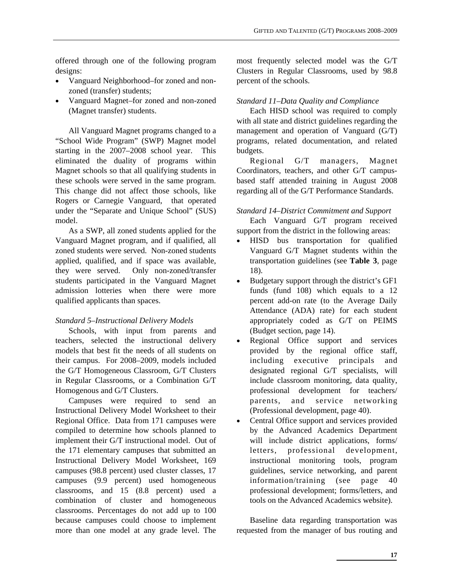offered through one of the following program designs:

- Vanguard Neighborhood–for zoned and nonzoned (transfer) students;
- Vanguard Magnet–for zoned and non-zoned (Magnet transfer) students.

All Vanguard Magnet programs changed to a "School Wide Program" (SWP) Magnet model starting in the 2007–2008 school year. This eliminated the duality of programs within Magnet schools so that all qualifying students in these schools were served in the same program. This change did not affect those schools, like Rogers or Carnegie Vanguard, that operated under the "Separate and Unique School" (SUS) model.

As a SWP, all zoned students applied for the Vanguard Magnet program, and if qualified, all zoned students were served. Non-zoned students applied, qualified, and if space was available, they were served. Only non-zoned/transfer students participated in the Vanguard Magnet admission lotteries when there were more qualified applicants than spaces.

#### *Standard 5–Instructional Delivery Models*

Schools, with input from parents and teachers, selected the instructional delivery models that best fit the needs of all students on their campus. For 2008–2009, models included the G/T Homogeneous Classroom, G/T Clusters in Regular Classrooms, or a Combination G/T Homogenous and G/T Clusters.

Campuses were required to send an Instructional Delivery Model Worksheet to their Regional Office. Data from 171 campuses were compiled to determine how schools planned to implement their G/T instructional model. Out of the 171 elementary campuses that submitted an Instructional Delivery Model Worksheet, 169 campuses (98.8 percent) used cluster classes, 17 campuses (9.9 percent) used homogeneous classrooms, and 15 (8.8 percent) used a combination of cluster and homogeneous classrooms. Percentages do not add up to 100 because campuses could choose to implement more than one model at any grade level. The most frequently selected model was the G/T Clusters in Regular Classrooms, used by 98.8 percent of the schools.

#### *Standard 11–Data Quality and Compliance*

Each HISD school was required to comply with all state and district guidelines regarding the management and operation of Vanguard (G/T) programs, related documentation, and related budgets.

Regional G/T managers, Magnet Coordinators, teachers, and other G/T campusbased staff attended training in August 2008 regarding all of the G/T Performance Standards.

#### *Standard 14–District Commitment and Support*

Each Vanguard G/T program received support from the district in the following areas:

- HISD bus transportation for qualified Vanguard G/T Magnet students within the transportation guidelines (see **Table 3**, page 18).
- Budgetary support through the district's GF1 funds (fund 108) which equals to a 12 percent add-on rate (to the Average Daily Attendance (ADA) rate) for each student appropriately coded as G/T on PEIMS (Budget section, page 14).
- Regional Office support and services provided by the regional office staff, including executive principals and designated regional G/T specialists, will include classroom monitoring, data quality, professional development for teachers/ parents, and service networking (Professional development, page 40).
- Central Office support and services provided by the Advanced Academics Department will include district applications, forms/ letters, professional development, instructional monitoring tools, program guidelines, service networking, and parent information/training (see page 40 professional development; forms/letters, and tools on the Advanced Academics website).

Baseline data regarding transportation was requested from the manager of bus routing and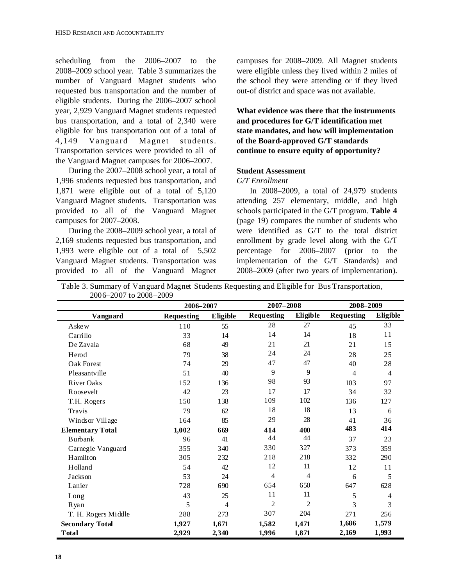scheduling from the 2006–2007 to the 2008–2009 school year. Table 3 summarizes the number of Vanguard Magnet students who requested bus transportation and the number of eligible students. During the 2006–2007 school year, 2,929 Vanguard Magnet students requested bus transportation, and a total of 2,340 were eligible for bus transportation out of a total of 4,149 Vanguard Magnet students. Transportation services were provided to all of the Vanguard Magnet campuses for 2006–2007.

During the 2007–2008 school year, a total of 1,996 students requested bus transportation, and 1,871 were eligible out of a total of 5,120 Vanguard Magnet students. Transportation was provided to all of the Vanguard Magnet campuses for 2007–2008.

During the 2008–2009 school year, a total of 2,169 students requested bus transportation, and 1,993 were eligible out of a total of 5,502 Vanguard Magnet students. Transportation was provided to all of the Vanguard Magnet campuses for 2008–2009. All Magnet students were eligible unless they lived within 2 miles of the school they were attending or if they lived out-of district and space was not available.

**What evidence was there that the instruments and procedures for G/T identification met state mandates, and how will implementation of the Board-approved G/T standards continue to ensure equity of opportunity?** 

#### **Student Assessment**

*G/T Enrollment* 

In 2008–2009, a total of 24,979 students attending 257 elementary, middle, and high schools participated in the G/T program. **Table 4** (page 19) compares the number of students who were identified as G/T to the total district enrollment by grade level along with the G/T percentage for 2006–2007 (prior to the implementation of the G/T Standards) and 2008–2009 (after two years of implementation).

Table 3. Summary of Vanguard Magnet Students Requesting and Eligible for Bus Transportation, 2006–2007 to 2008–2009

|                         |                   | 2006-2007       |                   | $2007 - 2008$  | 2008-2009         |                 |  |
|-------------------------|-------------------|-----------------|-------------------|----------------|-------------------|-----------------|--|
| Vanguard                | <b>Requesting</b> | <b>Eligible</b> | <b>Requesting</b> | Eligible       | <b>Requesting</b> | <b>Eligible</b> |  |
| A ske w                 | 110               | 55              | 28                | 27             | 45                | 33              |  |
| Carrillo                | 33                | 14              | 14                | 14             | 18                | 11              |  |
| De Zavala               | 68                | 49              | 21                | 21             | 21                | 15              |  |
| Herod                   | 79                | 38              | 24                | 24             | 28                | 25              |  |
| Oak Forest              | 74                | 29              | 47                | 47             | 40                | 28              |  |
| Pleasantville           | 51                | 40              | 9                 | 9              | 4                 | $\overline{4}$  |  |
| <b>River Oaks</b>       | 152               | 136             | 98                | 93             | 103               | 97              |  |
| Roosevelt               | 42                | 23              | 17                | 17             | 34                | 32              |  |
| T.H. Rogers             | 150               | 138             | 109               | 102            | 136               | 127             |  |
| Travis                  | 79                | 62              | 18                | 18             | 13                | 6               |  |
| Windsor Village         | 164               | 85              | 29                | 28             | 41                | 36              |  |
| <b>Elementary Total</b> | 1,002             | 669             | 414               | 400            | 483               | 414             |  |
| <b>Burbank</b>          | 96                | 41              | 44                | 44             | 37                | 23              |  |
| Carnegie Vanguard       | 355               | 340             | 330               | 327            | 373               | 359             |  |
| Hamilton                | 305               | 232             | 218               | 218            | 332               | 290             |  |
| Holland                 | 54                | 42              | 12                | 11             | 12                | 11              |  |
| <b>Jackson</b>          | 53                | 24              | 4                 | 4              | 6                 | 5               |  |
| Lanier                  | 728               | 690             | 654               | 650            | 647               | 628             |  |
| Long                    | 43                | 25              | 11                | 11             | 5                 | 4               |  |
| Ryan                    | 5                 | 4               | $\overline{c}$    | $\overline{2}$ | 3                 | 3               |  |
| T. H. Rogers Middle     | 288               | 273             | 307               | 204            | 271               | 256             |  |
| <b>Secondary Total</b>  | 1,927             | 1,671           | 1,582             | 1,471          | 1,686             | 1,579           |  |
| <b>Total</b>            | 2,929             | 2,340           | 1,996             | 1,871          | 2,169             | 1,993           |  |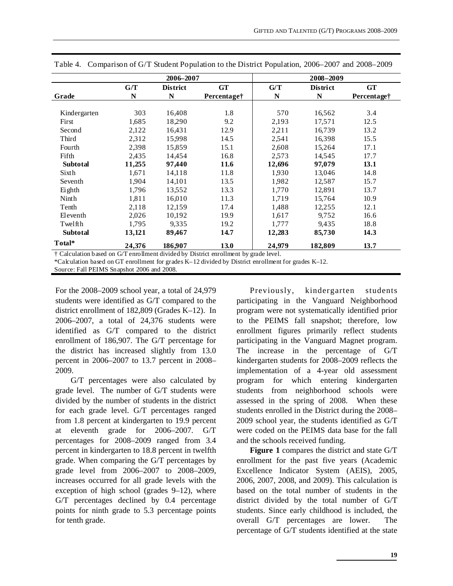|                 |        | 2006-2007       |                                                                                      | 2008-2009 |                 |                         |  |  |
|-----------------|--------|-----------------|--------------------------------------------------------------------------------------|-----------|-----------------|-------------------------|--|--|
|                 | G/T    | <b>District</b> | <b>GT</b>                                                                            | G/T       | <b>District</b> | <b>GT</b>               |  |  |
| Grade           | N      | N               | Percentage <sup>†</sup>                                                              | N         | N               | Percentage <sup>†</sup> |  |  |
|                 |        |                 |                                                                                      |           |                 |                         |  |  |
| Kindergarten    | 303    | 16,408          | 1.8                                                                                  | 570       | 16,562          | 3.4                     |  |  |
| First           | 1,685  | 18,290          | 9.2                                                                                  | 2,193     | 17,571          | 12.5                    |  |  |
| Second          | 2,122  | 16,431          | 12.9                                                                                 | 2,211     | 16,739          | 13.2                    |  |  |
| Third           | 2,312  | 15,998          | 14.5                                                                                 | 2,541     | 16,398          | 15.5                    |  |  |
| Fourth          | 2,398  | 15,859          | 15.1                                                                                 | 2,608     | 15,264          | 17.1                    |  |  |
| Fifth           | 2,435  | 14,454          | 16.8                                                                                 | 2,573     | 14,545          | 17.7                    |  |  |
| <b>Subtotal</b> | 11,255 | 97,440          | 11.6                                                                                 | 12,696    | 97,079          | 13.1                    |  |  |
| Sixth           | 1,671  | 14,118          | 11.8                                                                                 | 1.930     | 13,046          | 14.8                    |  |  |
| Seventh         | 1,904  | 14,101          | 13.5                                                                                 | 1,982     | 12,587          | 15.7                    |  |  |
| Eighth          | 1,796  | 13,552          | 13.3                                                                                 | 1,770     | 12,891          | 13.7                    |  |  |
| Ninth           | 1,811  | 16,010          | 11.3                                                                                 | 1,719     | 15,764          | 10.9                    |  |  |
| Tenth           | 2,118  | 12,159          | 17.4                                                                                 | 1,488     | 12,255          | 12.1                    |  |  |
| Eleventh        | 2,026  | 10,192          | 19.9                                                                                 | 1,617     | 9.752           | 16.6                    |  |  |
| Twelfth         | 1,795  | 9,335           | 19.2                                                                                 | 1,777     | 9,435           | 18.8                    |  |  |
| Subtotal        | 13,121 | 89,467          | 14.7                                                                                 | 12,283    | 85,730          | 14.3                    |  |  |
| Total*          | 24,376 | 186,907         | 13.0                                                                                 | 24,979    | 182,809         | 13.7                    |  |  |
|                 |        |                 | † Calculation based on G/T enrollment divided by District enrollment by grade level. |           |                 |                         |  |  |

Table 4. Comparison of G/T Student Population to the District Population, 2006–2007 and 2008–2009

\*Calculation based on GT enrollment for grades K–12 divided by District enrollment for grades K–12.

Source: Fall PEIMS Snapshot 2006 and 2008.

For the 2008–2009 school year, a total of 24,979 students were identified as G/T compared to the district enrollment of 182,809 (Grades K–12). In 2006–2007, a total of 24,376 students were identified as G/T compared to the district enrollment of 186,907. The G/T percentage for the district has increased slightly from 13.0 percent in 2006–2007 to 13.7 percent in 2008– 2009.

 G/T percentages were also calculated by grade level. The number of G/T students were divided by the number of students in the district for each grade level. G/T percentages ranged from 1.8 percent at kindergarten to 19.9 percent at eleventh grade for 2006–2007. G/T percentages for 2008–2009 ranged from 3.4 percent in kindergarten to 18.8 percent in twelfth grade. When comparing the G/T percentages by grade level from 2006–2007 to 2008–2009, increases occurred for all grade levels with the exception of high school (grades 9–12), where G/T percentages declined by 0.4 percentage points for ninth grade to 5.3 percentage points for tenth grade.

Previously, kindergarten students participating in the Vanguard Neighborhood program were not systematically identified prior to the PEIMS fall snapshot; therefore, low enrollment figures primarily reflect students participating in the Vanguard Magnet program. The increase in the percentage of G/T kindergarten students for 2008–2009 reflects the implementation of a 4-year old assessment program for which entering kindergarten students from neighborhood schools were assessed in the spring of 2008. When these students enrolled in the District during the 2008– 2009 school year, the students identified as G/T were coded on the PEIMS data base for the fall and the schools received funding.

**Figure 1** compares the district and state G/T enrollment for the past five years (Academic Excellence Indicator System (AEIS), 2005, 2006, 2007, 2008, and 2009). This calculation is based on the total number of students in the district divided by the total number of G/T students. Since early childhood is included, the overall G/T percentages are lower. The percentage of G/T students identified at the state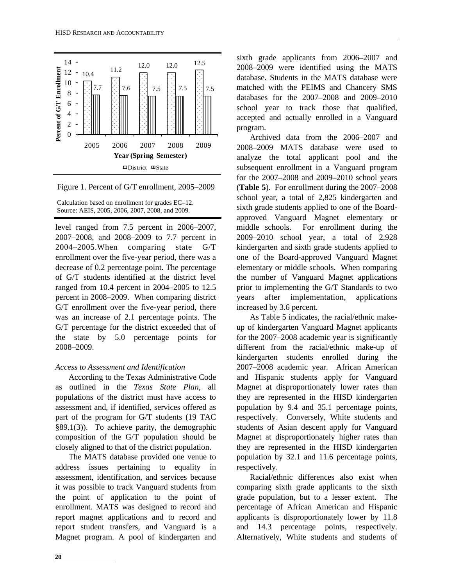

Figure 1. Percent of G/T enrollment, 2005–2009

Calculation based on enrollment for grades EC–12. Source: AEIS, 2005, 2006, 2007, 2008, and 2009.

level ranged from 7.5 percent in 2006–2007, 2007–2008, and 2008–2009 to 7.7 percent in 2004–2005.When comparing state G/T enrollment over the five-year period, there was a decrease of 0.2 percentage point. The percentage of G/T students identified at the district level ranged from 10.4 percent in 2004–2005 to 12.5 percent in 2008–2009. When comparing district G/T enrollment over the five-year period, there was an increase of 2.1 percentage points. The G/T percentage for the district exceeded that of the state by 5.0 percentage points for 2008–2009.

#### *Access to Assessment and Identification*

According to the Texas Administrative Code as outlined in the *Texas State Plan*, all populations of the district must have access to assessment and, if identified, services offered as part of the program for G/T students (19 TAC §89.1(3)). To achieve parity, the demographic composition of the G/T population should be closely aligned to that of the district population.

The MATS database provided one venue to address issues pertaining to equality in assessment, identification, and services because it was possible to track Vanguard students from the point of application to the point of enrollment. MATS was designed to record and report magnet applications and to record and report student transfers, and Vanguard is a Magnet program. A pool of kindergarten and sixth grade applicants from 2006–2007 and 2008–2009 were identified using the MATS database. Students in the MATS database were matched with the PEIMS and Chancery SMS databases for the 2007–2008 and 2009–2010 school year to track those that qualified, accepted and actually enrolled in a Vanguard program.

Archived data from the 2006–2007 and 2008–2009 MATS database were used to analyze the total applicant pool and the subsequent enrollment in a Vanguard program for the 2007–2008 and 2009–2010 school years (**Table 5**). For enrollment during the 2007–2008 school year, a total of 2,825 kindergarten and sixth grade students applied to one of the Boardapproved Vanguard Magnet elementary or middle schools. For enrollment during the 2009–2010 school year, a total of 2,928 kindergarten and sixth grade students applied to one of the Board-approved Vanguard Magnet elementary or middle schools. When comparing the number of Vanguard Magnet applications prior to implementing the G/T Standards to two years after implementation, applications increased by 3.6 percent.

As Table 5 indicates, the racial/ethnic makeup of kindergarten Vanguard Magnet applicants for the 2007–2008 academic year is significantly different from the racial/ethnic make-up of kindergarten students enrolled during the 2007–2008 academic year. African American and Hispanic students apply for Vanguard Magnet at disproportionately lower rates than they are represented in the HISD kindergarten population by 9.4 and 35.1 percentage points, respectively. Conversely, White students and students of Asian descent apply for Vanguard Magnet at disproportionately higher rates than they are represented in the HISD kindergarten population by 32.1 and 11.6 percentage points, respectively.

Racial/ethnic differences also exist when comparing sixth grade applicants to the sixth grade population, but to a lesser extent. The percentage of African American and Hispanic applicants is disproportionately lower by 11.8 and 14.3 percentage points, respectively. Alternatively, White students and students of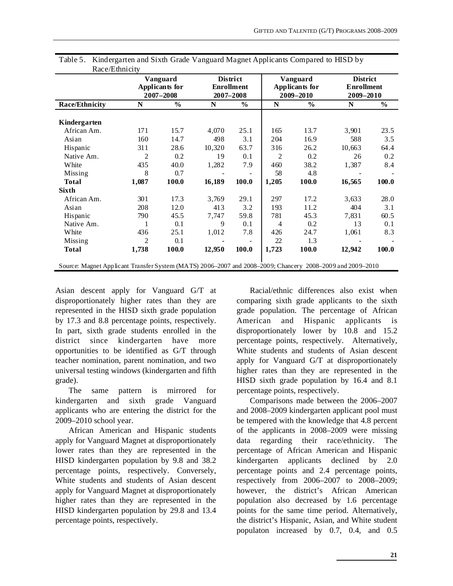|                       |       | Vanguard<br>Applicants for<br>$2007 - 2008$ |        | <b>District</b><br><b>Enrollment</b><br>2007-2008 |                | Vanguard<br>Applicants for<br>$2009 - 2010$ | <b>District</b><br><b>Enrollment</b><br>2009-2010 |               |  |
|-----------------------|-------|---------------------------------------------|--------|---------------------------------------------------|----------------|---------------------------------------------|---------------------------------------------------|---------------|--|
| <b>Race/Ethnicity</b> | N     | $\frac{0}{0}$                               | N      | $\frac{6}{6}$                                     | N              | $\frac{0}{0}$                               | N                                                 | $\frac{6}{6}$ |  |
| Kindergarten          |       |                                             |        |                                                   |                |                                             |                                                   |               |  |
| African Am.           | 171   | 15.7                                        | 4,070  | 25.1                                              | 165            | 13.7                                        | 3,901                                             | 23.5          |  |
| Asian                 | 160   | 14.7                                        | 498    | 3.1                                               | 204            | 16.9                                        | 588                                               | 3.5           |  |
| Hispanic              | 311   | 28.6                                        | 10,320 | 63.7                                              | 316            | 26.2                                        | 10,663                                            | 64.4          |  |
| Native Am.            | 2     | 0.2                                         | 19     | 0.1                                               | 2              | 0.2                                         | 26                                                | 0.2           |  |
| White                 | 435   | 40.0                                        | 1,282  | 7.9                                               | 460            | 38.2                                        | 1,387                                             | 8.4           |  |
| Missing               | 8     | 0.7                                         |        |                                                   | 58             | 4.8                                         |                                                   |               |  |
| <b>Total</b>          | 1,087 | 100.0                                       | 16,189 | 100.0                                             | 1,205          | 100.0                                       | 16,565                                            | 100.0         |  |
| <b>Sixth</b>          |       |                                             |        |                                                   |                |                                             |                                                   |               |  |
| African Am.           | 301   | 17.3                                        | 3,769  | 29.1                                              | 297            | 17.2                                        | 3,633                                             | 28.0          |  |
| Asian                 | 208   | 12.0                                        | 413    | 3.2                                               | 193            | 11.2                                        | 404                                               | 3.1           |  |
| Hispanic              | 790   | 45.5                                        | 7,747  | 59.8                                              | 781            | 45.3                                        | 7,831                                             | 60.5          |  |
| Native Am.            | 1     | 0.1                                         | 9      | 0.1                                               | $\overline{4}$ | 0.2                                         | 13                                                | 0.1           |  |
| White                 | 436   | 25.1                                        | 1,012  | 7.8                                               | 426            | 24.7                                        | 1,061                                             | 8.3           |  |
| Missing               | 2     | 0.1                                         |        |                                                   | 22             | 1.3                                         |                                                   |               |  |
| <b>Total</b>          | 1,738 | 100.0                                       | 12,950 | 100.0                                             | 1,723          | 100.0                                       | 12,942                                            | 100.0         |  |

Table 5. Kindergarten and Sixth Grade Vanguard Magnet Applicants Compared to HISD by  $\mathbf{D}_{\text{max}}$  (Ethnicity)

Asian descent apply for Vanguard G/T at disproportionately higher rates than they are represented in the HISD sixth grade population by 17.3 and 8.8 percentage points, respectively. In part, sixth grade students enrolled in the district since kindergarten have more opportunities to be identified as G/T through teacher nomination, parent nomination, and two universal testing windows (kindergarten and fifth grade).

The same pattern is mirrored for kindergarten and sixth grade Vanguard applicants who are entering the district for the 2009–2010 school year.

African American and Hispanic students apply for Vanguard Magnet at disproportionately lower rates than they are represented in the HISD kindergarten population by 9.8 and 38.2 percentage points, respectively. Conversely, White students and students of Asian descent apply for Vanguard Magnet at disproportionately higher rates than they are represented in the HISD kindergarten population by 29.8 and 13.4 percentage points, respectively.

Racial/ethnic differences also exist when comparing sixth grade applicants to the sixth grade population. The percentage of African American and Hispanic applicants is disproportionately lower by 10.8 and 15.2 percentage points, respectively. Alternatively, White students and students of Asian descent apply for Vanguard G/T at disproportionately higher rates than they are represented in the HISD sixth grade population by 16.4 and 8.1 percentage points, respectively.

Comparisons made between the 2006–2007 and 2008–2009 kindergarten applicant pool must be tempered with the knowledge that 4.8 percent of the applicants in 2008–2009 were missing data regarding their race/ethnicity. The percentage of African American and Hispanic kindergarten applicants declined by 2.0 percentage points and 2.4 percentage points, respectively from 2006–2007 to 2008–2009; however, the district's African American population also decreased by 1.6 percentage points for the same time period. Alternatively, the district's Hispanic, Asian, and White student populaton increased by 0.7, 0.4, and 0.5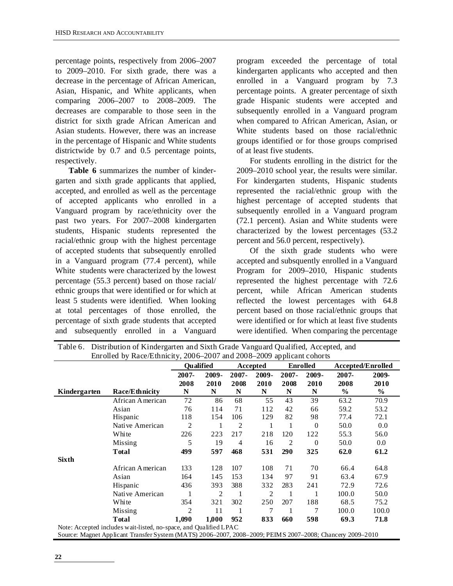percentage points, respectively from 2006–2007 to 2009–2010. For sixth grade, there was a decrease in the percentage of African American, Asian, Hispanic, and White applicants, when comparing 2006–2007 to 2008–2009. The decreases are comparable to those seen in the district for sixth grade African American and Asian students. However, there was an increase in the percentage of Hispanic and White students districtwide by 0.7 and 0.5 percentage points, respectively.

**Table 6** summarizes the number of kindergarten and sixth grade applicants that applied, accepted, and enrolled as well as the percentage of accepted applicants who enrolled in a Vanguard program by race/ethnicity over the past two years. For 2007–2008 kindergarten students, Hispanic students represented the racial/ethnic group with the highest percentage of accepted students that subsequently enrolled in a Vanguard program (77.4 percent), while White students were characterized by the lowest percentage (55.3 percent) based on those racial/ ethnic groups that were identified or for which at least 5 students were identified. When looking at total percentages of those enrolled, the percentage of sixth grade students that accepted and subsequently enrolled in a Vanguard program exceeded the percentage of total kindergarten applicants who accepted and then enrolled in a Vanguard program by 7.3 percentage points. A greater percentage of sixth grade Hispanic students were accepted and subsequently enrolled in a Vanguard program when compared to African American, Asian, or White students based on those racial/ethnic groups identified or for those groups comprised of at least five students.

For students enrolling in the district for the 2009–2010 school year, the results were similar. For kindergarten students, Hispanic students represented the racial/ethnic group with the highest percentage of accepted students that subsequently enrolled in a Vanguard program (72.1 percent). Asian and White students were characterized by the lowest percentages (53.2 percent and 56.0 percent, respectively).

Of the sixth grade students who were accepted and subsquently enrolled in a Vanguard Program for 2009–2010, Hispanic students represented the highest percentage with 72.6 percent, while African American students reflected the lowest percentages with 64.8 percent based on those racial/ethnic groups that were identified or for which at least five students were identified. When comparing the percentage

|              |                                                                   | <b>Qualified</b> |               |                  | Accepted      |                  | <b>Enrolled</b> | <b>Accepted/Enrolled</b> |               |
|--------------|-------------------------------------------------------------------|------------------|---------------|------------------|---------------|------------------|-----------------|--------------------------|---------------|
|              |                                                                   | 2007-<br>2008    | 2009-<br>2010 | $2007 -$<br>2008 | 2009-<br>2010 | $2007 -$<br>2008 | 2009-<br>2010   | 2007-<br>2008            | 2009-<br>2010 |
| Kindergarten | Race/Ethnicity                                                    | N                | N             | N                | N             | N                | N               | $\%$                     | $\%$          |
|              | African American                                                  | 72               | 86            | 68               | 55            | 43               | 39              | 63.2                     | 70.9          |
|              | Asian                                                             | 76               | 114           | 71               | 112           | 42               | 66              | 59.2                     | 53.2          |
|              | Hispanic                                                          | 118              | 154           | 106              | 129           | 82               | 98              | 77.4                     | 72.1          |
|              | Native American                                                   | 2                | 1             | 2                |               |                  | $\theta$        | 50.0                     | 0.0           |
|              | White                                                             | 226              | 223           | 217              | 218           | 120              | 122             | 55.3                     | 56.0          |
|              | Missing                                                           | 5                | 19            | 4                | 16            | 2                | $\theta$        | 50.0                     | $0.0\,$       |
|              | <b>T</b> otal                                                     | 499              | 597           | 468              | 531           | 290              | 325             | 62.0                     | 61.2          |
| <b>Sixth</b> |                                                                   |                  |               |                  |               |                  |                 |                          |               |
|              | African American                                                  | 133              | 128           | 107              | 108           | 71               | 70              | 66.4                     | 64.8          |
|              | Asian                                                             | 164              | 145           | 153              | 134           | 97               | 91              | 63.4                     | 67.9          |
|              | Hispanic                                                          | 436              | 393           | 388              | 332           | 283              | 241             | 72.9                     | 72.6          |
|              | Native American                                                   |                  | 2             | 1                | 2             | -1               | 1               | 100.0                    | 50.0          |
|              | White                                                             | 354              | 321           | 302              | 250           | 207              | 188             | 68.5                     | 75.2          |
|              | Missing                                                           | 2                | 11            | 1                | 7             |                  | 7               | 100.0                    | 100.0         |
|              | Total                                                             | 1,090            | 1,000         | 952              | 833           | 660              | 598             | 69.3                     | 71.8          |
|              | Note: Accepted includes wait-listed, no-space, and Qualified LPAC |                  |               |                  |               |                  |                 |                          |               |

Table 6. Distribution of Kindergarten and Sixth Grade Vanguard Qualified, Accepted, and Enrolled by Race/Ethnicity, 2006–2007 and 2008–2009 applicant cohorts

Source: Magnet Applicant Transfer System (MATS) 2006–2007, 2008–2009; PEIMS 2007–2008; Chancery 2009–2010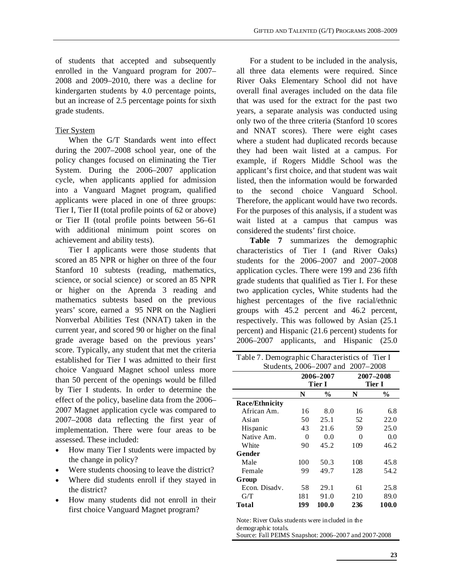of students that accepted and subsequently enrolled in the Vanguard program for 2007– 2008 and 2009–2010, there was a decline for kindergarten students by 4.0 percentage points, but an increase of 2.5 percentage points for sixth grade students.

#### Tier System

When the G/T Standards went into effect during the 2007–2008 school year, one of the policy changes focused on eliminating the Tier System. During the 2006–2007 application cycle, when applicants applied for admission into a Vanguard Magnet program, qualified applicants were placed in one of three groups: Tier I, Tier II (total profile points of 62 or above) or Tier II (total profile points between 56–61 with additional minimum point scores on achievement and ability tests).

Tier I applicants were those students that scored an 85 NPR or higher on three of the four Stanford 10 subtests (reading, mathematics, science, or social science) or scored an 85 NPR or higher on the Aprenda 3 reading and mathematics subtests based on the previous years' score, earned a 95 NPR on the Naglieri Nonverbal Abilities Test (NNAT) taken in the current year, and scored 90 or higher on the final grade average based on the previous years' score. Typically, any student that met the criteria established for Tier I was admitted to their first choice Vanguard Magnet school unless more than 50 percent of the openings would be filled by Tier I students. In order to determine the effect of the policy, baseline data from the 2006– 2007 Magnet application cycle was compared to 2007–2008 data reflecting the first year of implementation. There were four areas to be assessed. These included:

- How many Tier I students were impacted by the change in policy?
- Were students choosing to leave the district?
- Where did students enroll if they stayed in the district?
- How many students did not enroll in their first choice Vanguard Magnet program?

For a student to be included in the analysis, all three data elements were required. Since River Oaks Elementary School did not have overall final averages included on the data file that was used for the extract for the past two years, a separate analysis was conducted using only two of the three criteria (Stanford 10 scores and NNAT scores). There were eight cases where a student had duplicated records because they had been wait listed at a campus. For example, if Rogers Middle School was the applicant's first choice, and that student was wait listed, then the information would be forwarded to the second choice Vanguard School. Therefore, the applicant would have two records. For the purposes of this analysis, if a student was wait listed at a campus that campus was considered the students' first choice.

**Table 7** summarizes the demographic characteristics of Tier I (and River Oaks) students for the 2006–2007 and 2007–2008 application cycles. There were 199 and 236 fifth grade students that qualified as Tier I. For these two application cycles, White students had the highest percentages of the five racial/ethnic groups with 45.2 percent and 46.2 percent, respectively. This was followed by Asian (25.1 percent) and Hispanic (21.6 percent) students for 2006–2007 applicants, and Hispanic (25.0

| Table 7. Demographic Characteristics of Tier I |     |                |     |               |  |  |  |  |  |
|------------------------------------------------|-----|----------------|-----|---------------|--|--|--|--|--|
| Students, 2006–2007 and 2007–2008              |     |                |     |               |  |  |  |  |  |
|                                                |     | 2006-2007      |     | 2007-2008     |  |  |  |  |  |
|                                                |     | Tier I         |     | Tier I        |  |  |  |  |  |
|                                                | N   | $\frac{6}{10}$ | N   | $\frac{0}{0}$ |  |  |  |  |  |
| <b>Race/Ethnicity</b>                          |     |                |     |               |  |  |  |  |  |
| African Am.                                    | 16  | 8.0            | 16  | 6.8           |  |  |  |  |  |
| Asian                                          | 50  | 25.1           | 52  | 22.0          |  |  |  |  |  |
| Hispanic                                       | 43  | 21.6           | 59  | 25.0          |  |  |  |  |  |
| Native Am.                                     | 0   | 0.0            | 0   | 0.0           |  |  |  |  |  |
| White                                          | 90  | 45.2           | 109 | 46.2          |  |  |  |  |  |
| Gender                                         |     |                |     |               |  |  |  |  |  |
| Male                                           | 100 | 50.3           | 108 | 45.8          |  |  |  |  |  |
| Female                                         | 99  | 49.7           | 128 | 54.2          |  |  |  |  |  |
| Group                                          |     |                |     |               |  |  |  |  |  |
| Econ. Disadv.                                  | 58  | 29.1           | 61  | 25.8          |  |  |  |  |  |
| G/T                                            | 181 | 91.0           | 210 | 89.0          |  |  |  |  |  |
| Total                                          | 199 | 100.0          | 236 | 100.0         |  |  |  |  |  |

Note: River Oaks students were included in the

demographic totals.

Source: Fall PEIMS Snapshot: 2006–2007 and 2007-2008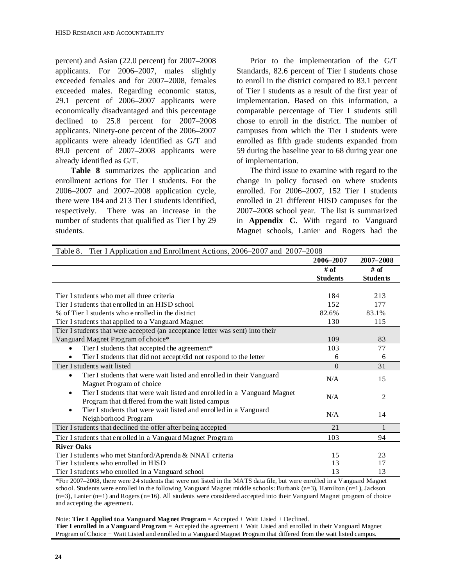percent) and Asian (22.0 percent) for 2007–2008 applicants. For 2006–2007, males slightly exceeded females and for 2007–2008, females exceeded males. Regarding economic status, 29.1 percent of 2006–2007 applicants were economically disadvantaged and this percentage declined to 25.8 percent for 2007–2008 applicants. Ninety-one percent of the 2006–2007 applicants were already identified as G/T and 89.0 percent of 2007–2008 applicants were already identified as G/T.

**Table 8** summarizes the application and enrollment actions for Tier I students. For the 2006–2007 and 2007–2008 application cycle, there were 184 and 213 Tier I students identified, respectively. There was an increase in the number of students that qualified as Tier I by 29 students.

Prior to the implementation of the G/T Standards, 82.6 percent of Tier I students chose to enroll in the district compared to 83.1 percent of Tier I students as a result of the first year of implementation. Based on this information, a comparable percentage of Tier I students still chose to enroll in the district. The number of campuses from which the Tier I students were enrolled as fifth grade students expanded from 59 during the baseline year to 68 during year one of implementation.

The third issue to examine with regard to the change in policy focused on where students enrolled. For 2006–2007, 152 Tier I students enrolled in 21 different HISD campuses for the 2007–2008 school year. The list is summarized in **Appendix C**. With regard to Vanguard Magnet schools, Lanier and Rogers had the

| Tier I Application and Enrollment Actions, 2006–2007 and 2007–2008<br>Table 8. |                 |                 |
|--------------------------------------------------------------------------------|-----------------|-----------------|
|                                                                                | 2006-2007       | 2007-2008       |
|                                                                                | # of            | # of            |
|                                                                                | <b>Students</b> | <b>Students</b> |
|                                                                                |                 |                 |
| Tier I students who met all three criteria                                     | 184             | 213             |
| Tier I students that enrolled in an HISD school                                | 152             | 177             |
| % of Tier I students who enrolled in the district                              | 82.6%           | 83.1%           |
| Tier I students that applied to a Vanguard Magnet                              | 130             | 115             |
| Tier I students that were accepted (an acceptance letter was sent) into their  |                 |                 |
| Vanguard Magnet Program of choice*                                             | 109             | 83              |
| Tier I students that accepted the agreement*<br>$\bullet$                      | 103             | 77              |
| Tier I students that did not accept/did not respond to the letter<br>$\bullet$ | 6               | 6               |
| Tier I students wait listed                                                    | $\Omega$        | 31              |
| Tier I students that were wait listed and enrolled in their Vanguard<br>٠      | N/A             | 15              |
| Magnet Program of choice                                                       |                 |                 |
| Tier I students that were wait listed and enrolled in a Vanguard Magnet<br>٠   |                 |                 |
| Program that differed from the wait listed campus                              | N/A             | 2               |
| Tier I students that were wait listed and enrolled in a Vanguard<br>$\bullet$  |                 |                 |
| Neighborhood Program                                                           | N/A             | 14              |
| Tier I students that declined the offer after being accepted                   | 2.1             |                 |
| Tier I students that enrolled in a Vanguard Magnet Program                     | 103             | 94              |
| <b>River Oaks</b>                                                              |                 |                 |
| Tier I students who met Stanford/Aprenda & NNAT criteria                       | 15              | 23              |
| Tier I students who enrolled in HISD                                           | 13              | 17              |
| Tier I students who enrolled in a Vanguard school                              | 13              | 13              |

\*For 2007–2008, there were 24 students that were not listed in the MATS data file, but were enrolled in a Vanguard Magnet school. Students were enrolled in the following Vanguard Magnet middle schools: Burbank (n=3), Hamilton (n=1), Jackson  $(n=3)$ , Lanier  $(n=1)$  and Rogers  $(n=16)$ . All students were considered accepted into their Vanguard Magnet program of choice and accepting the agreement.

Note: **Tier I Applied to a Vanguard Magnet Program** = Accepted + Wait Listed + Declined.

**Tier I enrolled in a Vanguard Program** = Accepted the agreement + Wait Listed and enrolled in their Vanguard Magnet Program of Choice + Wait Listed and enrolled in a Vanguard Magnet Program that differed from the wait listed campus.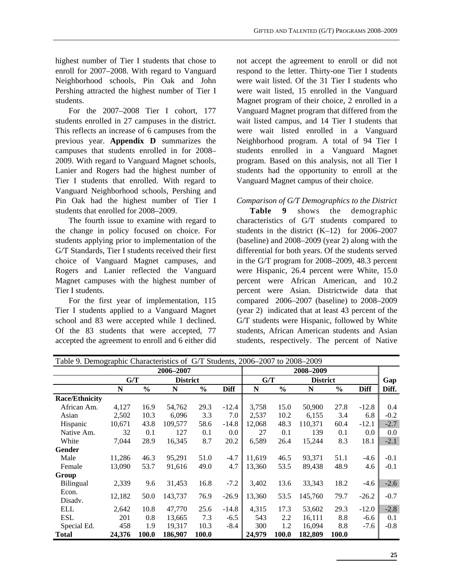highest number of Tier I students that chose to enroll for 2007–2008. With regard to Vanguard Neighborhood schools, Pin Oak and John Pershing attracted the highest number of Tier I students.

For the 2007–2008 Tier I cohort, 177 students enrolled in 27 campuses in the district. This reflects an increase of 6 campuses from the previous year. **Appendix D** summarizes the campuses that students enrolled in for 2008– 2009. With regard to Vanguard Magnet schools, Lanier and Rogers had the highest number of Tier I students that enrolled. With regard to Vanguard Neighborhood schools, Pershing and Pin Oak had the highest number of Tier I students that enrolled for 2008–2009.

The fourth issue to examine with regard to the change in policy focused on choice. For students applying prior to implementation of the G/T Standards, Tier I students received their first choice of Vanguard Magnet campuses, and Rogers and Lanier reflected the Vanguard Magnet campuses with the highest number of Tier I students.

For the first year of implementation, 115 Tier I students applied to a Vanguard Magnet school and 83 were accepted while 1 declined. Of the 83 students that were accepted, 77 accepted the agreement to enroll and 6 either did not accept the agreement to enroll or did not respond to the letter. Thirty-one Tier I students were wait listed. Of the 31 Tier I students who were wait listed, 15 enrolled in the Vanguard Magnet program of their choice, 2 enrolled in a Vanguard Magnet program that differed from the wait listed campus, and 14 Tier I students that were wait listed enrolled in a Vanguard Neighborhood program. A total of 94 Tier I students enrolled in a Vanguard Magnet program. Based on this analysis, not all Tier I students had the opportunity to enroll at the Vanguard Magnet campus of their choice.

#### *Comparison of G/T Demographics to the District*

**Table 9** shows the demographic characteristics of G/T students compared to students in the district  $(K-12)$  for 2006–2007 (baseline) and 2008–2009 (year 2) along with the differential for both years. Of the students served in the G/T program for 2008–2009, 48.3 percent were Hispanic, 26.4 percent were White, 15.0 percent were African American, and 10.2 percent were Asian. Districtwide data that compared 2006–2007 (baseline) to 2008–2009 (year 2) indicated that at least 43 percent of the G/T students were Hispanic, followed by White students, African American students and Asian students, respectively. The percent of Native

| Table 9. Demographic Characteristics of G/T Students, 2006–2007 to 2008–2009 |        |               |                 |               |             |           |               |                 |               |             |        |
|------------------------------------------------------------------------------|--------|---------------|-----------------|---------------|-------------|-----------|---------------|-----------------|---------------|-------------|--------|
| 2006-2007                                                                    |        |               |                 |               |             | 2008-2009 |               |                 |               |             |        |
|                                                                              | G/T    |               | <b>District</b> |               |             | G/T       |               | <b>District</b> |               |             | Gap    |
|                                                                              | N      | $\frac{0}{0}$ | N               | $\frac{0}{0}$ | <b>Diff</b> | N         | $\frac{0}{0}$ | N               | $\frac{0}{0}$ | <b>Diff</b> | Diff.  |
| <b>Race/Ethnicity</b>                                                        |        |               |                 |               |             |           |               |                 |               |             |        |
| African Am.                                                                  | 4,127  | 16.9          | 54,762          | 29.3          | $-12.4$     | 3,758     | 15.0          | 50,900          | 27.8          | $-12.8$     | 0.4    |
| Asian                                                                        | 2,502  | 10.3          | 6,096           | 3.3           | 7.0         | 2,537     | 10.2          | 6,155           | 3.4           | 6.8         | $-0.2$ |
| Hispanic                                                                     | 10,671 | 43.8          | 109,577         | 58.6          | $-14.8$     | 12,068    | 48.3          | 110,371         | 60.4          | $-12.1$     | $-2.7$ |
| Native Am.                                                                   | 32     | 0.1           | 127             | 0.1           | 0.0         | 27        | 0.1           | 139             | 0.1           | 0.0         | 0.0    |
| White                                                                        | 7,044  | 28.9          | 16,345          | 8.7           | 20.2        | 6,589     | 26.4          | 15,244          | 8.3           | 18.1        | $-2.1$ |
| Gender                                                                       |        |               |                 |               |             |           |               |                 |               |             |        |
| Male                                                                         | 11,286 | 46.3          | 95,291          | 51.0          | $-4.7$      | 11,619    | 46.5          | 93,371          | 51.1          | $-4.6$      | $-0.1$ |
| Female                                                                       | 13,090 | 53.7          | 91,616          | 49.0          | 4.7         | 13,360    | 53.5          | 89,438          | 48.9          | 4.6         | $-0.1$ |
| Group                                                                        |        |               |                 |               |             |           |               |                 |               |             |        |
| Bilingual                                                                    | 2,339  | 9.6           | 31,453          | 16.8          | $-7.2$      | 3,402     | 13.6          | 33,343          | 18.2          | $-4.6$      | $-2.6$ |
| Econ.                                                                        | 12,182 | 50.0          | 143,737         | 76.9          | $-26.9$     | 13,360    | 53.5          | 145,760         | 79.7          | $-26.2$     | $-0.7$ |
| Disady.                                                                      |        |               |                 |               |             |           |               |                 |               |             |        |
| <b>ELL</b>                                                                   | 2,642  | 10.8          | 47,770          | 25.6          | $-14.8$     | 4,315     | 17.3          | 53,602          | 29.3          | $-12.0$     | $-2.8$ |
| ESL                                                                          | 201    | 0.8           | 13,665          | 7.3           | $-6.5$      | 543       | 2.2           | 16,111          | 8.8           | $-6.6$      | 0.1    |
| Special Ed.                                                                  | 458    | 1.9           | 19,317          | 10.3          | $-8.4$      | 300       | 1.2           | 16,094          | 8.8           | $-7.6$      | $-0.8$ |
| <b>Total</b>                                                                 | 24,376 | 100.0         | 186,907         | 100.0         |             | 24,979    | 100.0         | 182,809         | 100.0         |             |        |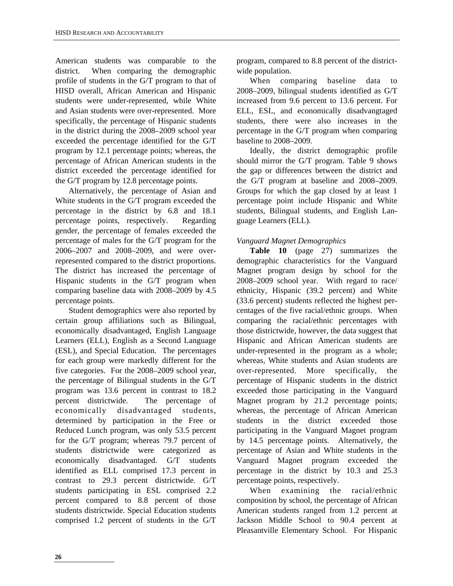American students was comparable to the district. When comparing the demographic profile of students in the G/T program to that of HISD overall, African American and Hispanic students were under-represented, while White and Asian students were over-represented. More specifically, the percentage of Hispanic students in the district during the 2008–2009 school year exceeded the percentage identified for the G/T program by 12.1 percentage points; whereas, the percentage of African American students in the district exceeded the percentage identified for the G/T program by 12.8 percentage points.

Alternatively, the percentage of Asian and White students in the G/T program exceeded the percentage in the district by 6.8 and 18.1 percentage points, respectively. Regarding gender, the percentage of females exceeded the percentage of males for the G/T program for the 2006–2007 and 2008–2009, and were overrepresented compared to the district proportions. The district has increased the percentage of Hispanic students in the G/T program when comparing baseline data with 2008–2009 by 4.5 percentage points.

Student demographics were also reported by certain group affiliations such as Bilingual, economically disadvantaged, English Language Learners (ELL), English as a Second Language (ESL), and Special Education. The percentages for each group were markedly different for the five categories. For the 2008–2009 school year, the percentage of Bilingual students in the G/T program was 13.6 percent in contrast to 18.2 percent districtwide. The percentage of economically disadvantaged students, determined by participation in the Free or Reduced Lunch program, was only 53.5 percent for the G/T program; whereas 79.7 percent of students districtwide were categorized as economically disadvantaged. G/T students identified as ELL comprised 17.3 percent in contrast to 29.3 percent districtwide. G/T students participating in ESL comprised 2.2 percent compared to 8.8 percent of those students districtwide. Special Education students comprised 1.2 percent of students in the G/T program, compared to 8.8 percent of the districtwide population.

When comparing baseline data to 2008–2009, bilingual students identified as G/T increased from 9.6 percent to 13.6 percent. For ELL, ESL, and economically disadvangtaged students, there were also increases in the percentage in the G/T program when comparing baseline to 2008–2009.

Ideally, the district demographic profile should mirror the G/T program. Table 9 shows the gap or differences between the district and the G/T program at baseline and 2008–2009. Groups for which the gap closed by at least 1 percentage point include Hispanic and White students, Bilingual students, and English Language Learners (ELL).

#### *Vanguard Magnet Demographics*

**Table 10** (page 27) summarizes the demographic characteristics for the Vanguard Magnet program design by school for the 2008–2009 school year. With regard to race/ ethnicity, Hispanic (39.2 percent) and White (33.6 percent) students reflected the highest percentages of the five racial/ethnic groups. When comparing the racial/ethnic percentages with those districtwide, however, the data suggest that Hispanic and African American students are under-represented in the program as a whole; whereas, White students and Asian students are over-represented. More specifically, the percentage of Hispanic students in the district exceeded those participating in the Vanguard Magnet program by 21.2 percentage points; whereas, the percentage of African American students in the district exceeded those participating in the Vanguard Magnet program by 14.5 percentage points. Alternatively, the percentage of Asian and White students in the Vanguard Magnet program exceeded the percentage in the district by 10.3 and 25.3 percentage points, respectively.

When examining the racial/ethnic composition by school, the percentage of African American students ranged from 1.2 percent at Jackson Middle School to 90.4 percent at Pleasantville Elementary School. For Hispanic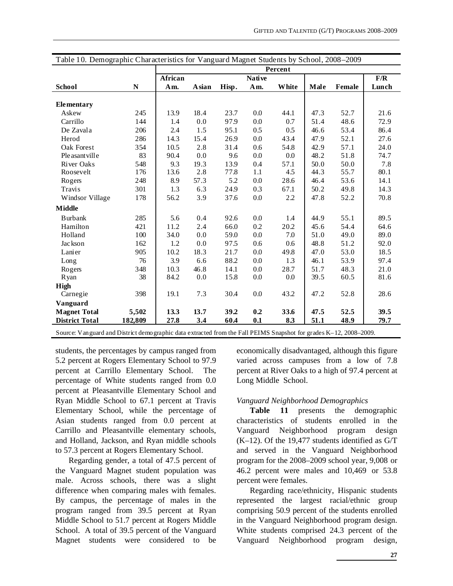| Table 10. Demographic Characteristics for Vanguard Magnet Students by School, 2008-2009                            |         |         |               |       |               |       |      |        |       |  |
|--------------------------------------------------------------------------------------------------------------------|---------|---------|---------------|-------|---------------|-------|------|--------|-------|--|
|                                                                                                                    |         |         | Percent       |       |               |       |      |        |       |  |
|                                                                                                                    |         | African |               |       | <b>Native</b> |       |      |        | F/R   |  |
| <b>School</b>                                                                                                      | N       | Am.     | <b>A</b> sian | Hisp. | Am.           | White | Male | Female | Lunch |  |
|                                                                                                                    |         |         |               |       |               |       |      |        |       |  |
| Elementary                                                                                                         |         |         |               |       |               |       |      |        |       |  |
| Askew                                                                                                              | 245     | 13.9    | 18.4          | 23.7  | 0.0           | 44.1  | 47.3 | 52.7   | 21.6  |  |
| Carrillo                                                                                                           | 144     | 1.4     | 0.0           | 97.9  | 0.0           | 0.7   | 51.4 | 48.6   | 72.9  |  |
| De Zavala                                                                                                          | 206     | 2.4     | 1.5           | 95.1  | 0.5           | 0.5   | 46.6 | 53.4   | 86.4  |  |
| Herod                                                                                                              | 286     | 14.3    | 15.4          | 26.9  | 0.0           | 43.4  | 47.9 | 52.1   | 27.6  |  |
| Oak Forest                                                                                                         | 354     | 10.5    | 2.8           | 31.4  | 0.6           | 54.8  | 42.9 | 57.1   | 24.0  |  |
| Ple asant ville                                                                                                    | 83      | 90.4    | 0.0           | 9.6   | 0.0           | 0.0   | 48.2 | 51.8   | 74.7  |  |
| River Oaks                                                                                                         | 548     | 9.3     | 19.3          | 13.9  | 0.4           | 57.1  | 50.0 | 50.0   | 7.8   |  |
| Roosevelt                                                                                                          | 176     | 13.6    | 2.8           | 77.8  | 1.1           | 4.5   | 44.3 | 55.7   | 80.1  |  |
| Rogers                                                                                                             | 248     | 8.9     | 57.3          | 5.2   | 0.0           | 28.6  | 46.4 | 53.6   | 14.1  |  |
| <b>Travis</b>                                                                                                      | 301     | 1.3     | 6.3           | 24.9  | 0.3           | 67.1  | 50.2 | 49.8   | 14.3  |  |
| Windsor Village                                                                                                    | 178     | 56.2    | 3.9           | 37.6  | 0.0           | 2.2   | 47.8 | 52.2   | 70.8  |  |
| <b>Middle</b>                                                                                                      |         |         |               |       |               |       |      |        |       |  |
| <b>Burbank</b>                                                                                                     | 285     | 5.6     | 0.4           | 92.6  | 0.0           | 1.4   | 44.9 | 55.1   | 89.5  |  |
| Hamilton                                                                                                           | 421     | 11.2    | 2.4           | 66.0  | 0.2           | 20.2  | 45.6 | 54.4   | 64.6  |  |
| Holland                                                                                                            | 100     | 34.0    | 0.0           | 59.0  | 0.0           | 7.0   | 51.0 | 49.0   | 89.0  |  |
| Jackson                                                                                                            | 162     | 1.2     | 0.0           | 97.5  | 0.6           | 0.6   | 48.8 | 51.2   | 92.0  |  |
| Lanier                                                                                                             | 905     | 10.2    | 18.3          | 21.7  | 0.0           | 49.8  | 47.0 | 53.0   | 18.5  |  |
| Long                                                                                                               | 76      | 3.9     | 6.6           | 88.2  | 0.0           | 1.3   | 46.1 | 53.9   | 97.4  |  |
| Rogers                                                                                                             | 348     | 10.3    | 46.8          | 14.1  | 0.0           | 28.7  | 51.7 | 48.3   | 21.0  |  |
| Ryan                                                                                                               | 38      | 84.2    | 0.0           | 15.8  | 0.0           | 0.0   | 39.5 | 60.5   | 81.6  |  |
| High                                                                                                               |         |         |               |       |               |       |      |        |       |  |
| Carnegie                                                                                                           | 398     | 19.1    | 7.3           | 30.4  | 0.0           | 43.2  | 47.2 | 52.8   | 28.6  |  |
| Vanguard                                                                                                           |         |         |               |       |               |       |      |        |       |  |
| <b>Magnet Total</b>                                                                                                | 5,502   | 13.3    | 13.7          | 39.2  | 0.2           | 33.6  | 47.5 | 52.5   | 39.5  |  |
| <b>District Total</b>                                                                                              | 182,809 | 27.8    | 3.4           | 60.4  | 0.1           | 8.3   | 51.1 | 48.9   | 79.7  |  |
| Source: Van guard and District demographic data extracted from the Fall PEIMS Snapshot for grades K-12, 2008-2009. |         |         |               |       |               |       |      |        |       |  |

students, the percentages by campus ranged from 5.2 percent at Rogers Elementary School to 97.9 percent at Carrillo Elementary School. The percentage of White students ranged from 0.0 percent at Pleasantville Elementary School and Ryan Middle School to 67.1 percent at Travis Elementary School, while the percentage of Asian students ranged from 0.0 percent at Carrillo and Pleasantville elementary schools, and Holland, Jackson, and Ryan middle schools to 57.3 percent at Rogers Elementary School.

Regarding gender, a total of 47.5 percent of the Vanguard Magnet student population was male. Across schools, there was a slight difference when comparing males with females. By campus, the percentage of males in the program ranged from 39.5 percent at Ryan Middle School to 51.7 percent at Rogers Middle School. A total of 39.5 percent of the Vanguard Magnet students were considered to be economically disadvantaged, although this figure varied across campuses from a low of 7.8 percent at River Oaks to a high of 97.4 percent at Long Middle School.

#### *Vanguard Neighborhood Demographics*

**Table 11** presents the demographic characteristics of students enrolled in the Vanguard Neighborhood program design (K–12). Of the 19,477 students identified as G/T and served in the Vanguard Neighborhood program for the 2008–2009 school year, 9,008 or 46.2 percent were males and 10,469 or 53.8 percent were females.

Regarding race/ethnicity, Hispanic students represented the largest racial/ethnic group comprising 50.9 percent of the students enrolled in the Vanguard Neighborhood program design. White students comprised 24.3 percent of the Vanguard Neighborhood program design,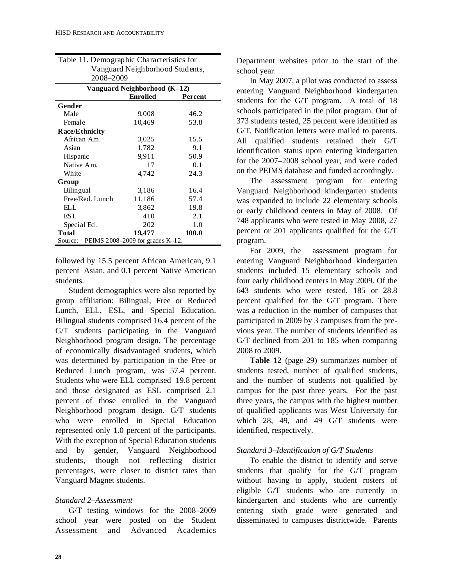| 2008-2009                                   |                              |                |
|---------------------------------------------|------------------------------|----------------|
|                                             | Vanguard Neighborhood (K-12) |                |
|                                             | <b>Enrolled</b>              | <b>Percent</b> |
| Gender                                      |                              |                |
| Male                                        | 9,008                        | 46.2           |
| Female                                      | 10,469                       | 53.8           |
| Race/Ethnicity                              |                              |                |
| African Am.                                 | 3,025                        | 15.5           |
| Asian                                       | 1,782                        | 9.1            |
| Hispanic                                    | 9,911                        | 50.9           |
| Native Am.                                  | 17                           | 0.1            |
| White                                       | 4,742                        | 24.3           |
| Group                                       |                              |                |
| Bilingual                                   | 3.186                        | 16.4           |
| Free/Red. Lunch                             | 11,186                       | 57.4           |
| ELL.                                        | 3,862                        | 19.8           |
| ES L                                        | 410                          | 2.1            |
| Special Ed.                                 | 202                          | 1.0            |
| Total                                       | 19,477                       | 100.0          |
| Source: PEIMS 2008-2009 for grades $K-12$ . |                              |                |

| Table 11. Demographic Characteristics for |
|-------------------------------------------|
| Vanguard Neighborhood Students,           |
| 2008-2009                                 |

followed by 15.5 percent African American, 9.1 percent Asian, and 0.1 percent Native American students.

Student demographics were also reported by group affiliation: Bilingual, Free or Reduced Lunch, ELL, ESL, and Special Education. Bilingual students comprised 16.4 percent of the G/T students participating in the Vanguard Neighborhood program design. The percentage of economically disadvantaged students, which was determined by participation in the Free or Reduced Lunch program, was 57.4 percent. Students who were ELL comprised 19.8 percent and those designated as ESL comprised 2.1 percent of those enrolled in the Vanguard Neighborhood program design. G/T students who were enrolled in Special Education represented only 1.0 percent of the participants. With the exception of Special Education students and by gender, Vanguard Neighborhood students, though not reflecting district percentages, were closer to district rates than Vanguard Magnet students.

#### *Standard 2–Assessment*

G/T testing windows for the 2008–2009 school year were posted on the Student Assessment and Advanced Academics Department websites prior to the start of the school year.

In May 2007, a pilot was conducted to assess entering Vanguard Neighborhood kindergarten students for the G/T program. A total of 18 schools participated in the pilot program. Out of 373 students tested, 25 percent were identified as G/T. Notification letters were mailed to parents. All qualified students retained their G/T identification status upon entering kindergarten for the 2007–2008 school year, and were coded on the PEIMS database and funded accordingly.

The assessment program for entering Vanguard Neighborhood kindergarten students was expanded to include 22 elementary schools or early childhood centers in May of 2008. Of 748 applicants who were tested in May 2008, 27 percent or 201 applicants qualified for the G/T program.

For 2009, the assessment program for entering Vanguard Neighborhood kindergarten students included 15 elementary schools and four early childhood centers in May 2009. Of the 643 students who were tested, 185 or 28.8 percent qualified for the G/T program. There was a reduction in the number of campuses that participated in 2009 by 3 campuses from the previous year. The number of students identified as G/T declined from 201 to 185 when comparing 2008 to 2009.

**Table 12** (page 29) summarizes number of students tested, number of qualified students, and the number of students not qualified by campus for the past three years. For the past three years, the campus with the highest number of qualified applicants was West University for which 28, 49, and 49 G/T students were identified, respectively.

#### *Standard 3–Identification of G/T Students*

To enable the district to identify and serve students that qualify for the G/T program without having to apply, student rosters of eligible G/T students who are currently in kindergarten and students who are currently entering sixth grade were generated and disseminated to campuses districtwide. Parents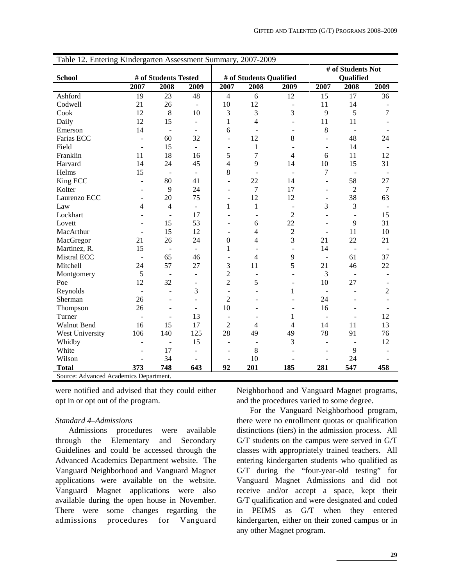| # of Students Not<br># of Students Tested<br># of Students Qualified<br><b>School</b><br>Qualified<br>2007<br>2007<br>2008<br>2009<br>2008<br>2009<br>2007<br>2008<br>2009<br>19<br>23<br>48<br>$\overline{4}$<br>6<br>12<br>17<br>Ashford<br>15<br>36<br>Codwell<br>21<br>10<br>12<br>26<br>11<br>14<br>$\overline{\phantom{m}}$<br>$\overline{\phantom{a}}$<br>9<br>7<br>12<br>8<br>10<br>3<br>3<br>3<br>5<br>Cook<br>4<br>Daily<br>12<br>15<br>$\mathbf{1}$<br>11<br>11<br>$\blacksquare$<br>$\overline{\phantom{a}}$<br>14<br>8<br>6<br>Emerson<br>$\bar{\phantom{a}}$<br>$\blacksquare$<br>$\sim$<br>$\overline{\phantom{a}}$<br>Farias ECC<br>32<br>12<br>8<br>48<br>24<br>60<br>$\overline{\phantom{a}}$<br>$\overline{a}$<br>$\overline{a}$<br>Field<br>15<br>$\mathbf{1}$<br>14<br>$\overline{\phantom{a}}$<br>$\overline{\phantom{a}}$<br>$\overline{\phantom{a}}$<br>$\overline{\phantom{a}}$<br>5<br>7<br>12<br>Franklin<br>18<br>16<br>$\overline{4}$<br>11<br>11<br>6<br>45<br>$\overline{4}$<br>9<br>10<br>15<br>31<br>Harvard<br>14<br>24<br>14<br>8<br>15<br>$\overline{7}$<br>Helms<br>$\overline{\phantom{a}}$<br>$\overline{\phantom{a}}$<br>58<br>King ECC<br>80<br>41<br>22<br>27<br>14<br>$\overline{a}$<br>$\qquad \qquad \blacksquare$<br>Kolter<br>9<br>24<br>$\overline{7}$<br>17<br>$\overline{2}$<br>$\overline{7}$<br>÷<br>$\overline{a}$<br>38<br>20<br>75<br>12<br>12<br>Laurenzo ECC<br>63<br>$\blacksquare$<br>$\overline{a}$<br>$\overline{\phantom{a}}$<br>$\overline{4}$<br>3<br>3<br>4<br>$\mathbf{1}$<br>$\mathbf{1}$<br>Law<br>$\overline{\phantom{a}}$<br>$\overline{2}$<br>17<br>Lockhart<br>15<br>$\sim$<br>$\overline{a}$<br>$\blacksquare$<br>22<br>53<br>9<br>31<br>15<br>6<br>Lovett<br>$\blacksquare$<br>$\sqrt{2}$<br>15<br>12<br>10<br>MacArthur<br>$\overline{4}$<br>11<br>$\overline{\phantom{a}}$<br>$\blacksquare$<br>$\overline{\phantom{a}}$<br>3<br>24<br>$\boldsymbol{0}$<br>$\overline{4}$<br>21<br>22<br>21<br>MacGregor<br>21<br>26<br>15<br>$\mathbf{1}$<br>Martinez, R.<br>14<br>$\blacksquare$<br>$\overline{\phantom{a}}$<br>$\blacksquare$<br><b>Mistral ECC</b><br>65<br>9<br>37<br>46<br>4<br>61<br>$\overline{\phantom{a}}$<br>$\overline{\phantom{a}}$<br>÷<br>5<br>3<br>57<br>11<br>22<br>Mitchell<br>24<br>27<br>21<br>46<br>$\overline{2}$<br>3<br>5<br>Montgomery<br>$\sim$<br>$\blacksquare$<br>$\overline{c}$<br>12<br>32<br>5<br>10<br>27<br>Poe<br>$\overline{c}$<br>3<br>Reynolds<br>1<br>$\overline{a}$<br>$\overline{a}$<br>L,<br>$\overline{2}$<br>26<br>24<br>Sherman<br>$\overline{\phantom{m}}$<br>10<br>26<br>16<br>Thompson<br>$\overline{a}$<br>$\overline{\phantom{a}}$<br>$\overline{\phantom{a}}$<br>Turner<br>13<br>12<br>1<br>$\overline{\phantom{a}}$<br>$\overline{\phantom{a}}$<br>L,<br>$\overline{2}$<br>Walnut Bend<br>16<br>15<br>17<br>14<br>13<br>$\overline{4}$<br>4<br>11<br>28<br>49<br>78<br>91<br>76<br>West University<br>106<br>140<br>125<br>49<br>3<br>12<br>Whidby<br>15<br>$\overline{\phantom{a}}$<br>÷,<br>÷,<br>White<br>8<br>17<br>9<br>Wilson<br>34<br>10<br>24<br>$\overline{a}$<br>373<br>92<br>201<br>185<br>458<br><b>Total</b><br>748<br>643<br>281<br>547<br>Source: Advanced Academics Denartment | Table 12. Entering Kindergarten Assessment Summary, 2007-2009 |  |  |  |  |  |  |  |  |  |  |
|--------------------------------------------------------------------------------------------------------------------------------------------------------------------------------------------------------------------------------------------------------------------------------------------------------------------------------------------------------------------------------------------------------------------------------------------------------------------------------------------------------------------------------------------------------------------------------------------------------------------------------------------------------------------------------------------------------------------------------------------------------------------------------------------------------------------------------------------------------------------------------------------------------------------------------------------------------------------------------------------------------------------------------------------------------------------------------------------------------------------------------------------------------------------------------------------------------------------------------------------------------------------------------------------------------------------------------------------------------------------------------------------------------------------------------------------------------------------------------------------------------------------------------------------------------------------------------------------------------------------------------------------------------------------------------------------------------------------------------------------------------------------------------------------------------------------------------------------------------------------------------------------------------------------------------------------------------------------------------------------------------------------------------------------------------------------------------------------------------------------------------------------------------------------------------------------------------------------------------------------------------------------------------------------------------------------------------------------------------------------------------------------------------------------------------------------------------------------------------------------------------------------------------------------------------------------------------------------------------------------------------------------------------------------------------------------------------------------------------------------------------------------------------------------------------------------------------------------------------------------------------------------------------------------------------------------------------------------------------------------------------------------------------------------------------------------------------------------------------------------------------------------------------------------------------------------------------------------------------|---------------------------------------------------------------|--|--|--|--|--|--|--|--|--|--|
|                                                                                                                                                                                                                                                                                                                                                                                                                                                                                                                                                                                                                                                                                                                                                                                                                                                                                                                                                                                                                                                                                                                                                                                                                                                                                                                                                                                                                                                                                                                                                                                                                                                                                                                                                                                                                                                                                                                                                                                                                                                                                                                                                                                                                                                                                                                                                                                                                                                                                                                                                                                                                                                                                                                                                                                                                                                                                                                                                                                                                                                                                                                                                                                                                                |                                                               |  |  |  |  |  |  |  |  |  |  |
|                                                                                                                                                                                                                                                                                                                                                                                                                                                                                                                                                                                                                                                                                                                                                                                                                                                                                                                                                                                                                                                                                                                                                                                                                                                                                                                                                                                                                                                                                                                                                                                                                                                                                                                                                                                                                                                                                                                                                                                                                                                                                                                                                                                                                                                                                                                                                                                                                                                                                                                                                                                                                                                                                                                                                                                                                                                                                                                                                                                                                                                                                                                                                                                                                                |                                                               |  |  |  |  |  |  |  |  |  |  |
|                                                                                                                                                                                                                                                                                                                                                                                                                                                                                                                                                                                                                                                                                                                                                                                                                                                                                                                                                                                                                                                                                                                                                                                                                                                                                                                                                                                                                                                                                                                                                                                                                                                                                                                                                                                                                                                                                                                                                                                                                                                                                                                                                                                                                                                                                                                                                                                                                                                                                                                                                                                                                                                                                                                                                                                                                                                                                                                                                                                                                                                                                                                                                                                                                                |                                                               |  |  |  |  |  |  |  |  |  |  |
|                                                                                                                                                                                                                                                                                                                                                                                                                                                                                                                                                                                                                                                                                                                                                                                                                                                                                                                                                                                                                                                                                                                                                                                                                                                                                                                                                                                                                                                                                                                                                                                                                                                                                                                                                                                                                                                                                                                                                                                                                                                                                                                                                                                                                                                                                                                                                                                                                                                                                                                                                                                                                                                                                                                                                                                                                                                                                                                                                                                                                                                                                                                                                                                                                                |                                                               |  |  |  |  |  |  |  |  |  |  |
|                                                                                                                                                                                                                                                                                                                                                                                                                                                                                                                                                                                                                                                                                                                                                                                                                                                                                                                                                                                                                                                                                                                                                                                                                                                                                                                                                                                                                                                                                                                                                                                                                                                                                                                                                                                                                                                                                                                                                                                                                                                                                                                                                                                                                                                                                                                                                                                                                                                                                                                                                                                                                                                                                                                                                                                                                                                                                                                                                                                                                                                                                                                                                                                                                                |                                                               |  |  |  |  |  |  |  |  |  |  |
|                                                                                                                                                                                                                                                                                                                                                                                                                                                                                                                                                                                                                                                                                                                                                                                                                                                                                                                                                                                                                                                                                                                                                                                                                                                                                                                                                                                                                                                                                                                                                                                                                                                                                                                                                                                                                                                                                                                                                                                                                                                                                                                                                                                                                                                                                                                                                                                                                                                                                                                                                                                                                                                                                                                                                                                                                                                                                                                                                                                                                                                                                                                                                                                                                                |                                                               |  |  |  |  |  |  |  |  |  |  |
|                                                                                                                                                                                                                                                                                                                                                                                                                                                                                                                                                                                                                                                                                                                                                                                                                                                                                                                                                                                                                                                                                                                                                                                                                                                                                                                                                                                                                                                                                                                                                                                                                                                                                                                                                                                                                                                                                                                                                                                                                                                                                                                                                                                                                                                                                                                                                                                                                                                                                                                                                                                                                                                                                                                                                                                                                                                                                                                                                                                                                                                                                                                                                                                                                                |                                                               |  |  |  |  |  |  |  |  |  |  |
|                                                                                                                                                                                                                                                                                                                                                                                                                                                                                                                                                                                                                                                                                                                                                                                                                                                                                                                                                                                                                                                                                                                                                                                                                                                                                                                                                                                                                                                                                                                                                                                                                                                                                                                                                                                                                                                                                                                                                                                                                                                                                                                                                                                                                                                                                                                                                                                                                                                                                                                                                                                                                                                                                                                                                                                                                                                                                                                                                                                                                                                                                                                                                                                                                                |                                                               |  |  |  |  |  |  |  |  |  |  |
|                                                                                                                                                                                                                                                                                                                                                                                                                                                                                                                                                                                                                                                                                                                                                                                                                                                                                                                                                                                                                                                                                                                                                                                                                                                                                                                                                                                                                                                                                                                                                                                                                                                                                                                                                                                                                                                                                                                                                                                                                                                                                                                                                                                                                                                                                                                                                                                                                                                                                                                                                                                                                                                                                                                                                                                                                                                                                                                                                                                                                                                                                                                                                                                                                                |                                                               |  |  |  |  |  |  |  |  |  |  |
|                                                                                                                                                                                                                                                                                                                                                                                                                                                                                                                                                                                                                                                                                                                                                                                                                                                                                                                                                                                                                                                                                                                                                                                                                                                                                                                                                                                                                                                                                                                                                                                                                                                                                                                                                                                                                                                                                                                                                                                                                                                                                                                                                                                                                                                                                                                                                                                                                                                                                                                                                                                                                                                                                                                                                                                                                                                                                                                                                                                                                                                                                                                                                                                                                                |                                                               |  |  |  |  |  |  |  |  |  |  |
|                                                                                                                                                                                                                                                                                                                                                                                                                                                                                                                                                                                                                                                                                                                                                                                                                                                                                                                                                                                                                                                                                                                                                                                                                                                                                                                                                                                                                                                                                                                                                                                                                                                                                                                                                                                                                                                                                                                                                                                                                                                                                                                                                                                                                                                                                                                                                                                                                                                                                                                                                                                                                                                                                                                                                                                                                                                                                                                                                                                                                                                                                                                                                                                                                                |                                                               |  |  |  |  |  |  |  |  |  |  |
|                                                                                                                                                                                                                                                                                                                                                                                                                                                                                                                                                                                                                                                                                                                                                                                                                                                                                                                                                                                                                                                                                                                                                                                                                                                                                                                                                                                                                                                                                                                                                                                                                                                                                                                                                                                                                                                                                                                                                                                                                                                                                                                                                                                                                                                                                                                                                                                                                                                                                                                                                                                                                                                                                                                                                                                                                                                                                                                                                                                                                                                                                                                                                                                                                                |                                                               |  |  |  |  |  |  |  |  |  |  |
|                                                                                                                                                                                                                                                                                                                                                                                                                                                                                                                                                                                                                                                                                                                                                                                                                                                                                                                                                                                                                                                                                                                                                                                                                                                                                                                                                                                                                                                                                                                                                                                                                                                                                                                                                                                                                                                                                                                                                                                                                                                                                                                                                                                                                                                                                                                                                                                                                                                                                                                                                                                                                                                                                                                                                                                                                                                                                                                                                                                                                                                                                                                                                                                                                                |                                                               |  |  |  |  |  |  |  |  |  |  |
|                                                                                                                                                                                                                                                                                                                                                                                                                                                                                                                                                                                                                                                                                                                                                                                                                                                                                                                                                                                                                                                                                                                                                                                                                                                                                                                                                                                                                                                                                                                                                                                                                                                                                                                                                                                                                                                                                                                                                                                                                                                                                                                                                                                                                                                                                                                                                                                                                                                                                                                                                                                                                                                                                                                                                                                                                                                                                                                                                                                                                                                                                                                                                                                                                                |                                                               |  |  |  |  |  |  |  |  |  |  |
|                                                                                                                                                                                                                                                                                                                                                                                                                                                                                                                                                                                                                                                                                                                                                                                                                                                                                                                                                                                                                                                                                                                                                                                                                                                                                                                                                                                                                                                                                                                                                                                                                                                                                                                                                                                                                                                                                                                                                                                                                                                                                                                                                                                                                                                                                                                                                                                                                                                                                                                                                                                                                                                                                                                                                                                                                                                                                                                                                                                                                                                                                                                                                                                                                                |                                                               |  |  |  |  |  |  |  |  |  |  |
|                                                                                                                                                                                                                                                                                                                                                                                                                                                                                                                                                                                                                                                                                                                                                                                                                                                                                                                                                                                                                                                                                                                                                                                                                                                                                                                                                                                                                                                                                                                                                                                                                                                                                                                                                                                                                                                                                                                                                                                                                                                                                                                                                                                                                                                                                                                                                                                                                                                                                                                                                                                                                                                                                                                                                                                                                                                                                                                                                                                                                                                                                                                                                                                                                                |                                                               |  |  |  |  |  |  |  |  |  |  |
|                                                                                                                                                                                                                                                                                                                                                                                                                                                                                                                                                                                                                                                                                                                                                                                                                                                                                                                                                                                                                                                                                                                                                                                                                                                                                                                                                                                                                                                                                                                                                                                                                                                                                                                                                                                                                                                                                                                                                                                                                                                                                                                                                                                                                                                                                                                                                                                                                                                                                                                                                                                                                                                                                                                                                                                                                                                                                                                                                                                                                                                                                                                                                                                                                                |                                                               |  |  |  |  |  |  |  |  |  |  |
|                                                                                                                                                                                                                                                                                                                                                                                                                                                                                                                                                                                                                                                                                                                                                                                                                                                                                                                                                                                                                                                                                                                                                                                                                                                                                                                                                                                                                                                                                                                                                                                                                                                                                                                                                                                                                                                                                                                                                                                                                                                                                                                                                                                                                                                                                                                                                                                                                                                                                                                                                                                                                                                                                                                                                                                                                                                                                                                                                                                                                                                                                                                                                                                                                                |                                                               |  |  |  |  |  |  |  |  |  |  |
|                                                                                                                                                                                                                                                                                                                                                                                                                                                                                                                                                                                                                                                                                                                                                                                                                                                                                                                                                                                                                                                                                                                                                                                                                                                                                                                                                                                                                                                                                                                                                                                                                                                                                                                                                                                                                                                                                                                                                                                                                                                                                                                                                                                                                                                                                                                                                                                                                                                                                                                                                                                                                                                                                                                                                                                                                                                                                                                                                                                                                                                                                                                                                                                                                                |                                                               |  |  |  |  |  |  |  |  |  |  |
|                                                                                                                                                                                                                                                                                                                                                                                                                                                                                                                                                                                                                                                                                                                                                                                                                                                                                                                                                                                                                                                                                                                                                                                                                                                                                                                                                                                                                                                                                                                                                                                                                                                                                                                                                                                                                                                                                                                                                                                                                                                                                                                                                                                                                                                                                                                                                                                                                                                                                                                                                                                                                                                                                                                                                                                                                                                                                                                                                                                                                                                                                                                                                                                                                                |                                                               |  |  |  |  |  |  |  |  |  |  |
|                                                                                                                                                                                                                                                                                                                                                                                                                                                                                                                                                                                                                                                                                                                                                                                                                                                                                                                                                                                                                                                                                                                                                                                                                                                                                                                                                                                                                                                                                                                                                                                                                                                                                                                                                                                                                                                                                                                                                                                                                                                                                                                                                                                                                                                                                                                                                                                                                                                                                                                                                                                                                                                                                                                                                                                                                                                                                                                                                                                                                                                                                                                                                                                                                                |                                                               |  |  |  |  |  |  |  |  |  |  |
|                                                                                                                                                                                                                                                                                                                                                                                                                                                                                                                                                                                                                                                                                                                                                                                                                                                                                                                                                                                                                                                                                                                                                                                                                                                                                                                                                                                                                                                                                                                                                                                                                                                                                                                                                                                                                                                                                                                                                                                                                                                                                                                                                                                                                                                                                                                                                                                                                                                                                                                                                                                                                                                                                                                                                                                                                                                                                                                                                                                                                                                                                                                                                                                                                                |                                                               |  |  |  |  |  |  |  |  |  |  |
|                                                                                                                                                                                                                                                                                                                                                                                                                                                                                                                                                                                                                                                                                                                                                                                                                                                                                                                                                                                                                                                                                                                                                                                                                                                                                                                                                                                                                                                                                                                                                                                                                                                                                                                                                                                                                                                                                                                                                                                                                                                                                                                                                                                                                                                                                                                                                                                                                                                                                                                                                                                                                                                                                                                                                                                                                                                                                                                                                                                                                                                                                                                                                                                                                                |                                                               |  |  |  |  |  |  |  |  |  |  |
|                                                                                                                                                                                                                                                                                                                                                                                                                                                                                                                                                                                                                                                                                                                                                                                                                                                                                                                                                                                                                                                                                                                                                                                                                                                                                                                                                                                                                                                                                                                                                                                                                                                                                                                                                                                                                                                                                                                                                                                                                                                                                                                                                                                                                                                                                                                                                                                                                                                                                                                                                                                                                                                                                                                                                                                                                                                                                                                                                                                                                                                                                                                                                                                                                                |                                                               |  |  |  |  |  |  |  |  |  |  |
|                                                                                                                                                                                                                                                                                                                                                                                                                                                                                                                                                                                                                                                                                                                                                                                                                                                                                                                                                                                                                                                                                                                                                                                                                                                                                                                                                                                                                                                                                                                                                                                                                                                                                                                                                                                                                                                                                                                                                                                                                                                                                                                                                                                                                                                                                                                                                                                                                                                                                                                                                                                                                                                                                                                                                                                                                                                                                                                                                                                                                                                                                                                                                                                                                                |                                                               |  |  |  |  |  |  |  |  |  |  |
|                                                                                                                                                                                                                                                                                                                                                                                                                                                                                                                                                                                                                                                                                                                                                                                                                                                                                                                                                                                                                                                                                                                                                                                                                                                                                                                                                                                                                                                                                                                                                                                                                                                                                                                                                                                                                                                                                                                                                                                                                                                                                                                                                                                                                                                                                                                                                                                                                                                                                                                                                                                                                                                                                                                                                                                                                                                                                                                                                                                                                                                                                                                                                                                                                                |                                                               |  |  |  |  |  |  |  |  |  |  |
|                                                                                                                                                                                                                                                                                                                                                                                                                                                                                                                                                                                                                                                                                                                                                                                                                                                                                                                                                                                                                                                                                                                                                                                                                                                                                                                                                                                                                                                                                                                                                                                                                                                                                                                                                                                                                                                                                                                                                                                                                                                                                                                                                                                                                                                                                                                                                                                                                                                                                                                                                                                                                                                                                                                                                                                                                                                                                                                                                                                                                                                                                                                                                                                                                                |                                                               |  |  |  |  |  |  |  |  |  |  |
|                                                                                                                                                                                                                                                                                                                                                                                                                                                                                                                                                                                                                                                                                                                                                                                                                                                                                                                                                                                                                                                                                                                                                                                                                                                                                                                                                                                                                                                                                                                                                                                                                                                                                                                                                                                                                                                                                                                                                                                                                                                                                                                                                                                                                                                                                                                                                                                                                                                                                                                                                                                                                                                                                                                                                                                                                                                                                                                                                                                                                                                                                                                                                                                                                                |                                                               |  |  |  |  |  |  |  |  |  |  |
|                                                                                                                                                                                                                                                                                                                                                                                                                                                                                                                                                                                                                                                                                                                                                                                                                                                                                                                                                                                                                                                                                                                                                                                                                                                                                                                                                                                                                                                                                                                                                                                                                                                                                                                                                                                                                                                                                                                                                                                                                                                                                                                                                                                                                                                                                                                                                                                                                                                                                                                                                                                                                                                                                                                                                                                                                                                                                                                                                                                                                                                                                                                                                                                                                                |                                                               |  |  |  |  |  |  |  |  |  |  |
|                                                                                                                                                                                                                                                                                                                                                                                                                                                                                                                                                                                                                                                                                                                                                                                                                                                                                                                                                                                                                                                                                                                                                                                                                                                                                                                                                                                                                                                                                                                                                                                                                                                                                                                                                                                                                                                                                                                                                                                                                                                                                                                                                                                                                                                                                                                                                                                                                                                                                                                                                                                                                                                                                                                                                                                                                                                                                                                                                                                                                                                                                                                                                                                                                                |                                                               |  |  |  |  |  |  |  |  |  |  |
|                                                                                                                                                                                                                                                                                                                                                                                                                                                                                                                                                                                                                                                                                                                                                                                                                                                                                                                                                                                                                                                                                                                                                                                                                                                                                                                                                                                                                                                                                                                                                                                                                                                                                                                                                                                                                                                                                                                                                                                                                                                                                                                                                                                                                                                                                                                                                                                                                                                                                                                                                                                                                                                                                                                                                                                                                                                                                                                                                                                                                                                                                                                                                                                                                                |                                                               |  |  |  |  |  |  |  |  |  |  |
|                                                                                                                                                                                                                                                                                                                                                                                                                                                                                                                                                                                                                                                                                                                                                                                                                                                                                                                                                                                                                                                                                                                                                                                                                                                                                                                                                                                                                                                                                                                                                                                                                                                                                                                                                                                                                                                                                                                                                                                                                                                                                                                                                                                                                                                                                                                                                                                                                                                                                                                                                                                                                                                                                                                                                                                                                                                                                                                                                                                                                                                                                                                                                                                                                                |                                                               |  |  |  |  |  |  |  |  |  |  |
|                                                                                                                                                                                                                                                                                                                                                                                                                                                                                                                                                                                                                                                                                                                                                                                                                                                                                                                                                                                                                                                                                                                                                                                                                                                                                                                                                                                                                                                                                                                                                                                                                                                                                                                                                                                                                                                                                                                                                                                                                                                                                                                                                                                                                                                                                                                                                                                                                                                                                                                                                                                                                                                                                                                                                                                                                                                                                                                                                                                                                                                                                                                                                                                                                                |                                                               |  |  |  |  |  |  |  |  |  |  |
|                                                                                                                                                                                                                                                                                                                                                                                                                                                                                                                                                                                                                                                                                                                                                                                                                                                                                                                                                                                                                                                                                                                                                                                                                                                                                                                                                                                                                                                                                                                                                                                                                                                                                                                                                                                                                                                                                                                                                                                                                                                                                                                                                                                                                                                                                                                                                                                                                                                                                                                                                                                                                                                                                                                                                                                                                                                                                                                                                                                                                                                                                                                                                                                                                                |                                                               |  |  |  |  |  |  |  |  |  |  |
|                                                                                                                                                                                                                                                                                                                                                                                                                                                                                                                                                                                                                                                                                                                                                                                                                                                                                                                                                                                                                                                                                                                                                                                                                                                                                                                                                                                                                                                                                                                                                                                                                                                                                                                                                                                                                                                                                                                                                                                                                                                                                                                                                                                                                                                                                                                                                                                                                                                                                                                                                                                                                                                                                                                                                                                                                                                                                                                                                                                                                                                                                                                                                                                                                                |                                                               |  |  |  |  |  |  |  |  |  |  |
|                                                                                                                                                                                                                                                                                                                                                                                                                                                                                                                                                                                                                                                                                                                                                                                                                                                                                                                                                                                                                                                                                                                                                                                                                                                                                                                                                                                                                                                                                                                                                                                                                                                                                                                                                                                                                                                                                                                                                                                                                                                                                                                                                                                                                                                                                                                                                                                                                                                                                                                                                                                                                                                                                                                                                                                                                                                                                                                                                                                                                                                                                                                                                                                                                                |                                                               |  |  |  |  |  |  |  |  |  |  |

Source: Advanced Academics Department.

were notified and advised that they could either opt in or opt out of the program.

#### *Standard 4–Admissions*

Admissions procedures were available through the Elementary and Secondary Guidelines and could be accessed through the Advanced Academics Department website. The Vanguard Neighborhood and Vanguard Magnet applications were available on the website. Vanguard Magnet applications were also available during the open house in November. There were some changes regarding the admissions procedures for Vanguard Neighborhood and Vanguard Magnet programs, and the procedures varied to some degree.

For the Vanguard Neighborhood program, there were no enrollment quotas or qualification distinctions (tiers) in the admission process. All G/T students on the campus were served in G/T classes with appropriately trained teachers. All entering kindergarten students who qualified as G/T during the "four-year-old testing" for Vanguard Magnet Admissions and did not receive and/or accept a space, kept their G/T qualification and were designated and coded in PEIMS as G/T when they entered kindergarten, either on their zoned campus or in any other Magnet program.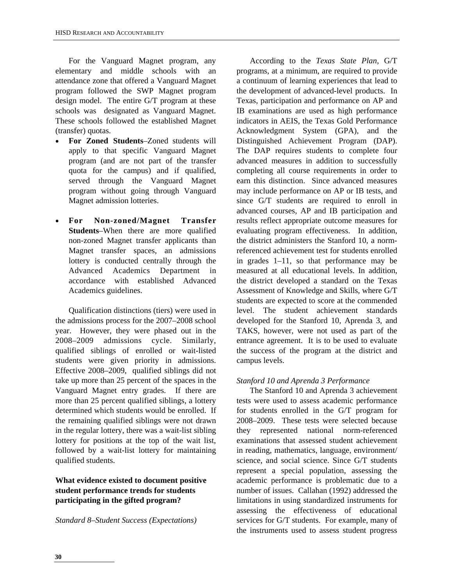For the Vanguard Magnet program, any elementary and middle schools with an attendance zone that offered a Vanguard Magnet program followed the SWP Magnet program design model. The entire G/T program at these schools was designated as Vanguard Magnet. These schools followed the established Magnet (transfer) quotas.

- **For Zoned Students**–Zoned students will apply to that specific Vanguard Magnet program (and are not part of the transfer quota for the campus) and if qualified, served through the Vanguard Magnet program without going through Vanguard Magnet admission lotteries.
- **For Non-zoned/Magnet Transfer Students**–When there are more qualified non-zoned Magnet transfer applicants than Magnet transfer spaces, an admissions lottery is conducted centrally through the Advanced Academics Department in accordance with established Advanced Academics guidelines.

Qualification distinctions (tiers) were used in the admissions process for the 2007–2008 school year. However, they were phased out in the 2008–2009 admissions cycle. Similarly, qualified siblings of enrolled or wait-listed students were given priority in admissions. Effective 2008–2009, qualified siblings did not take up more than 25 percent of the spaces in the Vanguard Magnet entry grades. If there are more than 25 percent qualified siblings, a lottery determined which students would be enrolled. If the remaining qualified siblings were not drawn in the regular lottery, there was a wait-list sibling lottery for positions at the top of the wait list, followed by a wait-list lottery for maintaining qualified students.

#### **What evidence existed to document positive student performance trends for students participating in the gifted program?**

#### *Standard 8–Student Success (Expectations)*

According to the *Texas State Plan*, G/T programs, at a minimum, are required to provide a continuum of learning experiences that lead to the development of advanced-level products. In Texas, participation and performance on AP and IB examinations are used as high performance indicators in AEIS, the Texas Gold Performance Acknowledgment System (GPA), and the Distinguished Achievement Program (DAP). The DAP requires students to complete four advanced measures in addition to successfully completing all course requirements in order to earn this distinction. Since advanced measures may include performance on AP or IB tests, and since G/T students are required to enroll in advanced courses, AP and IB participation and results reflect appropriate outcome measures for evaluating program effectiveness. In addition, the district administers the Stanford 10, a normreferenced achievement test for students enrolled in grades 1–11, so that performance may be measured at all educational levels. In addition, the district developed a standard on the Texas Assessment of Knowledge and Skills, where G/T students are expected to score at the commended level. The student achievement standards developed for the Stanford 10, Aprenda 3, and TAKS, however, were not used as part of the entrance agreement. It is to be used to evaluate the success of the program at the district and campus levels.

#### *Stanford 10 and Aprenda 3 Performance*

The Stanford 10 and Aprenda 3 achievement tests were used to assess academic performance for students enrolled in the G/T program for 2008–2009. These tests were selected because they represented national norm-referenced examinations that assessed student achievement in reading, mathematics, language, environment/ science, and social science. Since G/T students represent a special population, assessing the academic performance is problematic due to a number of issues. Callahan (1992) addressed the limitations in using standardized instruments for assessing the effectiveness of educational services for G/T students. For example, many of the instruments used to assess student progress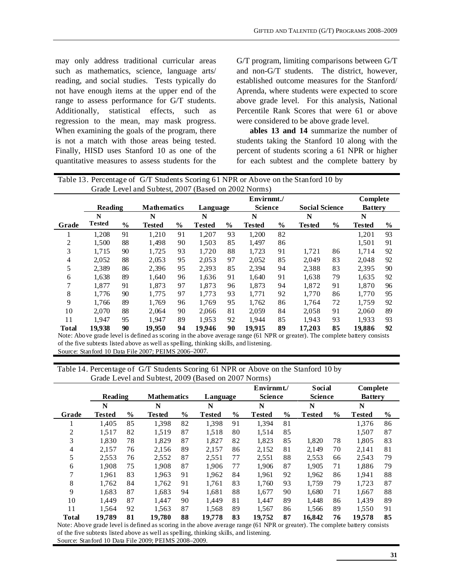may only address traditional curricular areas such as mathematics, science, language arts/ reading, and social studies. Tests typically do not have enough items at the upper end of the range to assess performance for G/T students. Additionally, statistical effects, such as regression to the mean, may mask progress. When examining the goals of the program, there is not a match with those areas being tested. Finally, HISD uses Stanford 10 as one of the quantitative measures to assess students for the G/T program, limiting comparisons between G/T and non-G/T students. The district, however, established outcome measures for the Stanford/ Aprenda, where students were expected to score above grade level. For this analysis, National Percentile Rank Scores that were 61 or above were considered to be above grade level.

**ables 13 and 14** summarize the number of students taking the Stanford 10 along with the percent of students scoring a 61 NPR or higher for each subtest and the complete battery by

|       | Table 13. Percentage of G/T Students Scoring 61 NPR or Above on the Stanford 10 by |               |                                                                                                                                    |               |               |      |                |      |                       |      |                |      |
|-------|------------------------------------------------------------------------------------|---------------|------------------------------------------------------------------------------------------------------------------------------------|---------------|---------------|------|----------------|------|-----------------------|------|----------------|------|
|       |                                                                                    |               | Grade Level and Subtest, 2007 (Based on 2002 Norms)                                                                                |               |               |      |                |      |                       |      |                |      |
|       |                                                                                    |               |                                                                                                                                    |               |               |      | Envirnmt./     |      |                       |      | Complete       |      |
|       | <b>Reading</b>                                                                     |               | <b>Mathematics</b>                                                                                                                 |               | Language      |      | <b>Science</b> |      | <b>Social Science</b> |      | <b>Battery</b> |      |
|       | N<br>N<br>N<br>N<br>N<br>N                                                         |               |                                                                                                                                    |               |               |      |                |      |                       |      |                |      |
| Grade | Tested                                                                             | $\frac{0}{0}$ | <b>Tested</b>                                                                                                                      | $\frac{0}{0}$ | <b>Tested</b> | $\%$ | <b>Tested</b>  | $\%$ | <b>Tested</b>         | $\%$ | <b>Tested</b>  | $\%$ |
|       | 1,208                                                                              | 91            | 1,210                                                                                                                              | 91            | 1,207         | 93   | 1,200          | 82   |                       |      | 1,201          | 93   |
| 2     | 1,500                                                                              | 88            | 1,498                                                                                                                              | 90            | 1,503         | 85   | 1,497          | 86   |                       |      | 1,501          | 91   |
| 3     | 1,715                                                                              | 90            | 1,725                                                                                                                              | 93            | 1,720         | 88   | 1,723          | 91   | 1,721                 | 86   | 1,714          | 92   |
| 4     | 2,052                                                                              | 88            | 2,053                                                                                                                              | 95            | 2,053         | 97   | 2,052          | 85   | 2,049                 | 83   | 2,048          | 92   |
| 5     | 2,389                                                                              | 86            | 2,396                                                                                                                              | 95            | 2.393         | 85   | 2,394          | 94   | 2,388                 | 83   | 2,395          | 90   |
| 6     | 1,638                                                                              | 89            | 1,640                                                                                                                              | 96            | 1,636         | 91   | 1.640          | 91   | 1,638                 | 79   | 1,635          | 92   |
|       | 1.877                                                                              | 91            | 1.873                                                                                                                              | 97            | 1,873         | 96   | 1.873          | 94   | 1.872                 | 91   | 1,870          | 96   |
| 8     | 1,776                                                                              | 90            | 1,775                                                                                                                              | 97            | 1,773         | 93   | 1.771          | 92   | 1,770                 | 86   | 1,770          | 95   |
| 9     | 1,766                                                                              | 89            | 1,769                                                                                                                              | 96            | 1,769         | 95   | 1.762          | 86   | 1.764                 | 72   | 1,759          | 92   |
| 10    | 2.070                                                                              | 88            | 2,064                                                                                                                              | 90            | 2,066         | 81   | 2.059          | 84   | 2,058                 | 91   | 2,060          | 89   |
| 11    | 1,947                                                                              | 95            | 1.947                                                                                                                              | 89            | 1,953         | 92   | 1.944          | 85   | 1.943                 | 93   | 1.933          | 93   |
| Total | 19.938                                                                             | 90            | 19,950<br>Note: Above ande level is defined es segmento the ebove exemper mane (61 NDD on another). The compulste bettery consiste | 94            | 19,946        | 90   | 19.915         | 89   | 17,203                | 85   | 19,886         | 92   |

Note: Above grade level is defined as scoring in the above average range (61 NPR or greater). The complete battery consists of the five subtests listed above as well as spelling, thinking skills, and listening. Source: Stanford 10 Data File 2007; PEIMS 2006–2007.

Table 14. Percentage of G/T Students Scoring 61 NPR or Above on the Stanford 10 by Grade Level and Subtest, 2009 (Based on 2007 Norms)

|              | Reading                                                   |               | <b>Mathematics</b> |               | Language      |               | Envirnmt./<br><b>Science</b> |      | <b>Social</b><br><b>Science</b> |      | Complete<br><b>Battery</b> |      |
|--------------|-----------------------------------------------------------|---------------|--------------------|---------------|---------------|---------------|------------------------------|------|---------------------------------|------|----------------------------|------|
|              | N                                                         |               | N                  |               | N             |               | N                            |      | N                               |      | N                          |      |
| Grade        | <b>Tested</b>                                             | $\frac{6}{9}$ | <b>Tested</b>      | $\frac{6}{6}$ | <b>Tested</b> | $\frac{0}{0}$ | <b>Tested</b>                | $\%$ | <b>Tested</b>                   | $\%$ | <b>Tested</b>              | $\%$ |
|              | 1.405                                                     | 85            | 1.398              | 82            | 1,398         | 91            | 1.394                        | 81   |                                 |      | 1.376                      | 86   |
| 2            | 1.517                                                     | 82            | 1,519              | 87            | 1,518         | 80            | 1.514                        | 85   |                                 |      | 1,507                      | 87   |
| 3            | 1,830                                                     | 78            | 1,829              | 87            | 1,827         | 82            | 1,823                        | 85   | 1,820                           | 78   | 1,805                      | 83   |
| 4            | 2,157                                                     | 76            | 2,156              | 89            | 2,157         | 86            | 2,152                        | 81   | 2,149                           | 70   | 2,141                      | 81   |
| 5            | 2.553                                                     | 76            | 2,552              | 87            | 2,551         | 77            | 2,551                        | 88   | 2,553                           | 66   | 2,543                      | 79   |
| 6            | 1.908                                                     | 75            | 1.908              | 87            | 1.906         | 77            | 1.906                        | 87   | 1.905                           | 71   | 1.886                      | 79   |
| 7            | 1.961                                                     | 83            | 1,963              | 91            | 1,962         | 84            | 1.961                        | 92   | 1,962                           | 86   | 1,941                      | 88   |
| 8            | 1.762                                                     | 84            | 1,762              | 91            | 1,761         | 83            | 1.760                        | 93   | 1.759                           | 79   | 1.723                      | 87   |
| 9            | 1.683                                                     | 87            | 1.683              | 94            | 1,681         | 88            | 1.677                        | 90   | 1.680                           | 71   | 1.667                      | 88   |
| 10           | 1.449                                                     | 87            | 1.447              | 90            | 1.449         | 81            | 1.447                        | 89   | 1.448                           | 86   | 1.439                      | 89   |
| 11           | 1.564                                                     | 92            | 1.563              | 87            | 1,568         | 89            | 1.567                        | 86   | 1,566                           | 89   | 1,550                      | 91   |
| <b>Total</b> | 19.789<br>March - Albanna and de Langlie defined as a ser | 81            | 19,780             | 88            | 19,778        | 83            | 19,752<br>$(61$ $NCDD$       | 87   | 16,842<br>TH <sub>2</sub>       | 76   | 19,578                     | 85   |

Note: Above grade level is defined as scoring in the above average range (61 NPR or greater). The complete battery consists of the five subtests listed above as well as spelling, thinking skills, and listening. Source: Stanford 10 Data File 2009; PEIMS 2008–2009.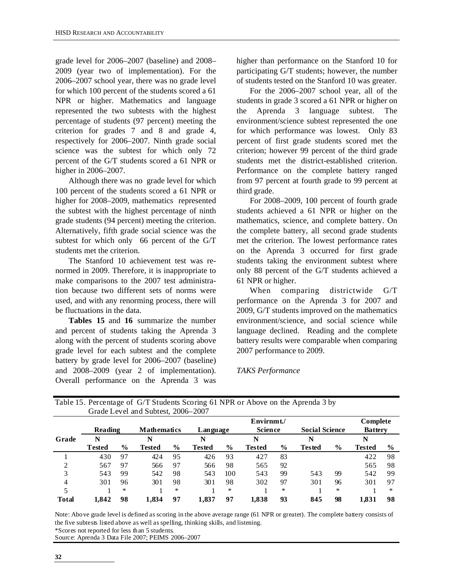grade level for 2006–2007 (baseline) and 2008– 2009 (year two of implementation). For the 2006–2007 school year, there was no grade level for which 100 percent of the students scored a 61 NPR or higher. Mathematics and language represented the two subtests with the highest percentage of students (97 percent) meeting the criterion for grades 7 and 8 and grade 4, respectively for 2006–2007. Ninth grade social science was the subtest for which only 72 percent of the G/T students scored a 61 NPR or higher in 2006–2007.

Although there was no grade level for which 100 percent of the students scored a 61 NPR or higher for 2008–2009, mathematics represented the subtest with the highest percentage of ninth grade students (94 percent) meeting the criterion. Alternatively, fifth grade social science was the subtest for which only 66 percent of the G/T students met the criterion.

The Stanford 10 achievement test was renormed in 2009. Therefore, it is inappropriate to make comparisons to the 2007 test administration because two different sets of norms were used, and with any renorming process, there will be fluctuations in the data.

**Tables 15** and **16** summarize the number and percent of students taking the Aprenda 3 along with the percent of students scoring above grade level for each subtest and the complete battery by grade level for 2006–2007 (baseline) and 2008–2009 (year 2 of implementation). Overall performance on the Aprenda 3 was

higher than performance on the Stanford 10 for participating G/T students; however, the number of students tested on the Stanford 10 was greater.

For the 2006–2007 school year, all of the students in grade 3 scored a 61 NPR or higher on the Aprenda 3 language subtest. The environment/science subtest represented the one for which performance was lowest. Only 83 percent of first grade students scored met the criterion; however 99 percent of the third grade students met the district-established criterion. Performance on the complete battery ranged from 97 percent at fourth grade to 99 percent at third grade.

For 2008–2009, 100 percent of fourth grade students achieved a 61 NPR or higher on the mathematics, science, and complete battery. On the complete battery, all second grade students met the criterion. The lowest performance rates on the Aprenda 3 occurred for first grade students taking the environment subtest where only 88 percent of the G/T students achieved a 61 NPR or higher.

When comparing districtwide G/T performance on the Aprenda 3 for 2007 and 2009, G/T students improved on the mathematics environment/science, and social science while language declined. Reading and the complete battery results were comparable when comparing 2007 performance to 2009.

#### *TAKS Performance*

|              | Reading |               | <b>Mathematics</b> |               | Language      |      | Envirnmt./<br><b>Science</b> |      | <b>Social Science</b> |        | Complete<br><b>Battery</b> |        |
|--------------|---------|---------------|--------------------|---------------|---------------|------|------------------------------|------|-----------------------|--------|----------------------------|--------|
| Grade        | N       |               | N                  |               | N             |      | N                            |      | N                     |        | N                          |        |
|              | Tested  | $\frac{6}{9}$ | Tested             | $\frac{6}{9}$ | <b>Tested</b> | $\%$ | Tested                       | $\%$ | Tested                | $\%$   | <b>Tested</b>              | $\%$   |
|              | 430     | 97            | 424                | 95            | 426           | 93   | 427                          | 83   |                       |        | 422                        | 98     |
| 2            | 567     | 97            | 566                | 97            | 566           | 98   | 565                          | 92   |                       |        | 565                        | 98     |
| 3            | 543     | 99            | 542                | 98            | 543           | 100  | 543                          | 99   | 543                   | 99     | 542                        | 99     |
| 4            | 301     | 96            | 301                | 98            | 301           | 98   | 302                          | 97   | 301                   | 96     | 301                        | 97     |
| 5            |         | ∗             |                    | $\ast$        |               | *    |                              | *    |                       | $\ast$ |                            | $\ast$ |
| <b>Total</b> | 1.842   | 98            | 1,834              | 97            | 1,837         | 97   | 1,838                        | 93   | 845                   | 98     | 1,831                      | 98     |

| Table 15. Percentage of G/T Students Scoring 61 NPR or Above on the Aprenda 3 by |  |
|----------------------------------------------------------------------------------|--|
| Grade Level and Subtest, 2006–2007                                               |  |

Note: Above grade level is defined as scoring in the above average range (61 NPR or greater). The complete battery consists of the five subtests listed above as well as spelling, thinking skills, and listening. \*Scores not reported for less than 5 students.

Source: Aprenda 3 Data File 2007; PEIMS 2006–2007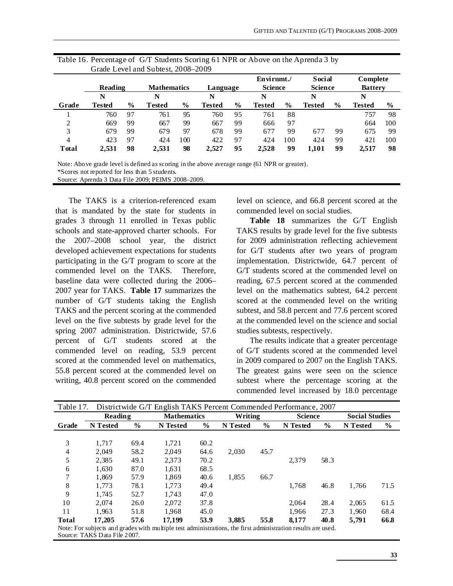|               |                |               | Grade Level and Subtest, 2008–2009 |               |               |               |                              |               |                                 |               |                            |               |
|---------------|----------------|---------------|------------------------------------|---------------|---------------|---------------|------------------------------|---------------|---------------------------------|---------------|----------------------------|---------------|
|               | <b>Reading</b> |               | <b>Mathematics</b>                 |               | Language      |               | Envirnmt./<br><b>Science</b> |               | <b>Social</b><br><b>Science</b> |               | Complete<br><b>Battery</b> |               |
|               | N              |               | N                                  |               | N             |               | N                            |               | N                               |               | N                          |               |
| Grade         | Tested         | $\frac{6}{9}$ | <b>Tested</b>                      | $\frac{0}{0}$ | <b>Tested</b> | $\frac{6}{9}$ | <b>Tested</b>                | $\frac{6}{6}$ | <b>Tested</b>                   | $\frac{6}{9}$ | <b>Tested</b>              | $\frac{0}{0}$ |
|               | 760            | 97            | 761                                | 95            | 760           | 95            | 761                          | 88            |                                 |               | 757                        | 98            |
| 2             | 669            | 99            | 667                                | 99            | 667           | 99            | 666                          | 97            |                                 |               | 664                        | 100           |
| 3             | 679            | 99            | 679                                | 97            | 678           | 99            | 677                          | 99            | 67'                             | 99            | 675                        | 99            |
| 4             | 423            | 97            | 424                                | 100           | 422           | 97            | 424                          | 100           | 424                             | 99            | 421                        | 100           |
| <b>T</b> otal | 2,531          | 98            | 2,531                              | 98            | 2.527         | 95            | 2,528                        | 99            | 1.101                           | 99            | 2,517                      | 98            |

| Table 16. Percentage of G/T Students Scoring 61 NPR or Above on the Aprenda 3 by |
|----------------------------------------------------------------------------------|
| Grade Level and Subtest, 2008–2009                                               |

Note: Above grade level is defined as scoring in the above average range (61 NPR or greater). \*Scores not reported for less than 5 students.

Source: Aprenda 3 Data File 2009; PEIMS 2008–2009.

The TAKS is a criterion-referenced exam that is mandated by the state for students in grades 3 through 11 enrolled in Texas public schools and state-approved charter schools. For the 2007–2008 school year, the district developed achievement expectations for students participating in the G/T program to score at the commended level on the TAKS. Therefore, baseline data were collected during the 2006– 2007 year for TAKS. **Table 17** summarizes the number of G/T students taking the English TAKS and the percent scoring at the commended level on the five subtests by grade level for the spring 2007 administration. Districtwide, 57.6 percent of G/T students scored at the commended level on reading, 53.9 percent scored at the commended level on mathematics, 55.8 percent scored at the commended level on writing, 40.8 percent scored on the commended

level on science, and 66.8 percent scored at the commended level on social studies.

**Table 18** summarizes the G/T English TAKS results by grade level for the five subtests for 2009 administration reflecting achievement for G/T students after two years of program implementation. Districtwide, 64.7 percent of G/T students scored at the commended level on reading, 67.5 percent scored at the commended level on the mathematics subtest, 64.2 percent scored at the commended level on the writing subtest, and 58.8 percent and 77.6 percent scored at the commended level on the science and social studies subtests, respectively.

The results indicate that a greater percentage of G/T students scored at the commended level in 2009 compared to 2007 on the English TAKS. The greatest gains were seen on the science subtest where the percentage scoring at the commended level increased by 18.0 percentage

| Table 17.      |          |      | Districtwide G/T English TAKS Percent Commended Performance, 2007                                            |               |          |               |                |               |                       |      |
|----------------|----------|------|--------------------------------------------------------------------------------------------------------------|---------------|----------|---------------|----------------|---------------|-----------------------|------|
|                | Reading  |      | <b>Mathematics</b>                                                                                           |               | Writing  |               | <b>Science</b> |               | <b>Social Studies</b> |      |
| Grade          | N Tested | $\%$ | <b>N</b> Tested                                                                                              | $\frac{0}{0}$ | N Tested | $\frac{0}{0}$ | N Tested       | $\frac{6}{9}$ | N Tested              | $\%$ |
|                |          |      |                                                                                                              |               |          |               |                |               |                       |      |
| 3              | 1.717    | 69.4 | 1.721                                                                                                        | 60.2          |          |               |                |               |                       |      |
| $\overline{4}$ | 2.049    | 58.2 | 2.049                                                                                                        | 64.6          | 2.030    | 45.7          |                |               |                       |      |
| 5              | 2,385    | 49.1 | 2,373                                                                                                        | 70.2          |          |               | 2.379          | 58.3          |                       |      |
| 6              | 1,630    | 87.0 | 1,631                                                                                                        | 68.5          |          |               |                |               |                       |      |
| 7              | 1.869    | 57.9 | 1.869                                                                                                        | 40.6          | 1,855    | 66.7          |                |               |                       |      |
| 8              | 1.773    | 78.1 | 1.773                                                                                                        | 49.4          |          |               | 1.768          | 46.8          | 1,766                 | 71.5 |
| 9              | 1,745    | 52.7 | 1,743                                                                                                        | 47.0          |          |               |                |               |                       |      |
| 10             | 2.074    | 26.0 | 2.072                                                                                                        | 37.8          |          |               | 2.064          | 28.4          | 2,065                 | 61.5 |
| 11             | 1.963    | 51.8 | 1.968                                                                                                        | 45.0          |          |               | 1.966          | 27.3          | 1,960                 | 68.4 |
| <b>Total</b>   | 17,205   | 57.6 | 17.199                                                                                                       | 53.9          | 3.885    | 55.8          | 8.177          | 40.8          | 5,791                 | 66.8 |
|                |          |      | Note: For subjects and grades with multiple test administrations, the first administration results are used. |               |          |               |                |               |                       |      |

Source: TAKS Data File 2007.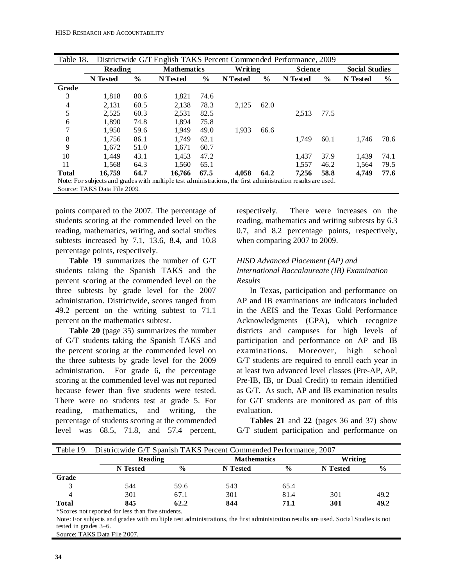| Table 18.    |                              |               | Districtwide G/T English TAKS Percent Commended Performance, 2009                                            |               |          |               |                |               |                       |      |
|--------------|------------------------------|---------------|--------------------------------------------------------------------------------------------------------------|---------------|----------|---------------|----------------|---------------|-----------------------|------|
|              | Reading                      |               | <b>Mathematics</b>                                                                                           |               | Writing  |               | <b>Science</b> |               | <b>Social Studies</b> |      |
|              | N Tested                     | $\frac{6}{6}$ | N Tested                                                                                                     | $\frac{6}{6}$ | N Tested | $\frac{6}{9}$ | N Tested       | $\frac{6}{9}$ | N Tested              | $\%$ |
| Grade        |                              |               |                                                                                                              |               |          |               |                |               |                       |      |
| 3            | 1,818                        | 80.6          | 1,821                                                                                                        | 74.6          |          |               |                |               |                       |      |
| 4            | 2,131                        | 60.5          | 2,138                                                                                                        | 78.3          | 2,125    | 62.0          |                |               |                       |      |
| 5            | 2,525                        | 60.3          | 2,531                                                                                                        | 82.5          |          |               | 2,513          | 77.5          |                       |      |
| 6            | 1.890                        | 74.8          | 1.894                                                                                                        | 75.8          |          |               |                |               |                       |      |
| 7            | 1,950                        | 59.6          | 1.949                                                                                                        | 49.0          | 1,933    | 66.6          |                |               |                       |      |
| 8            | 1.756                        | 86.1          | 1.749                                                                                                        | 62.1          |          |               | 1.749          | 60.1          | 1.746                 | 78.6 |
| 9            | 1.672                        | 51.0          | 1.671                                                                                                        | 60.7          |          |               |                |               |                       |      |
| 10           | 1.449                        | 43.1          | 1.453                                                                                                        | 47.2          |          |               | 1.437          | 37.9          | 1.439                 | 74.1 |
| 11           | 1.568                        | 64.3          | 1,560                                                                                                        | 65.1          |          |               | 1.557          | 46.2          | 1,564                 | 79.5 |
| <b>Total</b> | 16.759                       | 64.7          | 16.766                                                                                                       | 67.5          | 4.058    | 64.2          | 7.256          | 58.8          | 4,749                 | 77.6 |
|              |                              |               | Note: For subjects and grades with multiple test administrations, the first administration results are used. |               |          |               |                |               |                       |      |
|              | Source: TAKS Data File 2009. |               |                                                                                                              |               |          |               |                |               |                       |      |

points compared to the 2007. The percentage of students scoring at the commended level on the reading, mathematics, writing, and social studies subtests increased by 7.1, 13.6, 8.4, and 10.8 percentage points, respectively.

**Table 19** summarizes the number of G/T students taking the Spanish TAKS and the percent scoring at the commended level on the three subtests by grade level for the 2007 administration. Districtwide, scores ranged from 49.2 percent on the writing subtest to 71.1 percent on the mathematics subtest.

**Table 20** (page 35) summarizes the number of G/T students taking the Spanish TAKS and the percent scoring at the commended level on the three subtests by grade level for the 2009 administration. For grade 6, the percentage scoring at the commended level was not reported because fewer than five students were tested. There were no students test at grade 5. For reading, mathematics, and writing, the percentage of students scoring at the commended level was 68.5, 71.8, and 57.4 percent, respectively. There were increases on the reading, mathematics and writing subtests by 6.3 0.7, and 8.2 percentage points, respectively, when comparing 2007 to 2009.

#### *HISD Advanced Placement (AP) and International Baccalaureate (IB) Examination Results*

In Texas, participation and performance on AP and IB examinations are indicators included in the AEIS and the Texas Gold Performance Acknowledgments (GPA), which recognize districts and campuses for high levels of participation and performance on AP and IB examinations. Moreover, high school G/T students are required to enroll each year in at least two advanced level classes (Pre-AP, AP, Pre-IB, IB, or Dual Credit) to remain identified as G/T. As such, AP and IB examination results for G/T students are monitored as part of this evaluation.

**Tables 21** and **22** (pages 36 and 37) show G/T student participation and performance on

|              | Table 19. Districtwide G/T Spanish TAKS Percent Commended Performance, 2007 |                                          |          |               |          |               |  |  |  |  |  |  |
|--------------|-----------------------------------------------------------------------------|------------------------------------------|----------|---------------|----------|---------------|--|--|--|--|--|--|
|              |                                                                             | Writing<br>Reading<br><b>Mathematics</b> |          |               |          |               |  |  |  |  |  |  |
|              | <b>N</b> Tested                                                             | $\frac{6}{9}$                            | N Tested | $\frac{0}{0}$ | N Tested | $\frac{6}{9}$ |  |  |  |  |  |  |
| Grade        |                                                                             |                                          |          |               |          |               |  |  |  |  |  |  |
|              | 544                                                                         | 59.6                                     | 543      | 65.4          |          |               |  |  |  |  |  |  |
|              | 301                                                                         | 67.1                                     | 301      | 81.4          | 301      | 49.2          |  |  |  |  |  |  |
| <b>Total</b> | 845                                                                         | 62.2                                     | 844      | 71.1          | 301      | 49.2          |  |  |  |  |  |  |
| $\sim$       | .                                                                           |                                          |          |               |          |               |  |  |  |  |  |  |

\*Scores not reported for less than five students.

Note: For subjects and grades with multiple test administrations, the first administration results are used. Social Studies is not tested in grades 3–6.

Source: TAKS Data File 2007.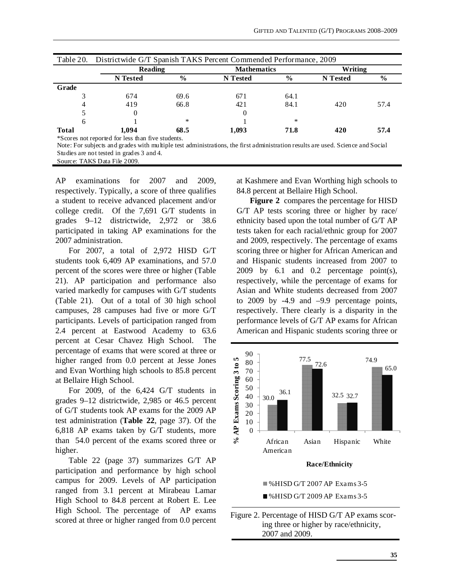| Table 20.                                                                                                                                                                       | Districtwide G/T Spanish TAKS Percent Commended Performance, 2009 |               |                    |               |          |               |  |
|---------------------------------------------------------------------------------------------------------------------------------------------------------------------------------|-------------------------------------------------------------------|---------------|--------------------|---------------|----------|---------------|--|
|                                                                                                                                                                                 | Reading                                                           |               | <b>Mathematics</b> |               |          | Writing       |  |
|                                                                                                                                                                                 | N Tested                                                          | $\frac{6}{6}$ | N Tested           | $\frac{0}{0}$ | N Tested | $\frac{6}{9}$ |  |
| Grade                                                                                                                                                                           |                                                                   |               |                    |               |          |               |  |
|                                                                                                                                                                                 | 674                                                               | 69.6          | 671                | 64.1          |          |               |  |
| 4                                                                                                                                                                               | 419                                                               | 66.8          | 421                | 84.1          | 420      | 57.4          |  |
|                                                                                                                                                                                 |                                                                   |               |                    |               |          |               |  |
| 6                                                                                                                                                                               |                                                                   | $*$           |                    | *             |          |               |  |
| <b>Total</b>                                                                                                                                                                    | 1.094                                                             | 68.5          | 1.093              | 71.8          | 420      | 57.4          |  |
| *Scores not reported for less than five students.<br>Note: For which and oneder with my kinds toot edministrations, the first edministration new teacher we used. Covered Coast |                                                                   |               |                    |               |          |               |  |

Note: For subjects and grades with multiple test administrations, the first administration results are used. Science and Social Studies are not tested in grades 3 and 4.

Source: TAKS Data File 2009.

AP examinations for 2007 and 2009, respectively. Typically, a score of three qualifies a student to receive advanced placement and/or college credit. Of the 7,691 G/T students in grades 9–12 districtwide, 2,972 or 38.6 participated in taking AP examinations for the 2007 administration.

For 2007, a total of 2,972 HISD G/T students took 6,409 AP examinations, and 57.0 percent of the scores were three or higher (Table 21). AP participation and performance also varied markedly for campuses with G/T students (Table 21). Out of a total of 30 high school campuses, 28 campuses had five or more G/T participants. Levels of participation ranged from 2.4 percent at Eastwood Academy to 63.6 percent at Cesar Chavez High School. The percentage of exams that were scored at three or higher ranged from 0.0 percent at Jesse Jones and Evan Worthing high schools to 85.8 percent at Bellaire High School.

For 2009, of the 6,424 G/T students in grades 9–12 districtwide, 2,985 or 46.5 percent of G/T students took AP exams for the 2009 AP test administration (**Table 22**, page 37). Of the 6,818 AP exams taken by G/T students, more than 54.0 percent of the exams scored three or higher.

Table 22 (page 37) summarizes G/T AP participation and performance by high school campus for 2009. Levels of AP participation ranged from 3.1 percent at Mirabeau Lamar High School to 84.8 percent at Robert E. Lee High School. The percentage of AP exams scored at three or higher ranged from 0.0 percent at Kashmere and Evan Worthing high schools to 84.8 percent at Bellaire High School.

**Figure 2** compares the percentage for HISD G/T AP tests scoring three or higher by race/ ethnicity based upon the total number of G/T AP tests taken for each racial/ethnic group for 2007 and 2009, respectively. The percentage of exams scoring three or higher for African American and and Hispanic students increased from 2007 to 2009 by 6.1 and 0.2 percentage point(s), respectively, while the percentage of exams for Asian and White students decreased from 2007 to 2009 by -4.9 and –9.9 percentage points, respectively. There clearly is a disparity in the performance levels of G/T AP exams for African American and Hispanic students scoring three or



Figure 2. Percentage of HISD G/T AP exams scoring three or higher by race/ethnicity, 2007 and 2009.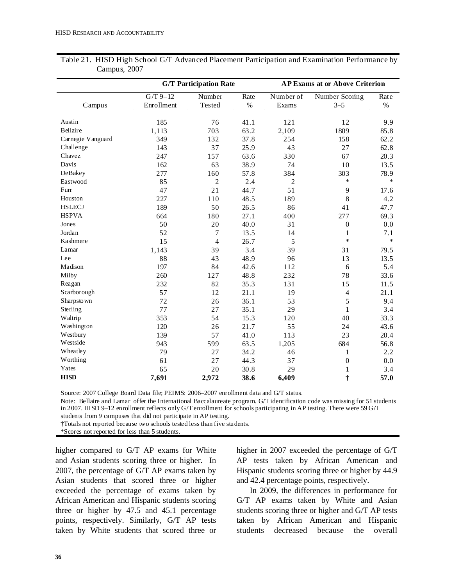|                   | <b>G/T Participation Rate</b> |                  |              | <b>AP Exams at or Above Criterion</b> |                           |              |  |
|-------------------|-------------------------------|------------------|--------------|---------------------------------------|---------------------------|--------------|--|
| Campus            | $G/T$ 9-12<br>Enrollment      | Number<br>Tested | Rate<br>$\%$ | Number of<br>Exams                    | Number Scoring<br>$3 - 5$ | Rate<br>$\%$ |  |
|                   |                               |                  |              |                                       |                           |              |  |
| Austin            | 185                           | 76               | 41.1         | 121                                   | 12                        | 9.9          |  |
| <b>Bellaire</b>   | 1,113                         | 703              | 63.2         | 2,109                                 | 1809                      | 85.8         |  |
| Carnegie Vanguard | 349                           | 132              | 37.8         | 254                                   | 158                       | 62.2         |  |
| Challenge         | 143                           | 37               | 25.9         | 43                                    | 27                        | 62.8         |  |
| Chavez            | 247                           | 157              | 63.6         | 330                                   | 67                        | 20.3         |  |
| Davis             | 162                           | 63               | 38.9         | 74                                    | 10                        | 13.5         |  |
| <b>DeBakey</b>    | 277                           | 160              | 57.8         | 384                                   | 303                       | 78.9         |  |
| Eastwood          | 85                            | $\overline{c}$   | 2.4          | 2                                     | $\ast$                    | $\ast$       |  |
| Furr              | 47                            | 21               | 44.7         | 51                                    | 9                         | 17.6         |  |
| Houston           | 227                           | 110              | 48.5         | 189                                   | 8                         | 4.2          |  |
| <b>HSLECJ</b>     | 189                           | 50               | 26.5         | 86                                    | 41                        | 47.7         |  |
| <b>HSPVA</b>      | 664                           | 180              | 27.1         | 400                                   | 277                       | 69.3         |  |
| Jones             | 50                            | 20               | 40.0         | 31                                    | 0                         | 0.0          |  |
| Jordan            | 52                            | 7                | 13.5         | 14                                    | 1                         | 7.1          |  |
| Kashmere          | 15                            | $\overline{4}$   | 26.7         | 5                                     | $\ast$                    | $\ast$       |  |
| Lamar             | 1,143                         | 39               | 3.4          | 39                                    | 31                        | 79.5         |  |
| Lee               | 88                            | 43               | 48.9         | 96                                    | 13                        | 13.5         |  |
| Madison           | 197                           | 84               | 42.6         | 112                                   | 6                         | 5.4          |  |
| Milby             | 260                           | 127              | 48.8         | 232                                   | 78                        | 33.6         |  |
| Reagan            | 232                           | 82               | 35.3         | 131                                   | 15                        | 11.5         |  |
| Scarborough       | 57                            | 12               | 21.1         | 19                                    | $\overline{\mathbf{4}}$   | 21.1         |  |
| Sharpsto wn       | 72                            | 26               | 36.1         | 53                                    | 5                         | 9.4          |  |
| Sterling          | 77                            | 27               | 35.1         | 29                                    | $\mathbf{1}$              | 3.4          |  |
| Waltrip           | 353                           | 54               | 15.3         | 120                                   | 40                        | 33.3         |  |
| Washington        | 120                           | 26               | 21.7         | 55                                    | 24                        | 43.6         |  |
| Westbury          | 139                           | 57               | 41.0         | 113                                   | 23                        | 20.4         |  |
| Westside          | 943                           | 599              | 63.5         | 1,205                                 | 684                       | 56.8         |  |
| Wheatley          | 79                            | 27               | 34.2         | 46                                    | 1                         | 2.2          |  |
| Worthing          | 61                            | 27               | 44.3         | 37                                    | $\boldsymbol{0}$          | 0.0          |  |
| Yates             | 65                            | 20               | 30.8         | 29                                    | $\mathbf{1}$              | 3.4          |  |
| <b>HISD</b>       | 7,691                         | 2,972            | 38.6         | 6,409                                 | ÷                         | 57.0         |  |

Table 21. HISD High School G/T Advanced Placement Participation and Examination Performance by Campus, 2007

Source: 2007 College Board Data file; PEIMS: 2006–2007 enrollment data and G/T status.

Note: Bellaire and Lamar offer the International Baccalaureate program. G/T identification code was missing for 51 students in 2007. HISD 9–12 enrollment reflects only G/T enrollment for schools participating in AP testing. There were 59 G/T

students from 9 campuses that did not participate in AP testing. **†**Totals not reported because two schools tested less than five students.

\*Scores not reported for less than 5 students.

higher compared to G/T AP exams for White and Asian students scoring three or higher. In 2007, the percentage of G/T AP exams taken by Asian students that scored three or higher exceeded the percentage of exams taken by African American and Hispanic students scoring three or higher by 47.5 and 45.1 percentage points, respectively. Similarly, G/T AP tests taken by White students that scored three or higher in 2007 exceeded the percentage of G/T AP tests taken by African American and Hispanic students scoring three or higher by 44.9 and 42.4 percentage points, respectively.

In 2009, the differences in performance for G/T AP exams taken by White and Asian students scoring three or higher and G/T AP tests taken by African American and Hispanic students decreased because the overall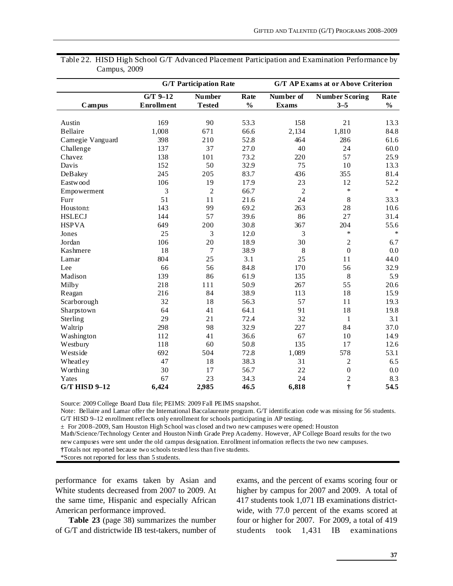|                      |                   | <b>G/T Participation Rate</b><br><b>G/T AP Exams at or Above Criterion</b> |               |                |                       |               |
|----------------------|-------------------|----------------------------------------------------------------------------|---------------|----------------|-----------------------|---------------|
|                      | $G/T$ 9-12        | <b>Number</b>                                                              | Rate          | Number of      | <b>Number Scoring</b> | Rate          |
| Campus               | <b>Enrollment</b> | <b>Tested</b>                                                              | $\frac{0}{0}$ | <b>Exams</b>   | $3 - 5$               | $\frac{0}{0}$ |
|                      |                   |                                                                            |               |                |                       |               |
| Austin               | 169               | 90                                                                         | 53.3          | 158            | 21                    | 13.3          |
| <b>Bellaire</b>      | 1,008             | 671                                                                        | 66.6          | 2,134          | 1,810                 | 84.8          |
| Camegie Vanguard     | 398               | 210                                                                        | 52.8          | 464            | 286                   | 61.6          |
| Challenge            | 137               | 37                                                                         | 27.0          | 40             | 24                    | 60.0          |
| Chavez               | 138               | 101                                                                        | 73.2          | 220            | 57                    | 25.9          |
| Davis                | 152               | 50                                                                         | 32.9          | 75             | 10                    | 13.3          |
| DeBakey              | 245               | 205                                                                        | 83.7          | 436            | 355                   | 81.4          |
| Eastwood             | 106               | 19                                                                         | 17.9          | 23             | 12                    | 52.2          |
| Empowerment          | 3                 | $\overline{c}$                                                             | 66.7          | $\overline{2}$ | $\ast$                | $\ast$        |
| Furr                 | 51                | 11                                                                         | 21.6          | 24             | 8                     | 33.3          |
| Houston+             | 143               | 99                                                                         | 69.2          | 263            | 28                    | 10.6          |
| <b>HSLECJ</b>        | 144               | 57                                                                         | 39.6          | 86             | 27                    | 31.4          |
| <b>HSPVA</b>         | 649               | 200                                                                        | 30.8          | 367            | 204                   | 55.6          |
| Jones                | 25                | 3                                                                          | 12.0          | 3              | $\ast$                | $\ast$        |
| Jordan               | 106               | 20                                                                         | 18.9          | 30             | $\overline{c}$        | 6.7           |
| Kashmere             | 18                | 7                                                                          | 38.9          | 8              | $\boldsymbol{0}$      | 0.0           |
| Lamar                | 804               | 25                                                                         | 3.1           | 25             | 11                    | 44.0          |
| Lee                  | 66                | 56                                                                         | 84.8          | 170            | 56                    | 32.9          |
| Madison              | 139               | 86                                                                         | 61.9          | 135            | 8                     | 5.9           |
| Milby                | 218               | 111                                                                        | 50.9          | 267            | 55                    | 20.6          |
| Reagan               | 216               | 84                                                                         | 38.9          | 113            | 18                    | 15.9          |
| Scarborough          | 32                | 18                                                                         | 56.3          | 57             | 11                    | 19.3          |
| Sharpstown           | 64                | 41                                                                         | 64.1          | 91             | 18                    | 19.8          |
| Sterling             | 29                | 21                                                                         | 72.4          | 32             | $\mathbf{1}$          | 3.1           |
| Waltrip              | 298               | 98                                                                         | 32.9          | 227            | 84                    | 37.0          |
| Washington           | 112               | 41                                                                         | 36.6          | 67             | 10                    | 14.9          |
| Westbury             | 118               | 60                                                                         | 50.8          | 135            | 17                    | 12.6          |
| Westside             | 692               | 504                                                                        | 72.8          | 1,089          | 578                   | 53.1          |
| Wheatley             | 47                | 18                                                                         | 38.3          | 31             | 2                     | 6.5           |
| Worthing             | 30                | 17                                                                         | 56.7          | 22             | $\boldsymbol{0}$      | 0.0           |
| Yates                | 67                | 23                                                                         | 34.3          | 24             | $\overline{c}$        | 8.3           |
| <b>G/T HISD 9-12</b> | 6,424             | 2,985                                                                      | 46.5          | 6,818          | $\dagger$             | 54.5          |

Table 22. HISD High School G/T Advanced Placement Participation and Examination Performance by Campus, 2009

Source: 2009 College Board Data file; PEIMS: 2009 Fall PEIMS snapshot.

Note: Bellaire and Lamar offer the International Baccalaureate program. G/T identification code was missing for 56 students. G/T HISD 9–12 enrollment reflects only enrollment for schools participating in AP testing.

± For 2008–2009, Sam Houston High School was closed and two new campuses were opened: Houston

Math/Science/Technology Center and Houston Ninth Grade Prep Academy. However, AP College Board results for the two new campuses were sent under the old campus designation. Enrollment information reflects the two new campuses.

**†**Totals not reported because two schools tested less than five students.

\*Scores not reported for less than 5 students.

performance for exams taken by Asian and White students decreased from 2007 to 2009. At the same time, Hispanic and especially African American performance improved.

**Table 23** (page 38) summarizes the number of G/T and districtwide IB test-takers, number of exams, and the percent of exams scoring four or higher by campus for 2007 and 2009. A total of 417 students took 1,071 IB examinations districtwide, with 77.0 percent of the exams scored at four or higher for 2007. For 2009, a total of 419 students took 1,431 IB examinations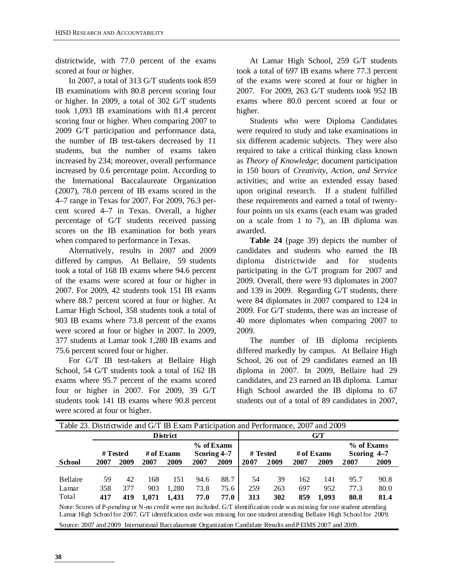districtwide, with 77.0 percent of the exams scored at four or higher.

In 2007, a total of 313 G/T students took 859 IB examinations with 80.8 percent scoring four or higher. In 2009, a total of 302 G/T students took 1,093 IB examinations with 81.4 percent scoring four or higher. When comparing 2007 to 2009 G/T participation and performance data, the number of IB test-takers decreased by 11 students, but the number of exams taken increased by 234; moreover, overall performance increased by 0.6 percentage point. According to the International Baccalaureate Organization (2007), 78.0 percent of IB exams scored in the 4–7 range in Texas for 2007. For 2009, 76.3 percent scored 4–7 in Texas. Overall, a higher percentage of G/T students received passing scores on the IB examination for both years when compared to performance in Texas.

Alternatively, results in 2007 and 2009 differed by campus. At Bellaire, 59 students took a total of 168 IB exams where 94.6 percent of the exams were scored at four or higher in 2007. For 2009, 42 students took 151 IB exams where 88.7 percent scored at four or higher. At Lamar High School, 358 students took a total of 903 IB exams where 73.8 percent of the exams were scored at four or higher in 2007. In 2009, 377 students at Lamar took 1,280 IB exams and 75.6 percent scored four or higher.

For G/T IB test-takers at Bellaire High School, 54 G/T students took a total of 162 IB exams where 95.7 percent of the exams scored four or higher in 2007. For 2009, 39 G/T students took 141 IB exams where 90.8 percent were scored at four or higher.

At Lamar High School, 259 G/T students took a total of 697 IB exams where 77.3 percent of the exams were scored at four or higher in 2007. For 2009, 263 G/T students took 952 IB exams where 80.0 percent scored at four or higher.

Students who were Diploma Candidates were required to study and take examinations in six different academic subjects. They were also required to take a critical thinking class known as *Theory of Knowledge*; document participation in 150 hours of *Creativity*, *Action, and Service* activities; and write an extended essay based upon original research. If a student fulfilled these requirements and earned a total of twentyfour points on six exams (each exam was graded on a scale from 1 to 7), an IB diploma was awarded.

**Table 24** (page 39) depicts the number of candidates and students who earned the IB diploma districtwide and for students participating in the G/T program for 2007 and 2009. Overall, there were 93 diplomates in 2007 and 139 in 2009. Regarding G/T students, there were 84 diplomates in 2007 compared to 124 in 2009. For G/T students, there was an increase of 40 more diplomates when comparing 2007 to 2009.

The number of IB diploma recipients differed markedly by campus. At Bellaire High School, 26 out of 29 candidates earned an IB diploma in 2007. In 2009, Bellaire had 29 candidates, and 23 earned an IB diploma. Lamar High School awarded the IB diploma to 67 students out of a total of 89 candidates in 2007,

| Table 23. Districtwide and G/T IB Exam Participation and Performance, 2007 and 2009                                       |      |          |       |                       |             |            |          |      |      |                          |                           |      |
|---------------------------------------------------------------------------------------------------------------------------|------|----------|-------|-----------------------|-------------|------------|----------|------|------|--------------------------|---------------------------|------|
|                                                                                                                           |      |          |       | <b>District</b>       |             |            |          |      |      | G/T                      |                           |      |
|                                                                                                                           |      | # Tested |       | # of $\mathbf{Exams}$ | Scoring 4–7 | % of Exams | # Tested |      |      | # of $\mathbf{Examples}$ | % of Exams<br>Scoring 4-7 |      |
| <b>School</b>                                                                                                             | 2007 | 2009     | 2007  | 2009                  | 2007        | 2009       | 2007     | 2009 | 2007 | 2009                     | 2007                      | 2009 |
|                                                                                                                           |      |          |       |                       |             |            |          |      |      |                          |                           |      |
| Bellaire                                                                                                                  | 59   | 42       | 168   | 151                   | 94.6        | 88.7       | 54       | 39   | 162  | 141                      | 95.7                      | 90.8 |
| Lamar                                                                                                                     | 358  | 377      | 903   | 1.280                 | 73.8        | 75.6       | 259      | 263  | 697  | 952                      | 77.3                      | 80.0 |
| Total                                                                                                                     | 417  | 419      | 1.071 | 1.431                 | 77.0        | 77.0       | 313      | 302  | 859  | 1.093                    | 80.8                      | 81.4 |
| Note: Scores of P-pending or N-no credit were not included. G/T identification code was missing for one student attending |      |          |       |                       |             |            |          |      |      |                          |                           |      |

Lamar High School for 2007. G/T identification code was missing for one student attending Bellaire High School for 2009. Source: 2007 and 2009 International Baccalaureate Organization Candidate Results and PEIMS 2007 and 2009.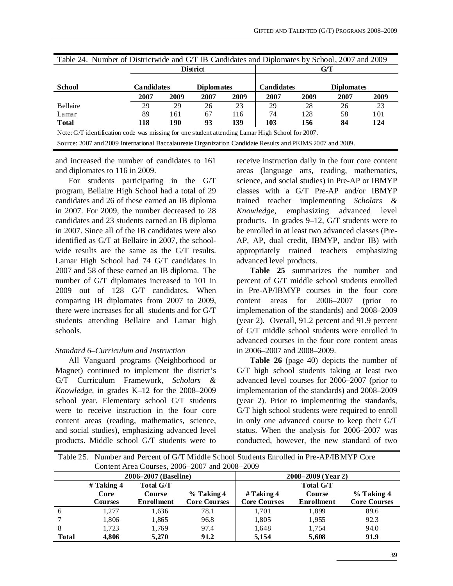|                                                                                                           |      |                                 | District |                   | Table 24. Number of Districtwide and G/T IB Candidates and Diplomates by School, 2007 and 2009<br>G/T |                   |      |      |
|-----------------------------------------------------------------------------------------------------------|------|---------------------------------|----------|-------------------|-------------------------------------------------------------------------------------------------------|-------------------|------|------|
| <b>School</b>                                                                                             |      | Candidates<br><b>Diplomates</b> |          | <b>Candidates</b> |                                                                                                       | <b>Diplomates</b> |      |      |
|                                                                                                           | 2007 | 2009                            | 2007     | 2009              | 2007                                                                                                  | 2009              | 2007 | 2009 |
| <b>Bellaire</b>                                                                                           | 29   | 29                              | 26       | 23                | 29                                                                                                    | 28                | 26   | 23   |
| Lamar                                                                                                     | 89   | 161                             | 67       | 116               | 74                                                                                                    | 128               | 58   | 101  |
| <b>Total</b>                                                                                              | 118  | 190                             | 93       | 139               | 103                                                                                                   | 156               | 84   | 124  |
| Note: G/T identification code was missing for one student attending Lamar High School for 2007.           |      |                                 |          |                   |                                                                                                       |                   |      |      |
| Source: 2007 and 2009 International Baccalaureate Organization Candidate Results and PEIMS 2007 and 2009. |      |                                 |          |                   |                                                                                                       |                   |      |      |

and increased the number of candidates to 161 and diplomates to 116 in 2009.

For students participating in the G/T program, Bellaire High School had a total of 29 candidates and 26 of these earned an IB diploma in 2007. For 2009, the number decreased to 28 candidates and 23 students earned an IB diploma in 2007. Since all of the IB candidates were also identified as G/T at Bellaire in 2007, the schoolwide results are the same as the G/T results. Lamar High School had 74 G/T candidates in 2007 and 58 of these earned an IB diploma. The number of G/T diplomates increased to 101 in 2009 out of 128 G/T candidates. When comparing IB diplomates from 2007 to 2009, there were increases for all students and for G/T students attending Bellaire and Lamar high schools.

#### *Standard 6–Curriculum and Instruction*

All Vanguard programs (Neighborhood or Magnet) continued to implement the district's G/T Curriculum Framework, *Scholars & Knowledge*, in grades K–12 for the 2008–2009 school year. Elementary school G/T students were to receive instruction in the four core content areas (reading, mathematics, science, and social studies), emphasizing advanced level products. Middle school G/T students were to

receive instruction daily in the four core content areas (language arts, reading, mathematics, science, and social studies) in Pre-AP or IBMYP classes with a G/T Pre-AP and/or IBMYP trained teacher implementing *Scholars & Knowledge*, emphasizing advanced level products. In grades 9–12, G/T students were to be enrolled in at least two advanced classes (Pre-AP, AP, dual credit, IBMYP, and/or IB) with appropriately trained teachers emphasizing advanced level products.

**Table 25** summarizes the number and percent of G/T middle school students enrolled in Pre-AP/IBMYP courses in the four core content areas for 2006–2007 (prior to implemenation of the standards) and 2008–2009 (year 2). Overall, 91.2 percent and 91.9 percent of G/T middle school students were enrolled in advanced courses in the four core content areas in 2006–2007 and 2008–2009.

**Table 26** (page 40) depicts the number of G/T high school students taking at least two advanced level courses for 2006–2007 (prior to implementation of the standards) and 2008–2009 (year 2). Prior to implementing the standards, G/T high school students were required to enroll in only one advanced course to keep their G/T status. When the analysis for 2006–2007 was conducted, however, the new standard of two

|              |                |                      | Content Area Courses, 2006–2007 and 2008–2009 |                     |                  |                     |  |  |
|--------------|----------------|----------------------|-----------------------------------------------|---------------------|------------------|---------------------|--|--|
|              |                | 2006–2007 (Baseline) |                                               | 2008–2009 (Year 2)  |                  |                     |  |  |
|              | $#$ Taking 4   | <b>Total G/T</b>     |                                               |                     | <b>Total G/T</b> |                     |  |  |
|              | Core           | Course               | % Taking 4                                    | # Taking $4$        | Course           | % Taking 4          |  |  |
|              | <b>Courses</b> | <b>Enrollment</b>    | <b>Core Courses</b>                           | <b>Core Courses</b> | Enrollment       | <b>Core Courses</b> |  |  |
| 6            | 1.277          | 1,636                | 78.1                                          | 1,701               | 1,899            | 89.6                |  |  |
|              | 1.806          | 1,865                | 96.8                                          | 1,805               | 1.955            | 92.3                |  |  |
| 8            | 1.723          | 1,769                | 97.4                                          | 1,648               | 1,754            | 94.0                |  |  |
| <b>Total</b> | 4.806          | 5.270                | 91.2                                          | 5,154               | 5,608            | 91.9                |  |  |

Table 25. Number and Percent of G/T Middle School Students Enrolled in Pre-AP/IBMYP Core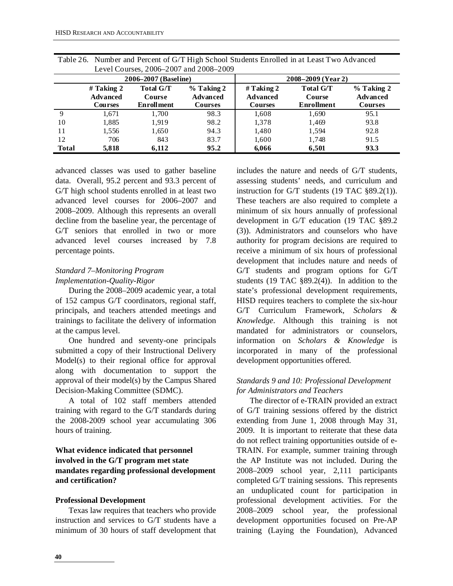|              |                                            |                                                        | Level Courses, 2006–2007 and 2008–2009     |                                                   |                                                 |                                                   |
|--------------|--------------------------------------------|--------------------------------------------------------|--------------------------------------------|---------------------------------------------------|-------------------------------------------------|---------------------------------------------------|
|              |                                            | 2006–2007 (Baseline)                                   |                                            |                                                   | 2008-2009 (Year 2)                              |                                                   |
|              | # Taking $2$<br><b>Advanced</b><br>Courses | <b>Total G/T</b><br><b>Course</b><br><b>Enrollment</b> | $%$ Taking 2<br>Advanced<br><b>Courses</b> | # Taking $2$<br><b>Advanced</b><br><b>Courses</b> | <b>Total G/T</b><br><b>Course</b><br>Enrollment | $%$ Taking 2<br><b>Advanced</b><br><b>Courses</b> |
| 9            | 1.671                                      | 1.700                                                  | 98.3                                       | 1,608                                             | 1,690                                           | 95.1                                              |
| 10           | 1,885                                      | 1.919                                                  | 98.2                                       | 1,378                                             | 1,469                                           | 93.8                                              |
| 11           | 1,556                                      | 1,650                                                  | 94.3                                       | 1,480                                             | 1,594                                           | 92.8                                              |
| 12           | 706                                        | 843                                                    | 83.7                                       | 1,600                                             | 1,748                                           | 91.5                                              |
| <b>Total</b> | 5.818                                      | 6.112                                                  | 95.2                                       | 6,066                                             | 6,501                                           | 93.3                                              |

Table 26. Number and Percent of G/T High School Students Enrolled in at Least Two Advanced Level Courses, 2006–2007 and 2008–2009

advanced classes was used to gather baseline data. Overall, 95.2 percent and 93.3 percent of G/T high school students enrolled in at least two advanced level courses for 2006–2007 and 2008–2009. Although this represents an overall decline from the baseline year, the percentage of G/T seniors that enrolled in two or more advanced level courses increased by 7.8 percentage points.

#### *Standard 7–Monitoring Program Implementation-Quality-Rigor*

During the 2008–2009 academic year, a total of 152 campus G/T coordinators, regional staff, principals, and teachers attended meetings and trainings to facilitate the delivery of information at the campus level.

One hundred and seventy-one principals submitted a copy of their Instructional Delivery Model(s) to their regional office for approval along with documentation to support the approval of their model(s) by the Campus Shared Decision-Making Committee (SDMC).

A total of 102 staff members attended training with regard to the G/T standards during the 2008-2009 school year accumulating 306 hours of training.

#### **What evidence indicated that personnel involved in the G/T program met state mandates regarding professional development and certification?**

#### **Professional Development**

Texas law requires that teachers who provide instruction and services to G/T students have a minimum of 30 hours of staff development that

includes the nature and needs of G/T students, assessing students' needs, and curriculum and instruction for G/T students (19 TAC §89.2(1)). These teachers are also required to complete a minimum of six hours annually of professional development in G/T education (19 TAC §89.2 (3)). Administrators and counselors who have authority for program decisions are required to receive a minimum of six hours of professional development that includes nature and needs of G/T students and program options for G/T students (19 TAC §89.2(4)). In addition to the state's professional development requirements, HISD requires teachers to complete the six-hour G/T Curriculum Framework, *Scholars & Knowledge*. Although this training is not mandated for administrators or counselors, information on *Scholars & Knowledge* is incorporated in many of the professional development opportunities offered.

#### *Standards 9 and 10: Professional Development for Administrators and Teachers*

The director of e-TRAIN provided an extract of G/T training sessions offered by the district extending from June 1, 2008 through May 31, 2009. It is important to reiterate that these data do not reflect training opportunities outside of e-TRAIN. For example, summer training through the AP Institute was not included. During the 2008–2009 school year, 2,111 participants completed G/T training sessions. This represents an unduplicated count for participation in professional development activities. For the 2008–2009 school year, the professional development opportunities focused on Pre-AP training (Laying the Foundation), Advanced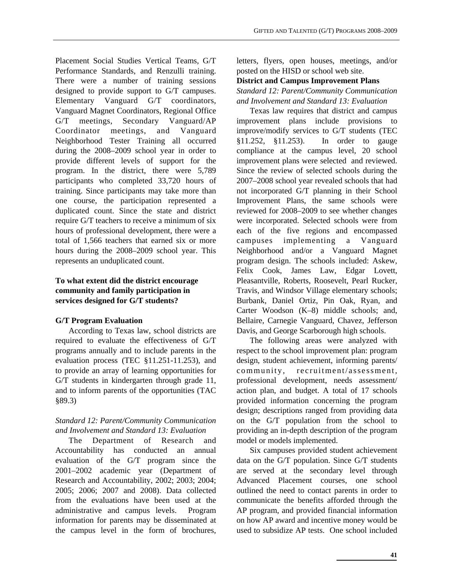Placement Social Studies Vertical Teams, G/T Performance Standards, and Renzulli training. There were a number of training sessions designed to provide support to G/T campuses. Elementary Vanguard G/T coordinators, Vanguard Magnet Coordinators, Regional Office G/T meetings, Secondary Vanguard/AP Coordinator meetings, and Vanguard Neighborhood Tester Training all occurred during the 2008–2009 school year in order to provide different levels of support for the program. In the district, there were 5,789 participants who completed 33,720 hours of training. Since participants may take more than one course, the participation represented a duplicated count. Since the state and district require G/T teachers to receive a minimum of six hours of professional development, there were a total of 1,566 teachers that earned six or more hours during the 2008–2009 school year. This represents an unduplicated count.

#### **To what extent did the district encourage community and family participation in services designed for G/T students?**

#### **G/T Program Evaluation**

According to Texas law, school districts are required to evaluate the effectiveness of G/T programs annually and to include parents in the evaluation process (TEC §11.251-11.253), and to provide an array of learning opportunities for G/T students in kindergarten through grade 11, and to inform parents of the opportunities (TAC §89.3)

#### *Standard 12: Parent/Community Communication and Involvement and Standard 13: Evaluation*

The Department of Research and Accountability has conducted an annual evaluation of the G/T program since the 2001–2002 academic year (Department of Research and Accountability, 2002; 2003; 2004; 2005; 2006; 2007 and 2008). Data collected from the evaluations have been used at the administrative and campus levels. Program information for parents may be disseminated at the campus level in the form of brochures, letters, flyers, open houses, meetings, and/or posted on the HISD or school web site.

#### **District and Campus Improvement Plans**  *Standard 12: Parent/Community Communication*

*and Involvement and Standard 13: Evaluation* 

Texas law requires that district and campus improvement plans include provisions to improve/modify services to G/T students (TEC §11.252, §11.253). In order to gauge compliance at the campus level, 20 school improvement plans were selected and reviewed. Since the review of selected schools during the 2007–2008 school year revealed schools that had not incorporated G/T planning in their School Improvement Plans, the same schools were reviewed for 2008–2009 to see whether changes were incorporated. Selected schools were from each of the five regions and encompassed campuses implementing a Vanguard Neighborhood and/or a Vanguard Magnet program design. The schools included: Askew, Felix Cook, James Law, Edgar Lovett, Pleasantville, Roberts, Roosevelt, Pearl Rucker, Travis, and Windsor Village elementary schools; Burbank, Daniel Ortiz, Pin Oak, Ryan, and Carter Woodson (K–8) middle schools; and, Bellaire, Carnegie Vanguard, Chavez, Jefferson Davis, and George Scarborough high schools.

The following areas were analyzed with respect to the school improvement plan: program design, student achievement, informing parents/ community, recruitment/assessment, professional development, needs assessment/ action plan, and budget. A total of 17 schools provided information concerning the program design; descriptions ranged from providing data on the G/T population from the school to providing an in-depth description of the program model or models implemented.

Six campuses provided student achievement data on the G/T population. Since G/T students are served at the secondary level through Advanced Placement courses, one school outlined the need to contact parents in order to communicate the benefits afforded through the AP program, and provided financial information on how AP award and incentive money would be used to subsidize AP tests. One school included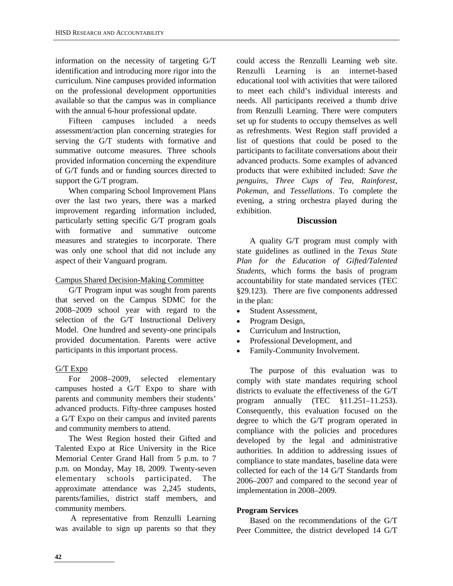information on the necessity of targeting G/T identification and introducing more rigor into the curriculum. Nine campuses provided information on the professional development opportunities available so that the campus was in compliance with the annual 6-hour professional update.

Fifteen campuses included a needs assessment/action plan concerning strategies for serving the G/T students with formative and summative outcome measures. Three schools provided information concerning the expenditure of G/T funds and or funding sources directed to support the G/T program.

When comparing School Improvement Plans over the last two years, there was a marked improvement regarding information included, particularly setting specific G/T program goals with formative and summative outcome measures and strategies to incorporate. There was only one school that did not include any aspect of their Vanguard program.

#### Campus Shared Decision-Making Committee

G/T Program input was sought from parents that served on the Campus SDMC for the 2008–2009 school year with regard to the selection of the G/T Instructional Delivery Model. One hundred and seventy-one principals provided documentation. Parents were active participants in this important process.

#### G/T Expo

For 2008–2009, selected elementary campuses hosted a G/T Expo to share with parents and community members their students' advanced products. Fifty-three campuses hosted a G/T Expo on their campus and invited parents and community members to attend.

The West Region hosted their Gifted and Talented Expo at Rice University in the Rice Memorial Center Grand Hall from 5 p.m. to 7 p.m. on Monday, May 18, 2009. Twenty-seven elementary schools participated. The approximate attendance was 2,245 students, parents/families, district staff members, and community members.

 A representative from Renzulli Learning was available to sign up parents so that they

could access the Renzulli Learning web site. Renzulli Learning is an internet-based educational tool with activities that were tailored to meet each child's individual interests and needs. All participants received a thumb drive from Renzulli Learning. There were computers set up for students to occupy themselves as well as refreshments. West Region staff provided a list of questions that could be posed to the participants to facilitate conversations about their advanced products. Some examples of advanced products that were exhibited included: *Save the penguins*, *Three Cups of Tea*, *Rainforest*, *Pokeman*, and *Tessellations*. To complete the evening, a string orchestra played during the exhibition.

#### **Discussion**

A quality G/T program must comply with state guidelines as outlined in the *Texas State Plan for the Education of Gifted/Talented Students*, which forms the basis of program accountability for state mandated services (TEC §29.123). There are five components addressed in the plan:

- Student Assessment,
- Program Design,
- Curriculum and Instruction.
- Professional Development, and
- Family-Community Involvement.

The purpose of this evaluation was to comply with state mandates requiring school districts to evaluate the effectiveness of the G/T program annually (TEC §11.251–11.253). Consequently, this evaluation focused on the degree to which the G/T program operated in compliance with the policies and procedures developed by the legal and administrative authorities. In addition to addressing issues of compliance to state mandates, baseline data were collected for each of the 14 G/T Standards from 2006–2007 and compared to the second year of implementation in 2008–2009.

#### **Program Services**

Based on the recommendations of the G/T Peer Committee, the district developed 14 G/T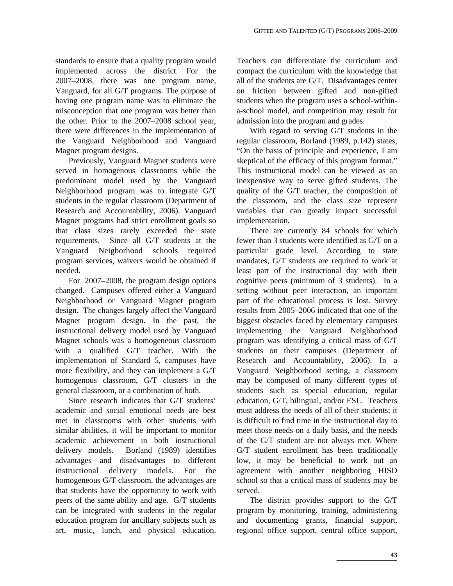**43** 

standards to ensure that a quality program would implemented across the district. For the 2007–2008, there was one program name, Vanguard, for all G/T programs. The purpose of having one program name was to eliminate the misconception that one program was better than the other. Prior to the 2007–2008 school year, there were differences in the implementation of the Vanguard Neighborhood and Vanguard Magnet program designs.

Previously, Vanguard Magnet students were served in homogenous classrooms while the predominant model used by the Vanguard Neighborhood program was to integrate G/T students in the regular classroom (Department of Research and Accountability, 2006). Vanguard Magnet programs had strict enrollment goals so that class sizes rarely exceeded the state requirements. Since all G/T students at the Vanguard Neigborhood schools required program services, waivers would be obtained if needed.

For 2007–2008, the program design options changed. Campuses offered either a Vanguard Neighborhood or Vanguard Magnet program design. The changes largely affect the Vanguard Magnet program design. In the past, the instructional delivery model used by Vanguard Magnet schools was a homogeneous classroom with a qualified G/T teacher. With the implementation of Standard 5, campuses have more flexibility, and they can implement a G/T homogenous classroom, G/T clusters in the general classroom, or a combination of both.

Since research indicates that G/T students' academic and social emotional needs are best met in classrooms with other students with similar abilities, it will be important to monitor academic achievement in both instructional delivery models. Borland (1989) identifies advantages and disadvantages to different instructional delivery models. For the homogeneous G/T classroom, the advantages are that students have the opportunity to work with peers of the same ability and age. G/T students can be integrated with students in the regular education program for ancillary subjects such as art, music, lunch, and physical education. Teachers can differentiate the curriculum and compact the curriculum with the knowledge that all of the students are G/T. Disadvantages center on friction between gifted and non-gifted students when the program uses a school-withina-school model, and competition may result for admission into the program and grades.

With regard to serving G/T students in the regular classroom, Borland (1989, p.142) states, "On the basis of principle and experience, I am skeptical of the efficacy of this program format." This instructional model can be viewed as an inexpensive way to serve gifted students. The quality of the G/T teacher, the composition of the classroom, and the class size represent variables that can greatly impact successful implementation.

There are currently 84 schools for which fewer than 3 students were identified as G/T on a particular grade level. According to state mandates, G/T students are required to work at least part of the instructional day with their cognitive peers (minimum of 3 students). In a setting without peer interaction, an important part of the educational process is lost. Survey results from 2005–2006 indicated that one of the biggest obstacles faced by elementary campuses implementing the Vanguard Neighborhood program was identifying a critical mass of G/T students on their campuses (Department of Research and Accountability, 2006). In a Vanguard Neighborhood setting, a classroom may be composed of many different types of students such as special education, regular education, G/T, bilingual, and/or ESL. Teachers must address the needs of all of their students; it is difficult to find time in the instructional day to meet those needs on a daily basis, and the needs of the G/T student are not always met. Where G/T student enrollment has been traditionally low, it may be beneficial to work out an agreement with another neighboring HISD school so that a critical mass of students may be served.

The district provides support to the G/T program by monitoring, training, administering and documenting grants, financial support, regional office support, central office support,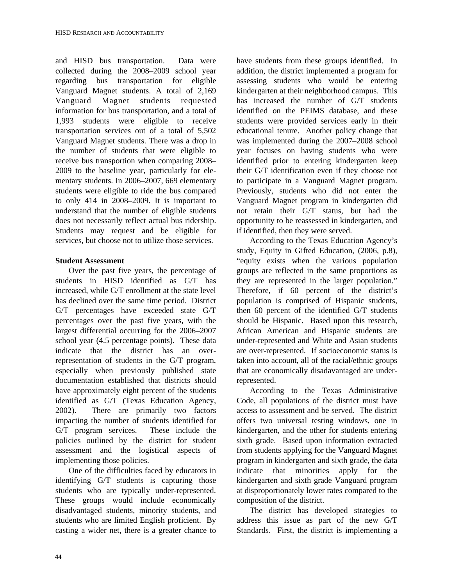and HISD bus transportation. Data were collected during the 2008–2009 school year regarding bus transportation for eligible Vanguard Magnet students. A total of 2,169 Vanguard Magnet students requested information for bus transportation, and a total of 1,993 students were eligible to receive transportation services out of a total of 5,502 Vanguard Magnet students. There was a drop in the number of students that were eligible to receive bus transportion when comparing 2008– 2009 to the baseline year, particularly for elementary students. In 2006–2007, 669 elementary students were eligible to ride the bus compared to only 414 in 2008–2009. It is important to understand that the number of eligible students does not necessarily reflect actual bus ridership. Students may request and be eligible for services, but choose not to utilize those services.

#### **Student Assessment**

Over the past five years, the percentage of students in HISD identified as G/T has increased, while G/T enrollment at the state level has declined over the same time period. District G/T percentages have exceeded state G/T percentages over the past five years, with the largest differential occurring for the 2006–2007 school year (4.5 percentage points). These data indicate that the district has an overrepresentation of students in the G/T program, especially when previously published state documentation established that districts should have approximately eight percent of the students identified as G/T (Texas Education Agency, 2002). There are primarily two factors impacting the number of students identified for G/T program services. These include the policies outlined by the district for student assessment and the logistical aspects of implementing those policies.

One of the difficulties faced by educators in identifying G/T students is capturing those students who are typically under-represented. These groups would include economically disadvantaged students, minority students, and students who are limited English proficient. By casting a wider net, there is a greater chance to

have students from these groups identified. In addition, the district implemented a program for assessing students who would be entering kindergarten at their neighborhood campus. This has increased the number of G/T students identified on the PEIMS database, and these students were provided services early in their educational tenure. Another policy change that was implemented during the 2007–2008 school year focuses on having students who were identified prior to entering kindergarten keep their G/T identification even if they choose not to participate in a Vanguard Magnet program. Previously, students who did not enter the Vanguard Magnet program in kindergarten did not retain their G/T status, but had the opportunity to be reassessed in kindergarten, and if identified, then they were served.

According to the Texas Education Agency's study, Equity in Gifted Education, (2006, p.8), "equity exists when the various population groups are reflected in the same proportions as they are represented in the larger population." Therefore, if 60 percent of the district's population is comprised of Hispanic students, then 60 percent of the identified G/T students should be Hispanic. Based upon this research, African American and Hispanic students are under-represented and White and Asian students are over-represented. If socioeconomic status is taken into account, all of the racial/ethnic groups that are economically disadavantaged are underrepresented.

According to the Texas Administrative Code, all populations of the district must have access to assessment and be served. The district offers two universal testing windows, one in kindergarten, and the other for students entering sixth grade. Based upon information extracted from students applying for the Vanguard Magnet program in kindergarten and sixth grade, the data indicate that minorities apply for the kindergarten and sixth grade Vanguard program at disproportionately lower rates compared to the composition of the district.

The district has developed strategies to address this issue as part of the new G/T Standards. First, the district is implementing a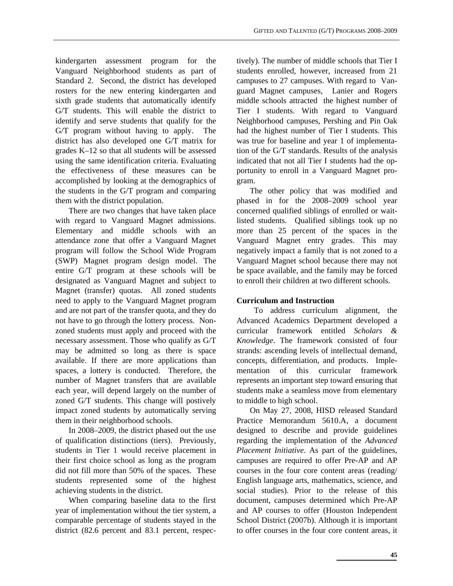kindergarten assessment program for the Vanguard Neighborhood students as part of Standard 2. Second, the district has developed rosters for the new entering kindergarten and sixth grade students that automatically identify G/T students. This will enable the district to identify and serve students that qualify for the G/T program without having to apply. The district has also developed one G/T matrix for grades K–12 so that all students will be assessed using the same identification criteria. Evaluating the effectiveness of these measures can be accomplished by looking at the demographics of the students in the G/T program and comparing them with the district population.

There are two changes that have taken place with regard to Vanguard Magnet admissions. Elementary and middle schools with an attendance zone that offer a Vanguard Magnet program will follow the School Wide Program (SWP) Magnet program design model. The entire G/T program at these schools will be designated as Vanguard Magnet and subject to Magnet (transfer) quotas. All zoned students need to apply to the Vanguard Magnet program and are not part of the transfer quota, and they do not have to go through the lottery process. Nonzoned students must apply and proceed with the necessary assessment. Those who qualify as G/T may be admitted so long as there is space available. If there are more applications than spaces, a lottery is conducted. Therefore, the number of Magnet transfers that are available each year, will depend largely on the number of zoned G/T students. This change will postively impact zoned students by automatically serving them in their neighborhood schools.

In 2008–2009, the district phased out the use of qualification distinctions (tiers). Previously, students in Tier 1 would receive placement in their first choice school as long as the program did not fill more than 50% of the spaces. These students represented some of the highest achieving students in the district.

When comparing baseline data to the first year of implementation without the tier system, a comparable percentage of students stayed in the district (82.6 percent and 83.1 percent, respectively). The number of middle schools that Tier I students enrolled, however, increased from 21 campuses to 27 campuses. With regard to Vanguard Magnet campuses, Lanier and Rogers middle schools attracted the highest number of Tier I students. With regard to Vanguard Neighborhood campuses, Pershing and Pin Oak had the highest number of Tier I students. This was true for baseline and year 1 of implementation of the G/T standards. Results of the analysis indicated that not all Tier I students had the opportunity to enroll in a Vanguard Magnet program.

The other policy that was modified and phased in for the 2008–2009 school year concerned qualified siblings of enrolled or waitlisted students. Qualified siblings took up no more than 25 percent of the spaces in the Vanguard Magnet entry grades. This may negatively impact a family that is not zoned to a Vanguard Magnet school because there may not be space available, and the family may be forced to enroll their children at two different schools.

#### **Curriculum and Instruction**

 To address curriculum alignment, the Advanced Academics Department developed a curricular framework entitled *Scholars & Knowledge*. The framework consisted of four strands: ascending levels of intellectual demand, concepts, differentiation, and products. Implementation of this curricular framework represents an important step toward ensuring that students make a seamless move from elementary to middle to high school.

On May 27, 2008, HISD released Standard Practice Memorandum 5610.A, a document designed to describe and provide guidelines regarding the implementation of the *Advanced Placement Initiative*. As part of the guidelines, campuses are required to offer Pre-AP and AP courses in the four core content areas (reading/ English language arts, mathematics, science, and social studies). Prior to the release of this document, campuses determined which Pre-AP and AP courses to offer (Houston Independent School District (2007b). Although it is important to offer courses in the four core content areas, it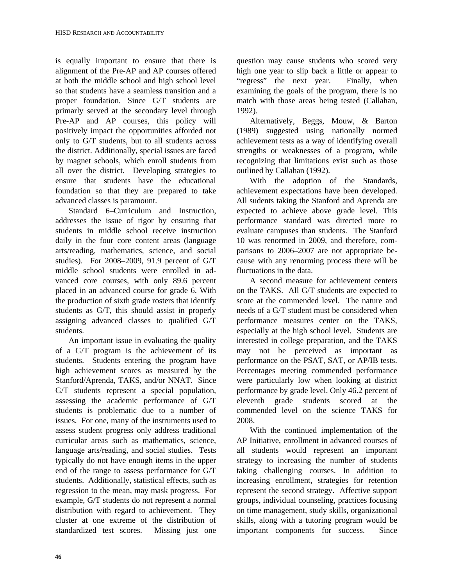is equally important to ensure that there is alignment of the Pre-AP and AP courses offered at both the middle school and high school level so that students have a seamless transition and a proper foundation. Since G/T students are primarly served at the secondary level through Pre-AP and AP courses, this policy will positively impact the opportunities afforded not only to G/T students, but to all students across the district. Additionally, special issues are faced by magnet schools, which enroll students from all over the district. Developing strategies to ensure that students have the educational foundation so that they are prepared to take advanced classes is paramount.

Standard 6–Curriculum and Instruction, addresses the issue of rigor by ensuring that students in middle school receive instruction daily in the four core content areas (language arts/reading, mathematics, science, and social studies). For 2008–2009, 91.9 percent of G/T middle school students were enrolled in advanced core courses, with only 89.6 percent placed in an advanced course for grade 6. With the production of sixth grade rosters that identify students as G/T, this should assist in properly assigning advanced classes to qualified G/T students.

An important issue in evaluating the quality of a G/T program is the achievement of its students. Students entering the program have high achievement scores as measured by the Stanford/Aprenda, TAKS, and/or NNAT. Since G/T students represent a special population, assessing the academic performance of G/T students is problematic due to a number of issues. For one, many of the instruments used to assess student progress only address traditional curricular areas such as mathematics, science, language arts/reading, and social studies. Tests typically do not have enough items in the upper end of the range to assess performance for G/T students. Additionally, statistical effects, such as regression to the mean, may mask progress. For example, G/T students do not represent a normal distribution with regard to achievement. They cluster at one extreme of the distribution of standardized test scores. Missing just one question may cause students who scored very high one year to slip back a little or appear to "regress" the next year. Finally, when examining the goals of the program, there is no match with those areas being tested (Callahan, 1992).

Alternatively, Beggs, Mouw, & Barton (1989) suggested using nationally normed achievement tests as a way of identifying overall strengths or weaknesses of a program, while recognizing that limitations exist such as those outlined by Callahan (1992).

With the adoption of the Standards, achievement expectations have been developed. All sudents taking the Stanford and Aprenda are expected to achieve above grade level. This performance standard was directed more to evaluate campuses than students. The Stanford 10 was renormed in 2009, and therefore, comparisons to 2006–2007 are not appropriate because with any renorming process there will be fluctuations in the data.

A second measure for achievement centers on the TAKS. All G/T students are expected to score at the commended level. The nature and needs of a G/T student must be considered when performance measures center on the TAKS, especially at the high school level. Students are interested in college preparation, and the TAKS may not be perceived as important as performance on the PSAT, SAT, or AP/IB tests. Percentages meeting commended performance were particularly low when looking at district performance by grade level. Only 46.2 percent of eleventh grade students scored at the commended level on the science TAKS for 2008.

With the continued implementation of the AP Initiative, enrollment in advanced courses of all students would represent an important strategy to increasing the number of students taking challenging courses. In addition to increasing enrollment, strategies for retention represent the second strategy. Affective support groups, individual counseling, practices focusing on time management, study skills, organizational skills, along with a tutoring program would be important components for success. Since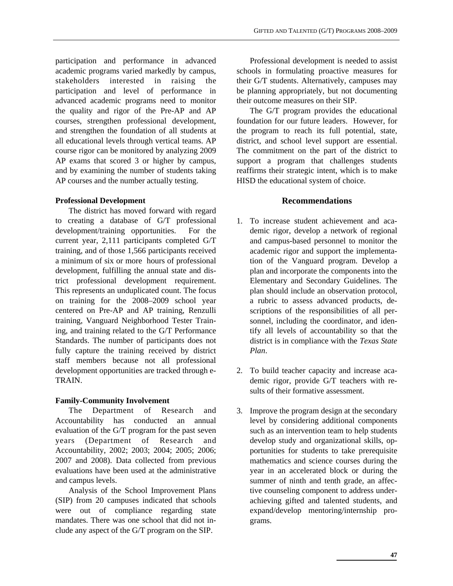participation and performance in advanced academic programs varied markedly by campus, stakeholders interested in raising the participation and level of performance in advanced academic programs need to monitor the quality and rigor of the Pre-AP and AP courses, strengthen professional development, and strengthen the foundation of all students at all educational levels through vertical teams. AP course rigor can be monitored by analyzing 2009 AP exams that scored 3 or higher by campus, and by examining the number of students taking AP courses and the number actually testing.

#### **Professional Development**

The district has moved forward with regard to creating a database of G/T professional development/training opportunities. For the current year, 2,111 participants completed G/T training, and of those 1,566 participants received a minimum of six or more hours of professional development, fulfilling the annual state and district professional development requirement. This represents an unduplicated count. The focus on training for the 2008–2009 school year centered on Pre-AP and AP training, Renzulli training, Vanguard Neighborhood Tester Training, and training related to the G/T Performance Standards. The number of participants does not fully capture the training received by district staff members because not all professional development opportunities are tracked through e-TRAIN.

#### **Family-Community Involvement**

The Department of Research and Accountability has conducted an annual evaluation of the G/T program for the past seven years (Department of Research and Accountability, 2002; 2003; 2004; 2005; 2006; 2007 and 2008). Data collected from previous evaluations have been used at the administrative and campus levels.

Analysis of the School Improvement Plans (SIP) from 20 campuses indicated that schools were out of compliance regarding state mandates. There was one school that did not include any aspect of the G/T program on the SIP.

Professional development is needed to assist schools in formulating proactive measures for their G/T students. Alternatively, campuses may be planning appropriately, but not documenting their outcome measures on their SIP.

The G/T program provides the educational foundation for our future leaders. However, for the program to reach its full potential, state, district, and school level support are essential. The commitment on the part of the district to support a program that challenges students reaffirms their strategic intent, which is to make HISD the educational system of choice.

#### **Recommendations**

- 1. To increase student achievement and academic rigor, develop a network of regional and campus-based personnel to monitor the academic rigor and support the implementation of the Vanguard program. Develop a plan and incorporate the components into the Elementary and Secondary Guidelines. The plan should include an observation protocol, a rubric to assess advanced products, descriptions of the responsibilities of all personnel, including the coordinator, and identify all levels of accountability so that the district is in compliance with the *Texas State Plan*.
- 2. To build teacher capacity and increase academic rigor, provide G/T teachers with results of their formative assessment.
- 3. Improve the program design at the secondary level by considering additional components such as an intervention team to help students develop study and organizational skills, opportunities for students to take prerequisite mathematics and science courses during the year in an accelerated block or during the summer of ninth and tenth grade, an affective counseling component to address underachieving gifted and talented students, and expand/develop mentoring/internship programs.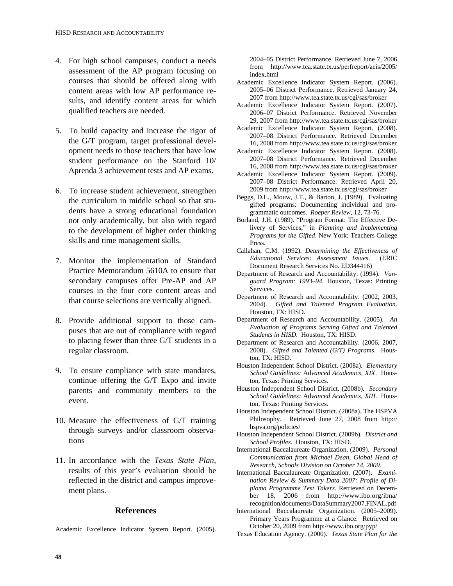- 4. For high school campuses, conduct a needs assessment of the AP program focusing on courses that should be offered along with content areas with low AP performance results, and identify content areas for which qualified teachers are needed.
- 5. To build capacity and increase the rigor of the G/T program, target professional development needs to those teachers that have low student performance on the Stanford 10/ Aprenda 3 achievement tests and AP exams.
- 6. To increase student achievement, strengthen the curriculum in middle school so that students have a strong educational foundation not only academically, but also with regard to the development of higher order thinking skills and time management skills.
- 7. Monitor the implementation of Standard Practice Memorandum 5610A to ensure that secondary campuses offer Pre-AP and AP courses in the four core content areas and that course selections are vertically aligned.
- 8. Provide additional support to those campuses that are out of compliance with regard to placing fewer than three G/T students in a regular classroom.
- 9. To ensure compliance with state mandates, continue offering the G/T Expo and invite parents and community members to the event.
- 10. Measure the effectiveness of G/T training through surveys and/or classroom observations
- 11. In accordance with the *Texas State Plan*, results of this year's evaluation should be reflected in the district and campus improvement plans.

#### **References**

Academic Excellence Indicator System Report. (2005).

2004–05 District Performance. Retrieved June 7, 2006 from http://www.tea.state.tx.us/perfreport/aeis/2005/ index.html

- Academic Excellence Indicator System Report. (2006). 2005–06 District Performance. Retrieved January 24, 2007 from http://www.tea.state.tx.us/cgi/sas/broker
- Academic Excellence Indicator System Report. (2007). 2006–07 District Performance. Retrieved November 29, 2007 from http://www.tea.state.tx.us/cgi/sas/broker
- Academic Excellence Indicator System Report. (2008). 2007–08 District Performance. Retrieved December 16, 2008 from http://www.tea.state.tx.us/cgi/sas/broker
- Academic Excellence Indicator System Report. (2008). 2007–08 District Performance. Retrieved December 16, 2008 from http://www.tea.state.tx.us/cgi/sas/broker
- Academic Excellence Indicator System Report. (2009). 2007–08 District Performance. Retrieved April 20, 2009 from http://www.tea.state.tx.us/cgi/sas/broker
- Beggs, D.L., Mouw, J.T., & Barton, J. (1989). Evaluating gifted programs: Documenting individual and programmatic outcomes. *Roeper Review*, 12, 73-76.
- Borland, J.H. (1989). "Program Format: The Effective Delivery of Services," in *Planning and Implementing Programs for the Gifted*. New York: Teachers College Press.
- Callahan, C.M. (1992). *Determining the Effectiveness of Educational Services: Assessment Issues*. (ERIC Document Research Services No. ED344416)
- Department of Research and Accountability. (1994). *Vanguard Program: 1993–94*. Houston, Texas: Printing Services.
- Department of Research and Accountability. (2002, 2003, 2004). *Gifted and Talented Program Evaluation*. Houston, TX: HISD.
- Department of Research and Accountability. (2005). *An Evaluation of Programs Serving Gifted and Talented Students in HISD*. Houston, TX: HISD.
- Department of Research and Accountability. (2006, 2007, 2008). *Gifted and Talented (G/T) Programs*. Houston, TX: HISD.
- Houston Independent School District. (2008a). *Elementary School Guidelines:* Ad*vanced Academics, XIX*. Houston, Texas: Printing Services.
- Houston Independent School District. (2008b). *Secondary School Guidelines:* Ad*vanced Academics, XIII*. Houston, Texas: Printing Services.
- Houston Independent School District. (2008a). The HSPVA Philosophy. Retrieved June 27, 2008 from http:// hspva.org/policies/
- Houston Independent School District. (2009b). *District and School Profiles*. Houston, TX: HISD.
- International Baccalaureate Organization. (2009). *Personal Communication from Michael Dean, Global Head of Research, Schools Division on October 14, 2009.*
- International Baccalaureate Organization. (2007). *Examination Review & Summary Data 2007: Profile of Diploma Programme Test Takers*. Retrieved on December 18, 2006 from http://www.ibo.org/ibna/ recognition/documents/DataSummary2007.FINAL.pdf
- International Baccalaureate Organization. (2005–2009). Primary Years Programme at a Glance. Retrieved on October 20, 2009 from http://www.ibo.org/pyp/
- Texas Education Agency. (2000). *Texas State Plan for the*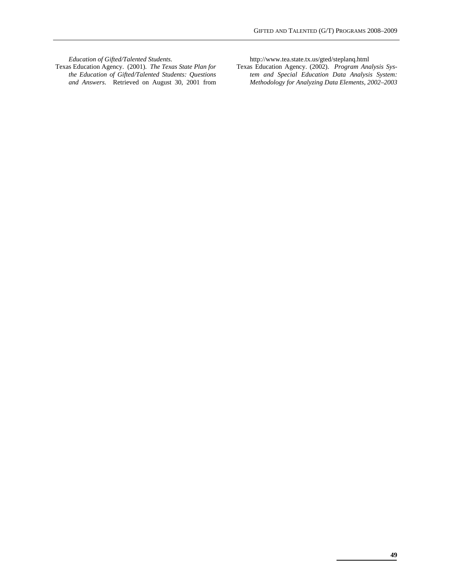*Education of Gifted/Talented Students.*  Texas Education Agency. (2001). *The Texas State Plan for the Education of Gifted/Talented Students: Questions and Answers*. Retrieved on August 30, 2001 from http://www.tea.state.tx.us/gted/steplanq.html

Texas Education Agency. (2002). *Program Analysis System and Special Education Data Analysis System: Methodology for Analyzing Data Elements, 2002–2003*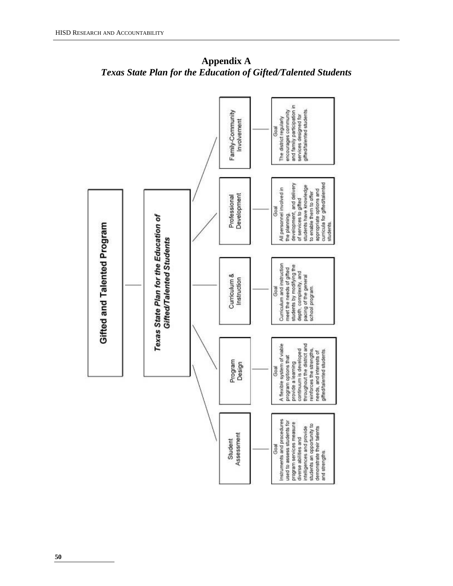

**Appendix A**  *Texas State Plan for the Education of Gifted/Talented Students*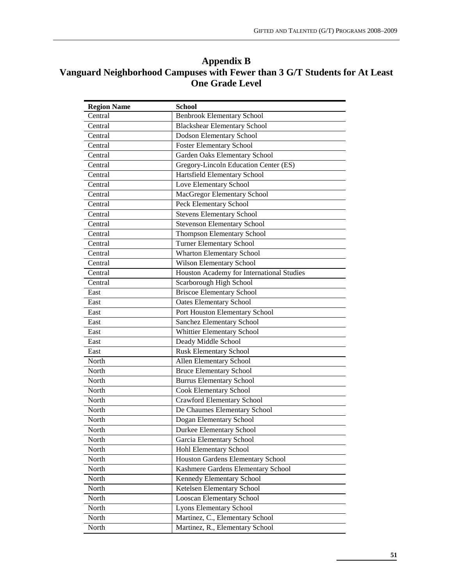### **Appendix B Vanguard Neighborhood Campuses with Fewer than 3 G/T Students for At Least One Grade Level**

| <b>Region Name</b> | <b>School</b>                             |
|--------------------|-------------------------------------------|
| Central            | <b>Benbrook Elementary School</b>         |
| Central            | <b>Blackshear Elementary School</b>       |
| Central            | Dodson Elementary School                  |
| Central            | <b>Foster Elementary School</b>           |
| Central            | Garden Oaks Elementary School             |
| Central            | Gregory-Lincoln Education Center (ES)     |
| Central            | Hartsfield Elementary School              |
| Central            | Love Elementary School                    |
| Central            | MacGregor Elementary School               |
| Central            | Peck Elementary School                    |
| Central            | Stevens Elementary School                 |
| Central            | <b>Stevenson Elementary School</b>        |
| Central            | <b>Thompson Elementary School</b>         |
| Central            | <b>Turner Elementary School</b>           |
| Central            | <b>Wharton Elementary School</b>          |
| Central            | Wilson Elementary School                  |
| Central            | Houston Academy for International Studies |
| Central            | Scarborough High School                   |
| East               | <b>Briscoe Elementary School</b>          |
| East               | <b>Oates Elementary School</b>            |
| East               | Port Houston Elementary School            |
| East               | Sanchez Elementary School                 |
| East               | Whittier Elementary School                |
| East               | Deady Middle School                       |
| East               | <b>Rusk Elementary School</b>             |
| North              | Allen Elementary School                   |
| North              | <b>Bruce Elementary School</b>            |
| North              | <b>Burrus Elementary School</b>           |
| North              | <b>Cook Elementary School</b>             |
| North              | <b>Crawford Elementary School</b>         |
| North              | De Chaumes Elementary School              |
| North              | Dogan Elementary School                   |
| North              | <b>Durkee Elementary School</b>           |
| North              | Garcia Elementary School                  |
| North              | Hohl Elementary School                    |
| North              | Houston Gardens Elementary School         |
| North              | Kashmere Gardens Elementary School        |
| North              | Kennedy Elementary School                 |
| North              | Ketelsen Elementary School                |
| North              | <b>Looscan Elementary School</b>          |
| North              | <b>Lyons Elementary School</b>            |
| North              | Martinez, C., Elementary School           |
|                    |                                           |
| North              | Martinez, R., Elementary School           |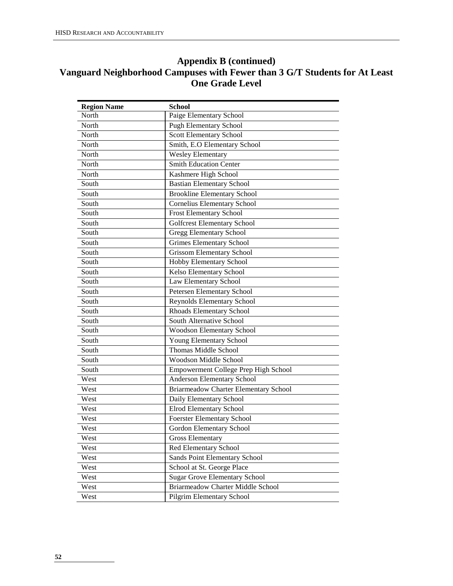#### **Appendix B (continued) Vanguard Neighborhood Campuses with Fewer than 3 G/T Students for At Least One Grade Level**

| <b>Region Name</b> | <b>School</b>                            |
|--------------------|------------------------------------------|
| North              | Paige Elementary School                  |
| North              | <b>Pugh Elementary School</b>            |
| North              | <b>Scott Elementary School</b>           |
| North              | Smith, E.O Elementary School             |
| North              | Wesley Elementary                        |
| North              | <b>Smith Education Center</b>            |
| North              | Kashmere High School                     |
| South              | <b>Bastian Elementary School</b>         |
| South              | <b>Brookline Elementary School</b>       |
| South              | <b>Cornelius Elementary School</b>       |
| South              | Frost Elementary School                  |
| South              | <b>Golfcrest Elementary School</b>       |
| South              | <b>Gregg Elementary School</b>           |
| South              | <b>Grimes Elementary School</b>          |
| South              | <b>Grissom Elementary School</b>         |
| South              | Hobby Elementary School                  |
| South              | <b>Kelso Elementary School</b>           |
| South              | Law Elementary School                    |
| South              | Petersen Elementary School               |
| South              | Reynolds Elementary School               |
| South              | Rhoads Elementary School                 |
| South              | South Alternative School                 |
| South              | Woodson Elementary School                |
| South              | Young Elementary School                  |
| South              | <b>Thomas Middle School</b>              |
| South              | Woodson Middle School                    |
| South              | Empowerment College Prep High School     |
| West               | Anderson Elementary School               |
| West               | Briarmeadow Charter Elementary School    |
| West               | Daily Elementary School                  |
| West               | <b>Elrod Elementary School</b>           |
| West               | <b>Foerster Elementary School</b>        |
| West               | Gordon Elementary School                 |
| West               | <b>Gross Elementary</b>                  |
| West               | Red Elementary School                    |
| West               | Sands Point Elementary School            |
| West               | School at St. George Place               |
| West               | <b>Sugar Grove Elementary School</b>     |
| West               | <b>Briarmeadow Charter Middle School</b> |
| West               | Pilgrim Elementary School                |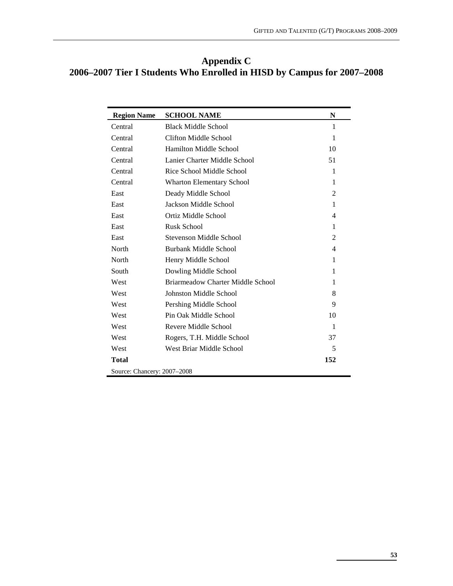| Appendix C                                                             |
|------------------------------------------------------------------------|
| 2006–2007 Tier I Students Who Enrolled in HISD by Campus for 2007–2008 |

| <b>Region Name</b>          | <b>SCHOOL NAME</b>                | N              |
|-----------------------------|-----------------------------------|----------------|
| Central                     | <b>Black Middle School</b>        | 1              |
| Central                     | Clifton Middle School             | 1              |
| Central                     | Hamilton Middle School            | 10             |
| Central                     | Lanier Charter Middle School      | 51             |
| Central                     | Rice School Middle School         | 1              |
| Central                     | <b>Wharton Elementary School</b>  | 1              |
| East                        | Deady Middle School               | 2              |
| East                        | Jackson Middle School             | 1              |
| East                        | Ortiz Middle School               | $\overline{4}$ |
| East                        | <b>Rusk School</b>                | 1              |
| East                        | Stevenson Middle School           | 2              |
| North                       | Burbank Middle School             | 4              |
| North                       | Henry Middle School               | 1              |
| South                       | Dowling Middle School             | 1              |
| West                        | Briarmeadow Charter Middle School | 1              |
| West                        | Johnston Middle School            | 8              |
| West                        | Pershing Middle School            | 9              |
| West                        | Pin Oak Middle School             | 10             |
| West                        | Revere Middle School              | $\mathbf{1}$   |
| West                        | Rogers, T.H. Middle School        | 37             |
| West                        | West Briar Middle School          | 5              |
| <b>Total</b>                |                                   | 152            |
| Source: Chancery: 2007-2008 |                                   |                |